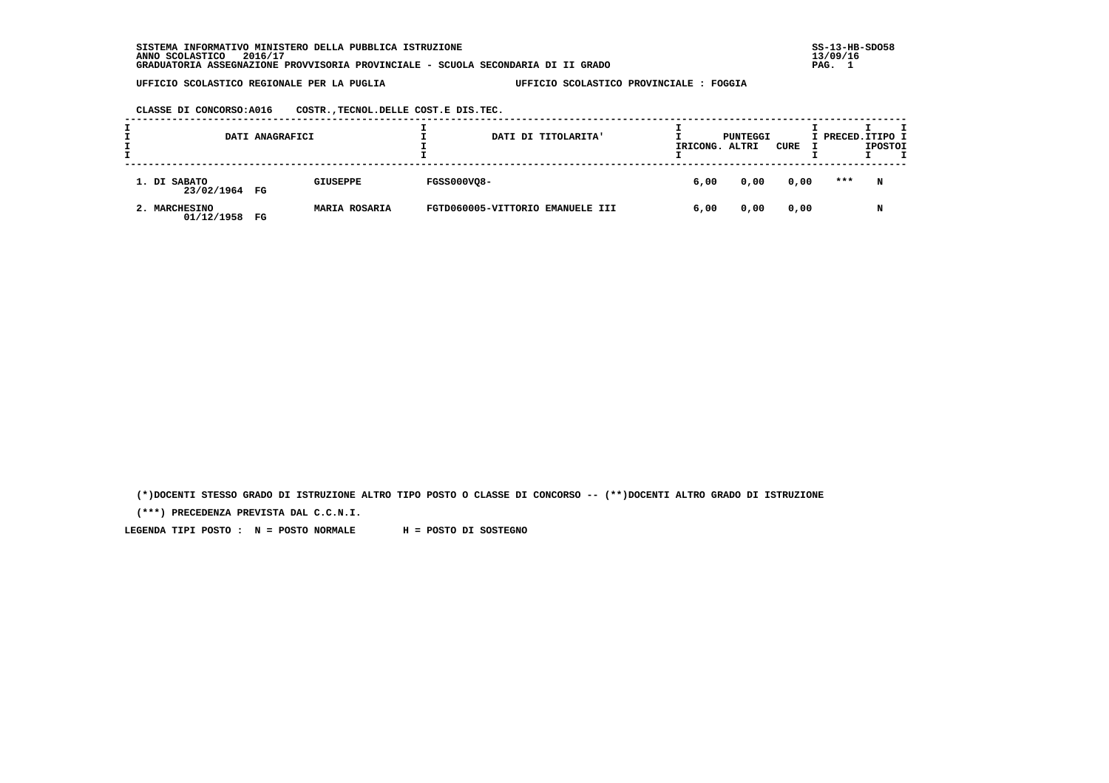**SISTEMA INFORMATIVO MINISTERO DELLA PUBBLICA ISTRUZIONE SS-13-HB-SDO58 ANNO SCOLASTICO 2016/17 13/09/16 GRADUATORIA ASSEGNAZIONE PROVVISORIA PROVINCIALE - SCUOLA SECONDARIA DI II GRADO PAG. 1**

 **UFFICIO SCOLASTICO REGIONALE PER LA PUGLIA UFFICIO SCOLASTICO PROVINCIALE : FOGGIA**

 **CLASSE DI CONCORSO:A016 COSTR.,TECNOL.DELLE COST.E DIS.TEC.**

| DATI ANAGRAFICI               |    |                      | DATI DI TITOLARITA'              | IRICONG. | PUNTEGGI<br>ALTRI | CURE | I PRECED. ITIPO I | <b>IPOSTOI</b> |  |
|-------------------------------|----|----------------------|----------------------------------|----------|-------------------|------|-------------------|----------------|--|
| 1. DI SABATO<br>23/02/1964 FG |    | <b>GIUSEPPE</b>      | <b>FGSS000VQ8-</b>               | 6,00     | 0,00              | 0,00 | ***               | N              |  |
| 2. MARCHESINO<br>01/12/1958   | FG | <b>MARIA ROSARIA</b> | FGTD060005-VITTORIO EMANUELE III | 6,00     | 0,00              | 0,00 |                   | N              |  |

 **(\*)DOCENTI STESSO GRADO DI ISTRUZIONE ALTRO TIPO POSTO O CLASSE DI CONCORSO -- (\*\*)DOCENTI ALTRO GRADO DI ISTRUZIONE**

 **(\*\*\*) PRECEDENZA PREVISTA DAL C.C.N.I.**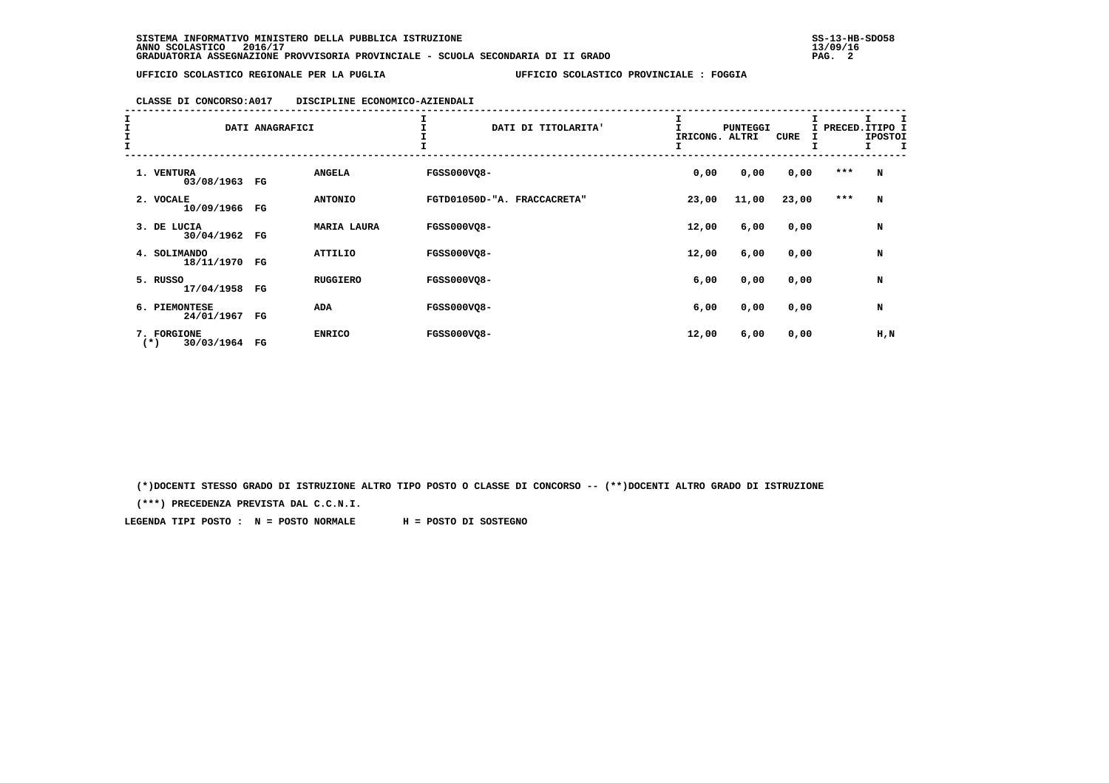## **CLASSE DI CONCORSO:A017 DISCIPLINE ECONOMICO-AZIENDALI**

| エエエエ |                                    | DATI ANAGRAFICI |                    | DATI DI TITOLARITA'         | IRICONG. | <b>PUNTEGGI</b><br>ALTRI | CURE  | I PRECED.ITIPO I<br>I | <b>IPOSTOI</b><br>I.<br>$\mathbf{T}$ |
|------|------------------------------------|-----------------|--------------------|-----------------------------|----------|--------------------------|-------|-----------------------|--------------------------------------|
|      | 1. VENTURA<br>03/08/1963           | FG              | <b>ANGELA</b>      | <b>FGSS000VQ8-</b>          | 0,00     | 0,00                     | 0,00  | $***$                 | N                                    |
|      | 2. VOCALE<br>10/09/1966            | FG              | <b>ANTONIO</b>     | FGTD01050D-"A. FRACCACRETA" | 23,00    | 11,00                    | 23,00 | ***                   | N                                    |
|      | 3. DE LUCIA<br>30/04/1962          | $_{\rm FG}$     | <b>MARIA LAURA</b> | <b>FGSS000VQ8-</b>          | 12,00    | 6,00                     | 0,00  |                       | N                                    |
|      | 4. SOLIMANDO<br>18/11/1970 FG      |                 | ATTILIO            | <b>FGSS000VQ8-</b>          | 12,00    | 6,00                     | 0,00  |                       | N                                    |
|      | 5. RUSSO<br>17/04/1958             | $_{\rm FG}$     | <b>RUGGIERO</b>    | <b>FGSS000VQ8-</b>          | 6,00     | 0,00                     | 0,00  |                       | N                                    |
|      | 6. PIEMONTESE<br>24/01/1967        | FG              | <b>ADA</b>         | <b>FGSS000VQ8-</b>          | 6,00     | 0,00                     | 0,00  |                       | N                                    |
|      | 7. FORGIONE<br>30/03/1964<br>$(*)$ | FG              | <b>ENRICO</b>      | <b>FGSS000VQ8-</b>          | 12,00    | 6,00                     | 0,00  |                       | H, N                                 |

 **(\*)DOCENTI STESSO GRADO DI ISTRUZIONE ALTRO TIPO POSTO O CLASSE DI CONCORSO -- (\*\*)DOCENTI ALTRO GRADO DI ISTRUZIONE**

 **(\*\*\*) PRECEDENZA PREVISTA DAL C.C.N.I.**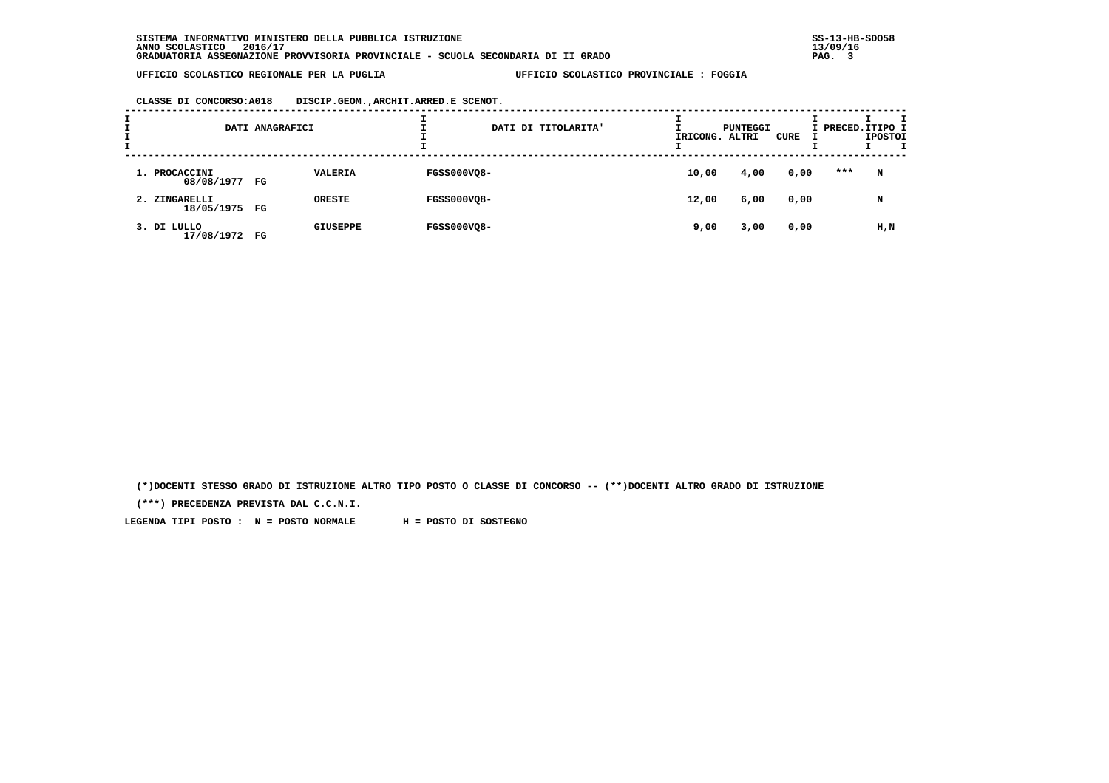**CLASSE DI CONCORSO:A018 DISCIP.GEOM.,ARCHIT.ARRED.E SCENOT.**

| <b>.</b> |                                | DATI ANAGRAFICI |                 | DATI DI TITOLARITA' | IRICONG. ALTRI | PUNTEGGI | CURE | I PRECED.ITIPO I | <b>IPOSTOI</b> |  |
|----------|--------------------------------|-----------------|-----------------|---------------------|----------------|----------|------|------------------|----------------|--|
|          | 1. PROCACCINI<br>08/08/1977 FG |                 | <b>VALERIA</b>  | <b>FGSS000VQ8-</b>  | 10,00          | 4,00     | 0,00 | ***              | N              |  |
|          | 2. ZINGARELLI<br>18/05/1975 FG |                 | ORESTE          | <b>FGSS000VQ8-</b>  | 12,00          | 6,00     | 0,00 |                  | N              |  |
|          | 3. DI LULLO<br>17/08/1972 FG   |                 | <b>GIUSEPPE</b> | <b>FGSS000VQ8-</b>  | 9,00           | 3,00     | 0,00 |                  | H,N            |  |

 **(\*)DOCENTI STESSO GRADO DI ISTRUZIONE ALTRO TIPO POSTO O CLASSE DI CONCORSO -- (\*\*)DOCENTI ALTRO GRADO DI ISTRUZIONE**

 **(\*\*\*) PRECEDENZA PREVISTA DAL C.C.N.I.**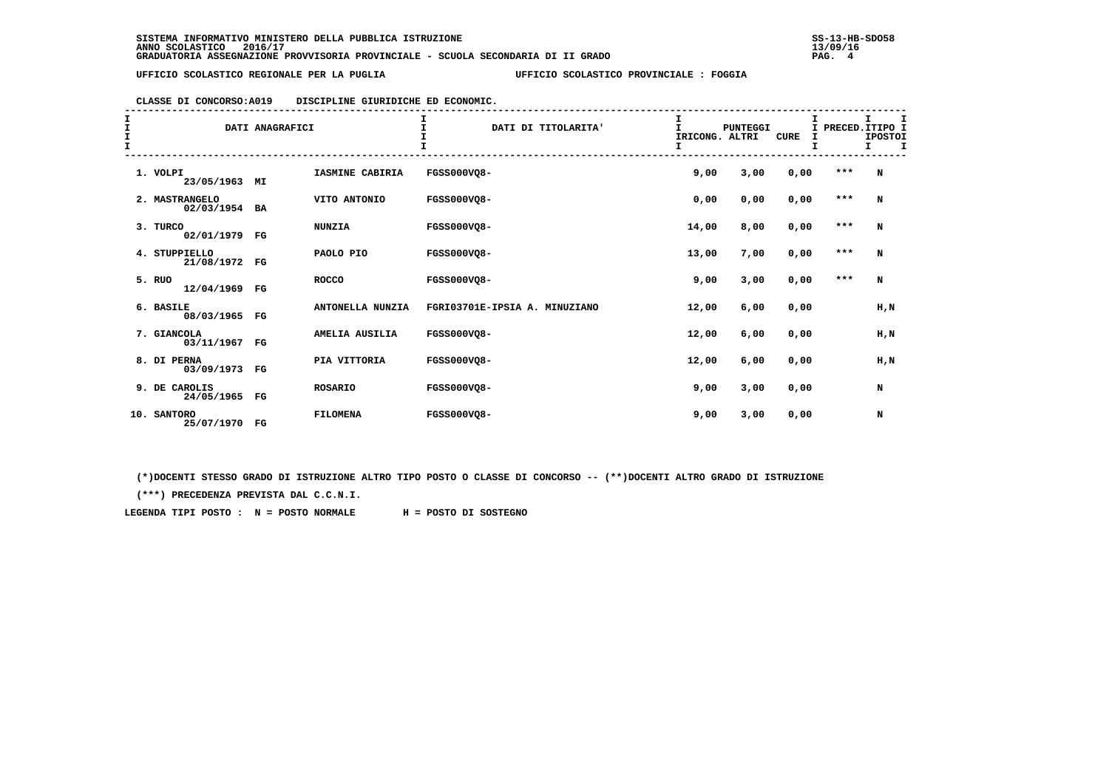| CLASSE DI CONCORSO: A019 | DISCIPLINE GIURIDICHE ED ECONOMIC. |  |  |
|--------------------------|------------------------------------|--|--|
|                          |                                    |  |  |

| I<br>$\frac{1}{1}$ |     |                              | DATI ANAGRAFICI |                  | $\mathbf T$<br>DATI DI TITOLARITA' | I<br>$\mathbf{I}$<br>IRICONG. ALTRI<br>I | <b>PUNTEGGI</b> | CURE | PRECED. ITIPO I | I.<br><b>IPOSTOI</b><br>I. | I<br>I |
|--------------------|-----|------------------------------|-----------------|------------------|------------------------------------|------------------------------------------|-----------------|------|-----------------|----------------------------|--------|
|                    |     | 1. VOLPI<br>23/05/1963 MI    |                 | IASMINE CABIRIA  | FGSS000VQ8-                        | 9,00                                     | 3,00            | 0,00 | $***$           | N                          |        |
|                    |     | 2. MASTRANGELO<br>02/03/1954 | BA              | VITO ANTONIO     | <b>FGSS000VO8-</b>                 | 0,00                                     | 0,00            | 0,00 | $* * *$         | N                          |        |
|                    |     | 3. TURCO<br>02/01/1979 FG    |                 | <b>NUNZIA</b>    | FGSS000VQ8-                        | 14,00                                    | 8,00            | 0,00 | $* * *$         | N                          |        |
|                    |     | 4. STUPPIELLO<br>21/08/1972  | $_{\rm FG}$     | PAOLO PIO        | FGSS000VQ8-                        | 13,00                                    | 7,00            | 0,00 | $* * *$         | N                          |        |
|                    |     | 5. RUO<br>12/04/1969         | $_{\rm FG}$     | <b>ROCCO</b>     | <b>FGSS000VO8-</b>                 | 9,00                                     | 3,00            | 0,00 | $* * *$         | N                          |        |
|                    |     | 6. BASILE<br>08/03/1965      | $_{\rm FG}$     | ANTONELLA NUNZIA | FGRI03701E-IPSIA A. MINUZIANO      | 12,00                                    | 6,00            | 0,00 |                 | H, N                       |        |
|                    |     | 7. GIANCOLA<br>03/11/1967    | $_{\rm FG}$     | AMELIA AUSILIA   | <b>FGSS000VQ8-</b>                 | 12,00                                    | 6,00            | 0,00 |                 | H, N                       |        |
|                    |     | 8. DI PERNA<br>03/09/1973    | FG              | PIA VITTORIA     | <b>FGSS000VO8-</b>                 | 12,00                                    | 6,00            | 0,00 |                 | H, N                       |        |
|                    |     | 9. DE CAROLIS<br>24/05/1965  | FG              | <b>ROSARIO</b>   | FGSS000VO8-                        | 9,00                                     | 3,00            | 0,00 |                 | N                          |        |
|                    | 10. | <b>SANTORO</b><br>25/07/1970 | $_{\rm FG}$     | <b>FILOMENA</b>  | FGSS000VQ8-                        | 9,00                                     | 3,00            | 0,00 |                 | N                          |        |

 **(\*)DOCENTI STESSO GRADO DI ISTRUZIONE ALTRO TIPO POSTO O CLASSE DI CONCORSO -- (\*\*)DOCENTI ALTRO GRADO DI ISTRUZIONE**

 **(\*\*\*) PRECEDENZA PREVISTA DAL C.C.N.I.**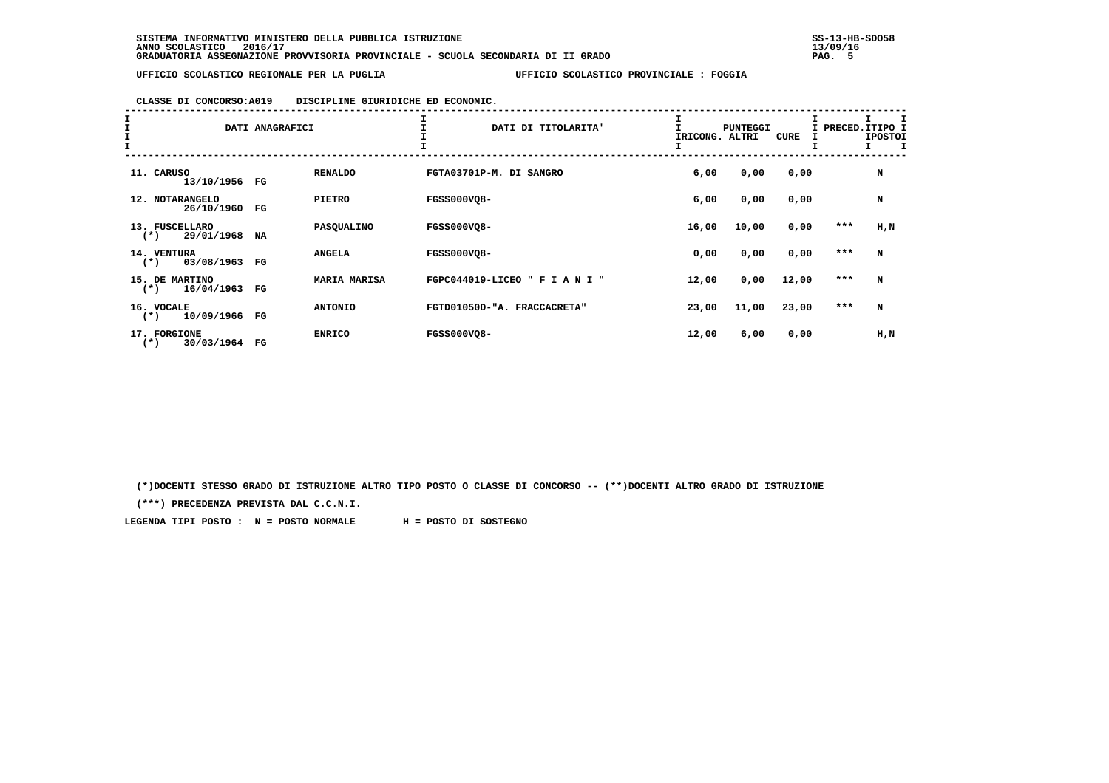|  |  | CLASSE DI CONCORSO: A019 | DISCIPLINE GIURIDICHE ED ECONOMIC. |  |  |  |
|--|--|--------------------------|------------------------------------|--|--|--|
|--|--|--------------------------|------------------------------------|--|--|--|

| $\frac{1}{1}$ |                                       | DATI ANAGRAFICI |                | DATI DI TITOLARITA'            | IRICONG. | <b>PUNTEGGI</b><br>ALTRI | CURE  | I PRECED.ITIPO I<br>Ι. | <b>IPOSTOI</b><br>I. |
|---------------|---------------------------------------|-----------------|----------------|--------------------------------|----------|--------------------------|-------|------------------------|----------------------|
|               | 11. CARUSO<br>13/10/1956              | FG              | <b>RENALDO</b> | FGTA03701P-M. DI SANGRO        | 6,00     | 0,00                     | 0,00  |                        | N                    |
|               | 12. NOTARANGELO<br>26/10/1960         | FG              | <b>PIETRO</b>  | <b>FGSS000VO8-</b>             | 6,00     | 0,00                     | 0,00  |                        | N                    |
|               | 13. FUSCELLARO<br>29/01/1968<br>$(*)$ | NA              | PASQUALINO     | <b>FGSS000VQ8-</b>             | 16,00    | 10,00                    | 0,00  | $***$                  | H, N                 |
|               | 14. VENTURA<br>03/08/1963<br>$(* )$   | FG              | <b>ANGELA</b>  | <b>FGSS000VO8-</b>             | 0,00     | 0,00                     | 0,00  | $***$                  | N                    |
|               | 15. DE MARTINO<br>16/04/1963<br>$(*)$ | $_{\rm FG}$     | MARIA MARISA   | FGPC044019-LICEO " F I A N I " | 12,00    | 0,00                     | 12,00 | ***                    | N                    |
|               | 16. VOCALE<br>10/09/1966<br>$(*)$     | FG              | <b>ANTONIO</b> | FGTD01050D-"A. FRACCACRETA"    | 23,00    | 11,00                    | 23,00 | ***                    | N                    |
|               | 17. FORGIONE<br>30/03/1964<br>$(*)$   | FG              | <b>ENRICO</b>  | FGSS000VQ8-                    | 12,00    | 6,00                     | 0,00  |                        | H, N                 |

 **(\*)DOCENTI STESSO GRADO DI ISTRUZIONE ALTRO TIPO POSTO O CLASSE DI CONCORSO -- (\*\*)DOCENTI ALTRO GRADO DI ISTRUZIONE**

 **(\*\*\*) PRECEDENZA PREVISTA DAL C.C.N.I.**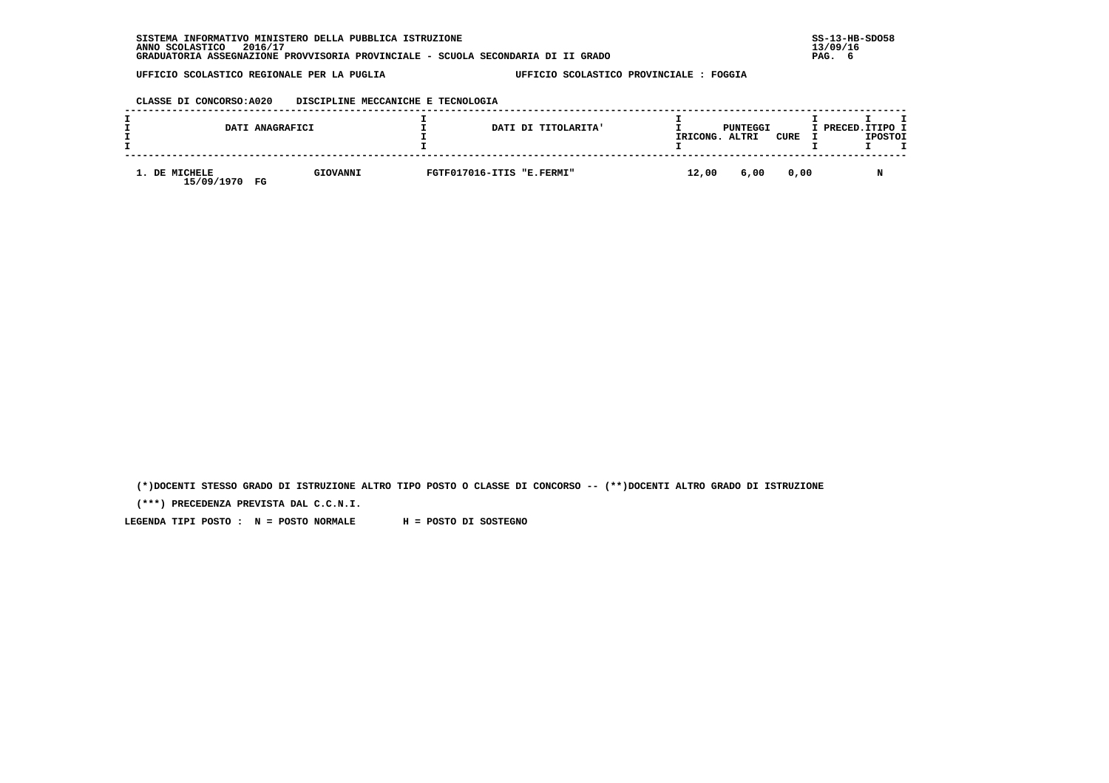| CLASSE DI CONCORSO:A020 |  | DISCIPLINE MECCANICHE E TECNOLOGIA |
|-------------------------|--|------------------------------------|
|                         |  |                                    |

| DATI ANAGRAFICI                   |          |                           | DATI DI TITOLARITA' | IRICONG. | PUNTEGGI<br>ALTRI | CURE | I PRECED.ITIPO I | <b>IPOSTOI</b> |  |
|-----------------------------------|----------|---------------------------|---------------------|----------|-------------------|------|------------------|----------------|--|
| 1. DE MICHELE<br>15/09/1970<br>FG | GIOVANNI | FGTF017016-ITIS "E.FERMI" |                     | 12,00    | 6,00              | 0.00 |                  |                |  |

 **(\*)DOCENTI STESSO GRADO DI ISTRUZIONE ALTRO TIPO POSTO O CLASSE DI CONCORSO -- (\*\*)DOCENTI ALTRO GRADO DI ISTRUZIONE**

 **(\*\*\*) PRECEDENZA PREVISTA DAL C.C.N.I.**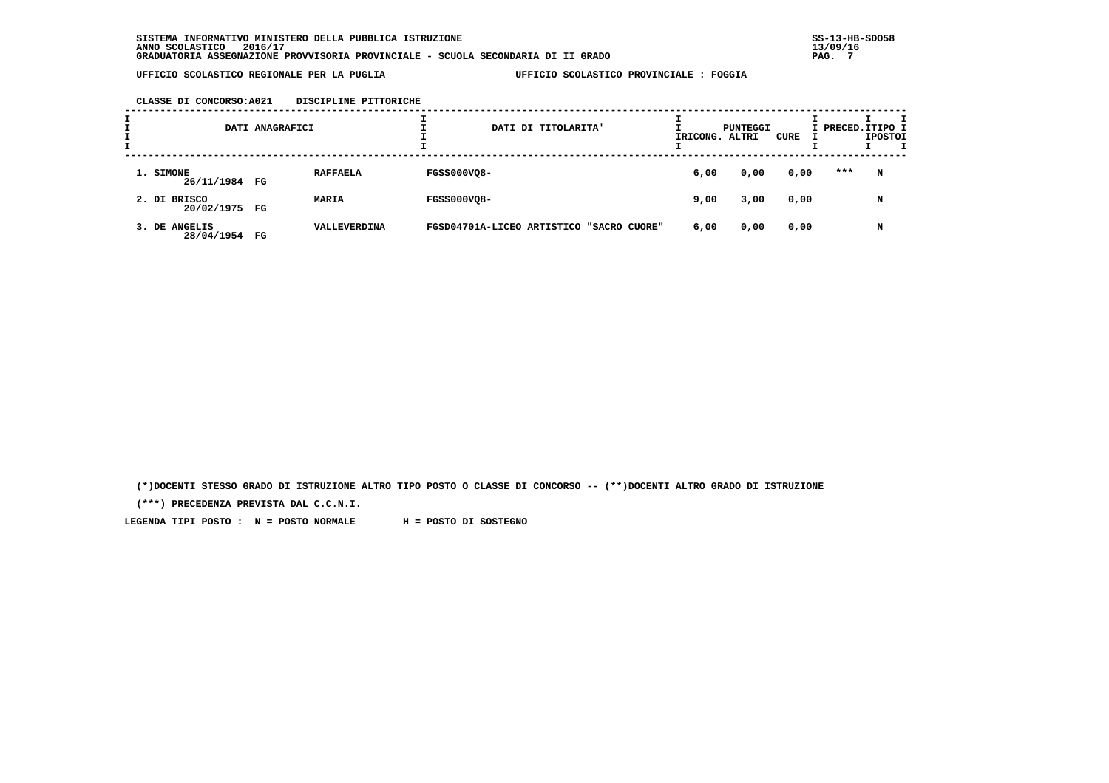**CLASSE DI CONCORSO:A021 DISCIPLINE PITTORICHE**

| I<br>÷. |                                | DATI ANAGRAFICI |                 |                    | DATI DI TITOLARITA'                      | IRICONG. ALTRI | PUNTEGGI | CURE | I PRECED. ITIPO I | <b>IPOSTOI</b> | т |
|---------|--------------------------------|-----------------|-----------------|--------------------|------------------------------------------|----------------|----------|------|-------------------|----------------|---|
|         | 1. SIMONE<br>26/11/1984 FG     |                 | <b>RAFFAELA</b> | <b>FGSS000VQ8-</b> |                                          | 6,00           | 0,00     | 0,00 | ***               | N              |   |
|         | 2. DI BRISCO<br>20/02/1975 FG  |                 | <b>MARIA</b>    | <b>FGSS000VQ8-</b> |                                          | 9,00           | 3,00     | 0,00 |                   | N              |   |
|         | 3. DE ANGELIS<br>28/04/1954 FG |                 | VALLEVERDINA    |                    | FGSD04701A-LICEO ARTISTICO "SACRO CUORE" | 6,00           | 0,00     | 0,00 |                   | N              |   |

 **(\*)DOCENTI STESSO GRADO DI ISTRUZIONE ALTRO TIPO POSTO O CLASSE DI CONCORSO -- (\*\*)DOCENTI ALTRO GRADO DI ISTRUZIONE**

 **(\*\*\*) PRECEDENZA PREVISTA DAL C.C.N.I.**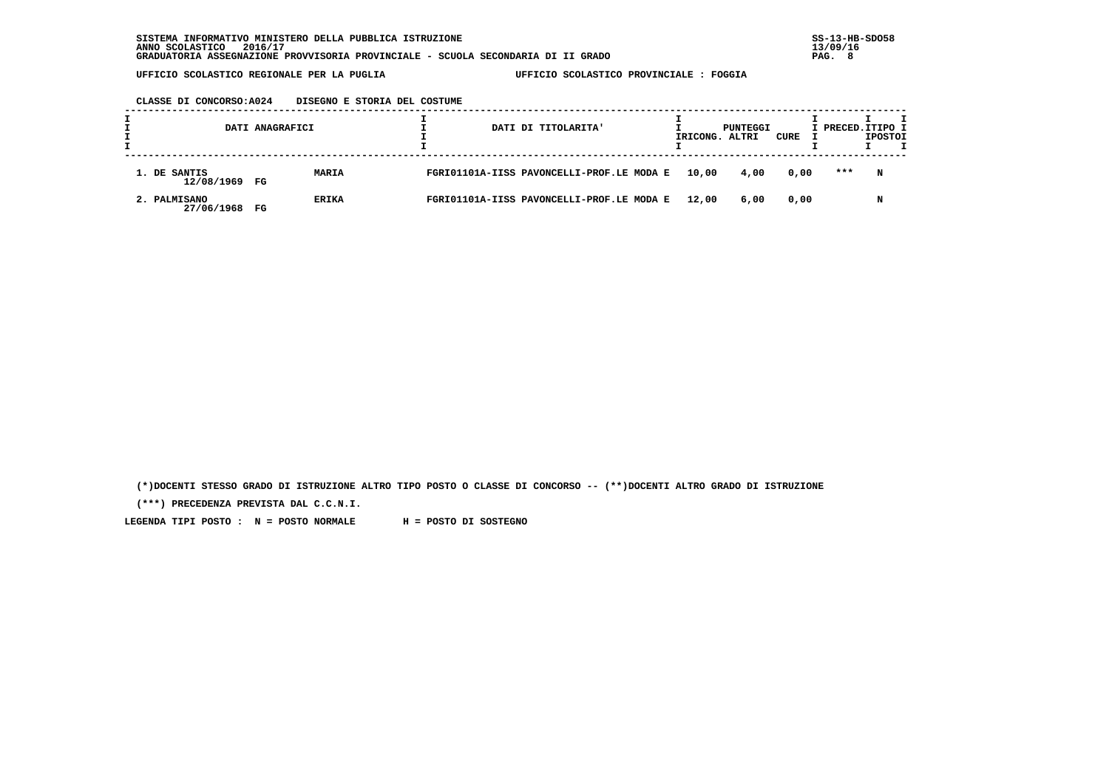| CLASSE DI CONCORSO: A024 | DISEGNO E STORIA DEL COSTUME |  |  |
|--------------------------|------------------------------|--|--|
|                          |                              |  |  |

|                               | DATI ANAGRAFICI             | DATI DI TITOLARITA'                       |       | PUNTEGGI<br>IRICONG. ALTRI | CURE | I PRECED. ITIPO I<br><b>IPOSTOI</b> |
|-------------------------------|-----------------------------|-------------------------------------------|-------|----------------------------|------|-------------------------------------|
| 1. DE SANTIS<br>12/08/1969 FG | <b>MARIA</b>                | FGRI01101A-IISS PAVONCELLI-PROF.LE MODA E | 10,00 | 4,00                       | 0,00 | ***<br>N                            |
| 2. PALMISANO<br>27/06/1968    | <b>ERIKA</b><br>$_{\rm FG}$ | FGRI01101A-IISS PAVONCELLI-PROF.LE MODA E | 12,00 | 6,00                       | 0,00 | N                                   |

 **(\*)DOCENTI STESSO GRADO DI ISTRUZIONE ALTRO TIPO POSTO O CLASSE DI CONCORSO -- (\*\*)DOCENTI ALTRO GRADO DI ISTRUZIONE**

 **(\*\*\*) PRECEDENZA PREVISTA DAL C.C.N.I.**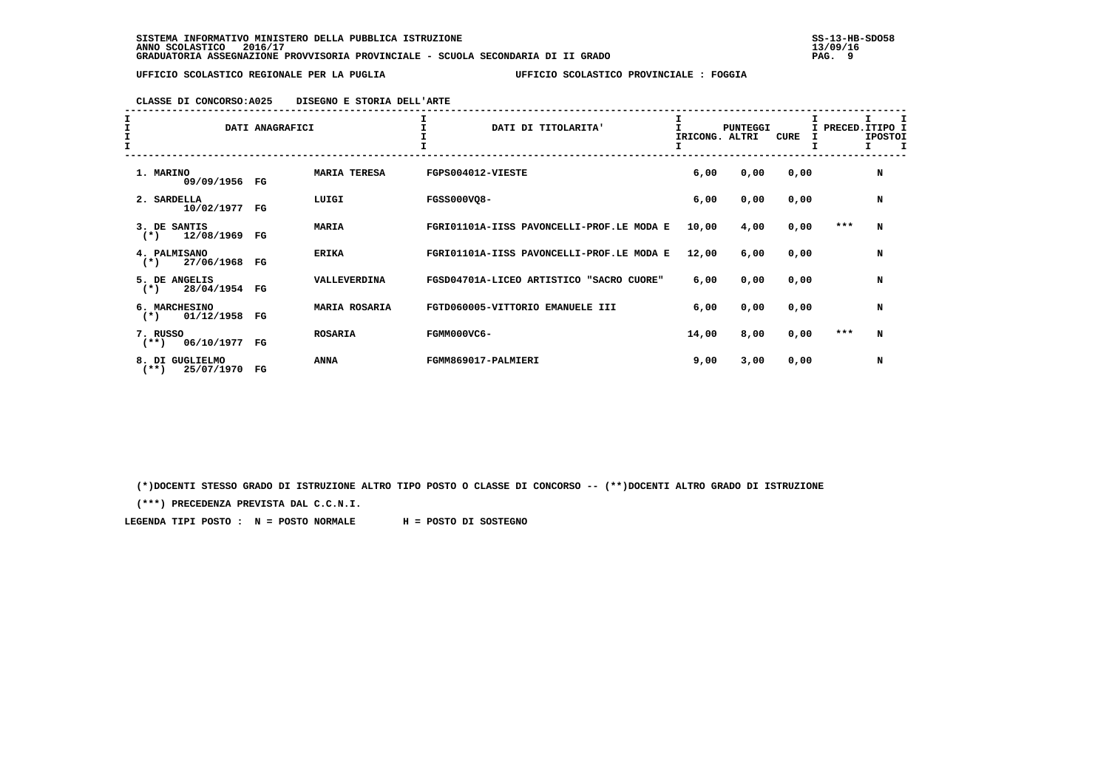## **CLASSE DI CONCORSO:A025 DISEGNO E STORIA DELL'ARTE**

| I<br>$\mathbf{I}$ |                                          | DATI ANAGRAFICI |                     | DATI DI TITOLARITA'                       | IRICONG. ALTRI | <b>PUNTEGGI</b> | CURE | I PRECED.ITIPO I<br>I | <b>IPOSTOI</b><br>Τ. |
|-------------------|------------------------------------------|-----------------|---------------------|-------------------------------------------|----------------|-----------------|------|-----------------------|----------------------|
|                   | 1. MARINO<br>09/09/1956 FG               |                 | <b>MARIA TERESA</b> | FGPS004012-VIESTE                         | 6,00           | 0,00            | 0,00 |                       | N                    |
|                   | 2. SARDELLA<br>10/02/1977 FG             |                 | LUIGI               | <b>FGSS000VQ8-</b>                        | 6,00           | 0,00            | 0,00 |                       | N                    |
|                   | 3. DE SANTIS<br>12/08/1969<br>$(*)$      | FG              | <b>MARIA</b>        | FGRI01101A-IISS PAVONCELLI-PROF.LE MODA E | 10,00          | 4,00            | 0,00 | ***                   | N                    |
|                   | 4. PALMISANO<br>27/06/1968<br>$(*)$      | FG              | <b>ERIKA</b>        | FGRI01101A-IISS PAVONCELLI-PROF.LE MODA E | 12,00          | 6,00            | 0,00 |                       | N                    |
|                   | 5. DE ANGELIS<br>28/04/1954<br>$(*)$     | FG              | VALLEVERDINA        | FGSD04701A-LICEO ARTISTICO "SACRO CUORE"  | 6,00           | 0,00            | 0,00 |                       | N                    |
|                   | 6. MARCHESINO<br>01/12/1958<br>$(*)$     | FG              | MARIA ROSARIA       | FGTD060005-VITTORIO EMANUELE III          | 6,00           | 0,00            | 0,00 |                       | N                    |
|                   | 7. RUSSO<br>06/10/1977<br>$(**)$         | FG              | <b>ROSARIA</b>      | FGMM000VC6-                               | 14,00          | 8,00            | 0,00 | ***                   | N                    |
|                   | 8. DI GUGLIELMO<br>25/07/1970<br>$***$ ) | $_{\rm FG}$     | <b>ANNA</b>         | FGMM869017-PALMIERI                       | 9,00           | 3,00            | 0,00 |                       | N                    |

 **(\*)DOCENTI STESSO GRADO DI ISTRUZIONE ALTRO TIPO POSTO O CLASSE DI CONCORSO -- (\*\*)DOCENTI ALTRO GRADO DI ISTRUZIONE**

 **(\*\*\*) PRECEDENZA PREVISTA DAL C.C.N.I.**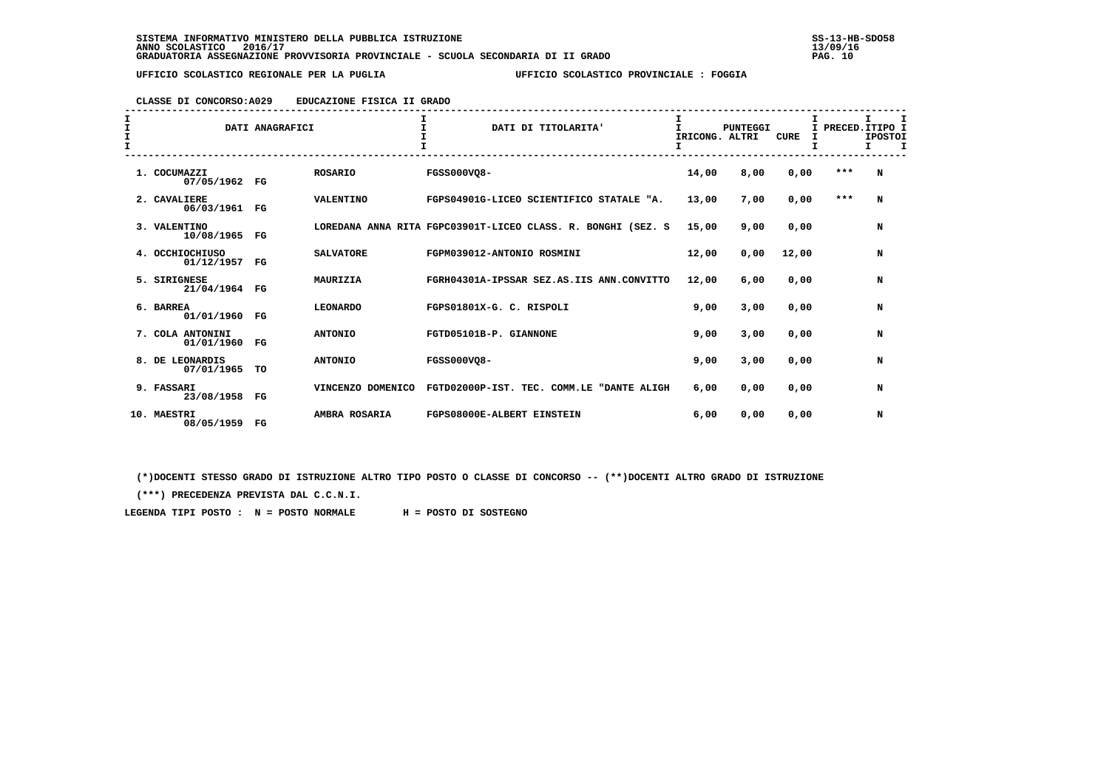### **CLASSE DI CONCORSO:A029 EDUCAZIONE FISICA II GRADO**

| I<br>I<br>$\frac{1}{1}$ |                                | DATI ANAGRAFICI |                   | $\mathbf{r}$<br>DATI DI TITOLARITA'                          | $\mathbf{I}$<br>IRICONG. ALTRI | <b>PUNTEGGI</b> | <b>CURE</b><br>I | I PRECED. ITIPO I | т<br><b>IPOSTOI</b><br>I. |  |
|-------------------------|--------------------------------|-----------------|-------------------|--------------------------------------------------------------|--------------------------------|-----------------|------------------|-------------------|---------------------------|--|
|                         | 1. COCUMAZZI<br>07/05/1962     | $_{\rm FG}$     | <b>ROSARIO</b>    | FGSS000VO8-                                                  | 14,00                          | 8,00            | 0,00             | ***               | N                         |  |
|                         | 2. CAVALIERE<br>06/03/1961     | $_{\rm FG}$     | VALENTINO         | FGPS04901G-LICEO SCIENTIFICO STATALE "A.                     | 13,00                          | 7,00            | 0,00             | ***               | N                         |  |
|                         | 3. VALENTINO<br>10/08/1965     | $_{\rm FG}$     |                   | LOREDANA ANNA RITA FGPC03901T-LICEO CLASS. R. BONGHI (SEZ. S | 15,00                          | 9,00            | 0,00             |                   | N                         |  |
|                         | 4. OCCHIOCHIUSO<br>01/12/1957  | $_{\rm FG}$     | <b>SALVATORE</b>  | FGPM039012-ANTONIO ROSMINI                                   | 12,00                          | 0,00            | 12,00            |                   | N                         |  |
|                         | 5. SIRIGNESE<br>21/04/1964     | FG              | MAURIZIA          | FGRH04301A-IPSSAR SEZ.AS.IIS ANN.CONVITTO                    | 12,00                          | 6,00            | 0,00             |                   | N                         |  |
|                         | 6. BARREA<br>01/01/1960        | $_{\rm FG}$     | <b>LEONARDO</b>   | FGPS01801X-G. C. RISPOLI                                     | 9,00                           | 3,00            | 0.00             |                   | N                         |  |
|                         | 7. COLA ANTONINI<br>01/01/1960 | $_{\rm FG}$     | <b>ANTONIO</b>    | FGTD05101B-P. GIANNONE                                       | 9,00                           | 3,00            | 0,00             |                   | N                         |  |
|                         | 8. DE LEONARDIS<br>07/01/1965  | TO              | <b>ANTONIO</b>    | FGSS000VO8-                                                  | 9,00                           | 3,00            | 0,00             |                   | N                         |  |
|                         | 9. FASSARI<br>23/08/1958       | FG              | VINCENZO DOMENICO | FGTD02000P-IST. TEC. COMM.LE "DANTE ALIGH                    | 6,00                           | 0,00            | 0,00             |                   | N                         |  |
|                         | 10. MAESTRI<br>08/05/1959      | FG              | AMBRA ROSARIA     | FGPS08000E-ALBERT EINSTEIN                                   | 6,00                           | 0,00            | 0,00             |                   | N                         |  |

 **(\*)DOCENTI STESSO GRADO DI ISTRUZIONE ALTRO TIPO POSTO O CLASSE DI CONCORSO -- (\*\*)DOCENTI ALTRO GRADO DI ISTRUZIONE**

 **(\*\*\*) PRECEDENZA PREVISTA DAL C.C.N.I.**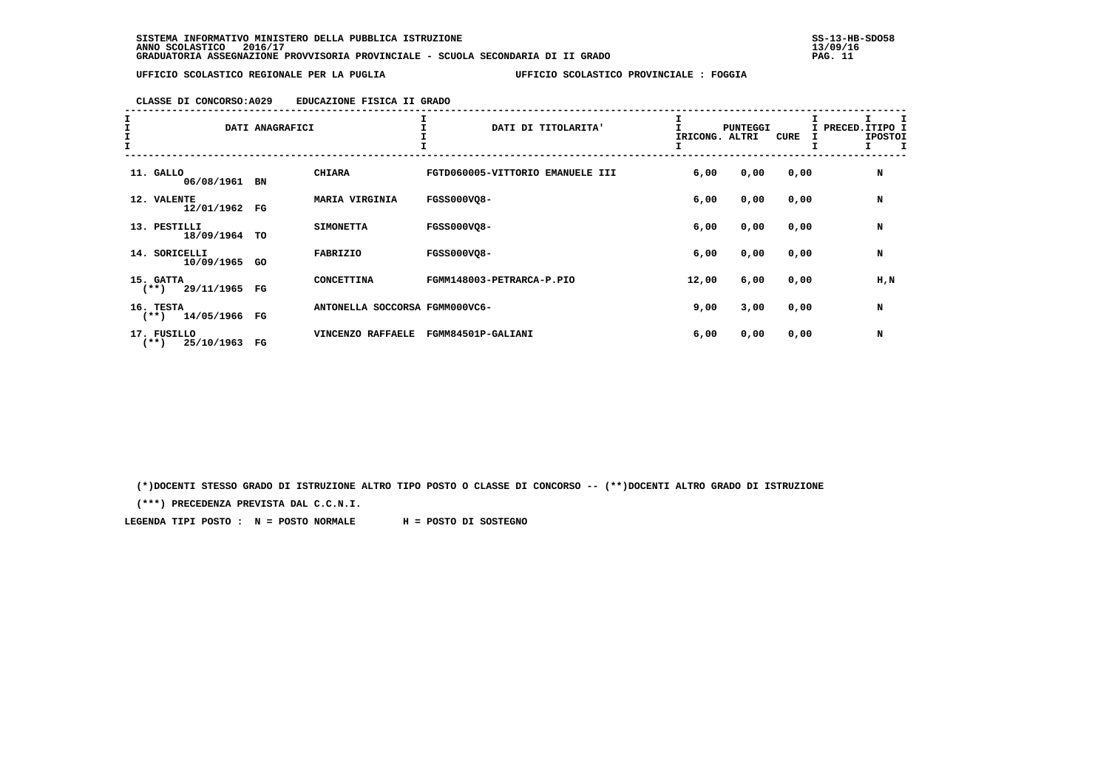| CLASSE DI CONCORSO: A029 | EDUCAZIONE FISICA II GRADO |  |  |
|--------------------------|----------------------------|--|--|
|                          |                            |  |  |

| エエエエ |                                     | DATI ANAGRAFICI |                                | DATI DI TITOLARITA'              | T<br>IRICONG. ALTRI | <b>PUNTEGGI</b> | CURE | I PRECED. ITIPO I<br><b>IPOSTOI</b><br>$\mathbf{I}$<br>$\mathbf{I}$ |
|------|-------------------------------------|-----------------|--------------------------------|----------------------------------|---------------------|-----------------|------|---------------------------------------------------------------------|
|      | 11. GALLO<br>06/08/1961 BN          |                 | <b>CHIARA</b>                  | FGTD060005-VITTORIO EMANUELE III | 6,00                | 0,00            | 0,00 | N                                                                   |
|      | 12. VALENTE<br>12/01/1962 FG        |                 | MARIA VIRGINIA                 | <b>FGSS000VQ8-</b>               | 6,00                | 0,00            | 0,00 | N                                                                   |
|      | 13. PESTILLI<br>18/09/1964 TO       |                 | <b>SIMONETTA</b>               | <b>FGSS000VO8-</b>               | 6,00                | 0,00            | 0,00 | N                                                                   |
|      | 14. SORICELLI<br>10/09/1965 GO      |                 | FABRIZIO                       | <b>FGSS000VQ8-</b>               | 6,00                | 0,00            | 0,00 | N                                                                   |
|      | 15. GATTA<br>29/11/1965<br>$(**)$   | FG              | CONCETTINA                     | FGMM148003-PETRARCA-P.PIO        | 12,00               | 6,00            | 0,00 | H,N                                                                 |
|      | 16. TESTA<br>14/05/1966<br>$(**)$   | FG              | ANTONELLA SOCCORSA FGMM000VC6- |                                  | 9,00                | 3,00            | 0,00 | N                                                                   |
|      | 17. FUSILLO<br>25/10/1963<br>$(**)$ | FG              | VINCENZO RAFFAELE              | FGMM84501P-GALIANI               | 6,00                | 0,00            | 0,00 | N                                                                   |

 **(\*)DOCENTI STESSO GRADO DI ISTRUZIONE ALTRO TIPO POSTO O CLASSE DI CONCORSO -- (\*\*)DOCENTI ALTRO GRADO DI ISTRUZIONE**

 **(\*\*\*) PRECEDENZA PREVISTA DAL C.C.N.I.**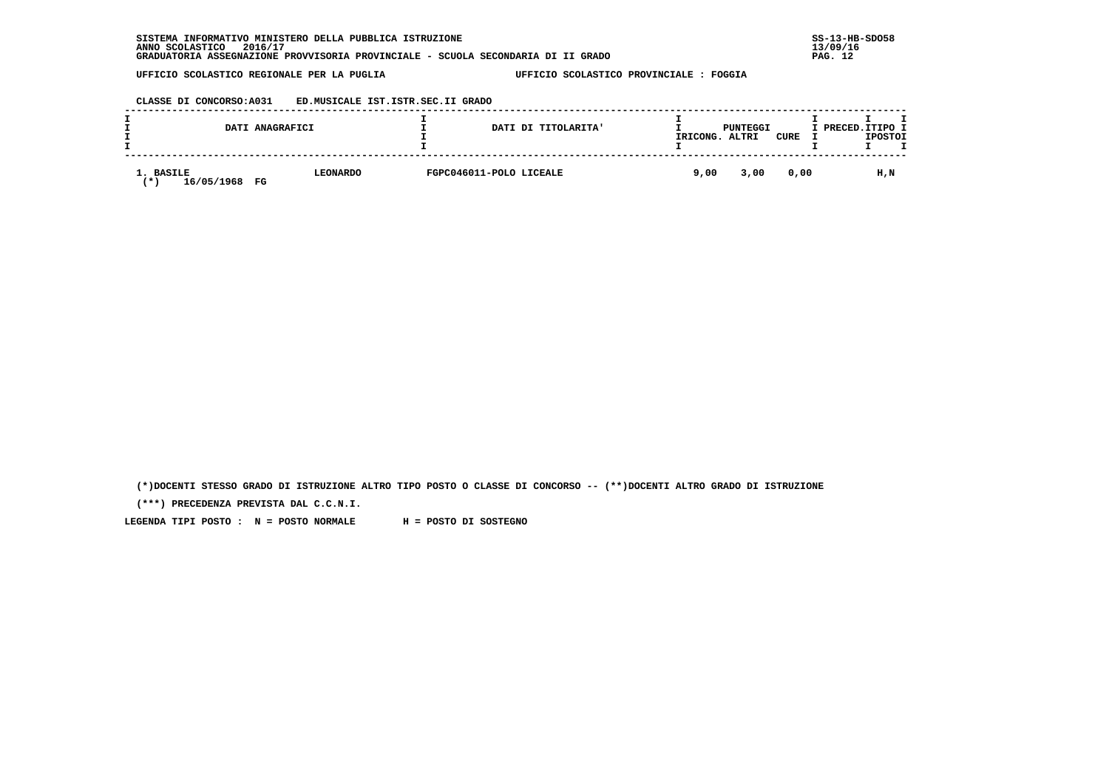## **CLASSE DI CONCORSO:A031 ED.MUSICALE IST.ISTR.SEC.II GRADO**

|                                | DATI ANAGRAFICI       | DATI DI TITOLARITA'     | IRICONG. | PUNTEGGI<br>ALTRI | CURE | I PRECED.ITIPO I | <b>IPOSTOI</b> |  |
|--------------------------------|-----------------------|-------------------------|----------|-------------------|------|------------------|----------------|--|
| 1. BASILE<br>16/05/1968<br>. ж | <b>LEONARDO</b><br>FG | FGPC046011-POLO LICEALE | 9,00     | 3,00              | 0,00 |                  | H,N            |  |

 **(\*)DOCENTI STESSO GRADO DI ISTRUZIONE ALTRO TIPO POSTO O CLASSE DI CONCORSO -- (\*\*)DOCENTI ALTRO GRADO DI ISTRUZIONE**

 **(\*\*\*) PRECEDENZA PREVISTA DAL C.C.N.I.**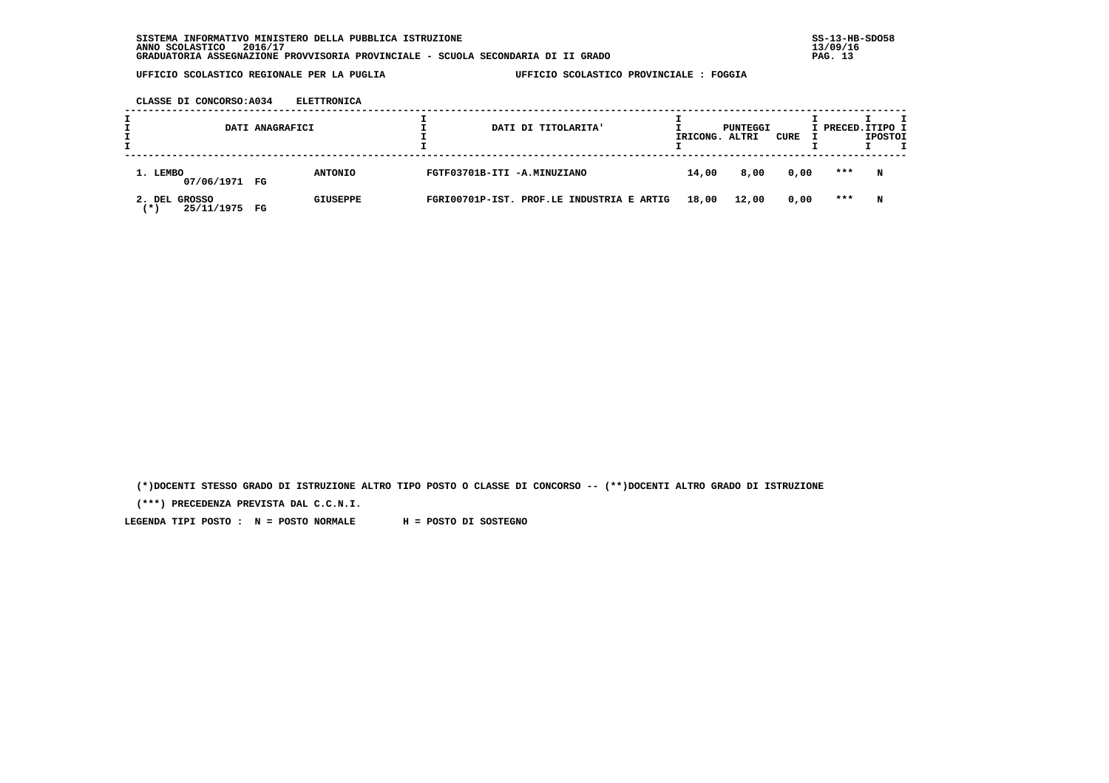**CLASSE DI CONCORSO:A034 ELETTRONICA**

|                                        | DATI ANAGRAFICI |                 |                             | DATI DI TITOLARITA'                       | IRICONG. ALTRI | PUNTEGGI | CURE | I PRECED.ITIPO I | <b>IPOSTOI</b> |
|----------------------------------------|-----------------|-----------------|-----------------------------|-------------------------------------------|----------------|----------|------|------------------|----------------|
| 1. LEMBO<br>07/06/1971 FG              |                 | <b>ANTONIO</b>  | FGTF03701B-ITI -A.MINUZIANO |                                           | 14,00          | 8,00     | 0,00 | ***              | N              |
| GROSSO<br>2. DEL<br>25/11/1975<br>(* ) | $_{\rm FG}$     | <b>GIUSEPPE</b> |                             | FGRI00701P-IST. PROF.LE INDUSTRIA E ARTIG | 18,00          | 12,00    | 0,00 | ***              | N              |

 **(\*)DOCENTI STESSO GRADO DI ISTRUZIONE ALTRO TIPO POSTO O CLASSE DI CONCORSO -- (\*\*)DOCENTI ALTRO GRADO DI ISTRUZIONE**

 **(\*\*\*) PRECEDENZA PREVISTA DAL C.C.N.I.**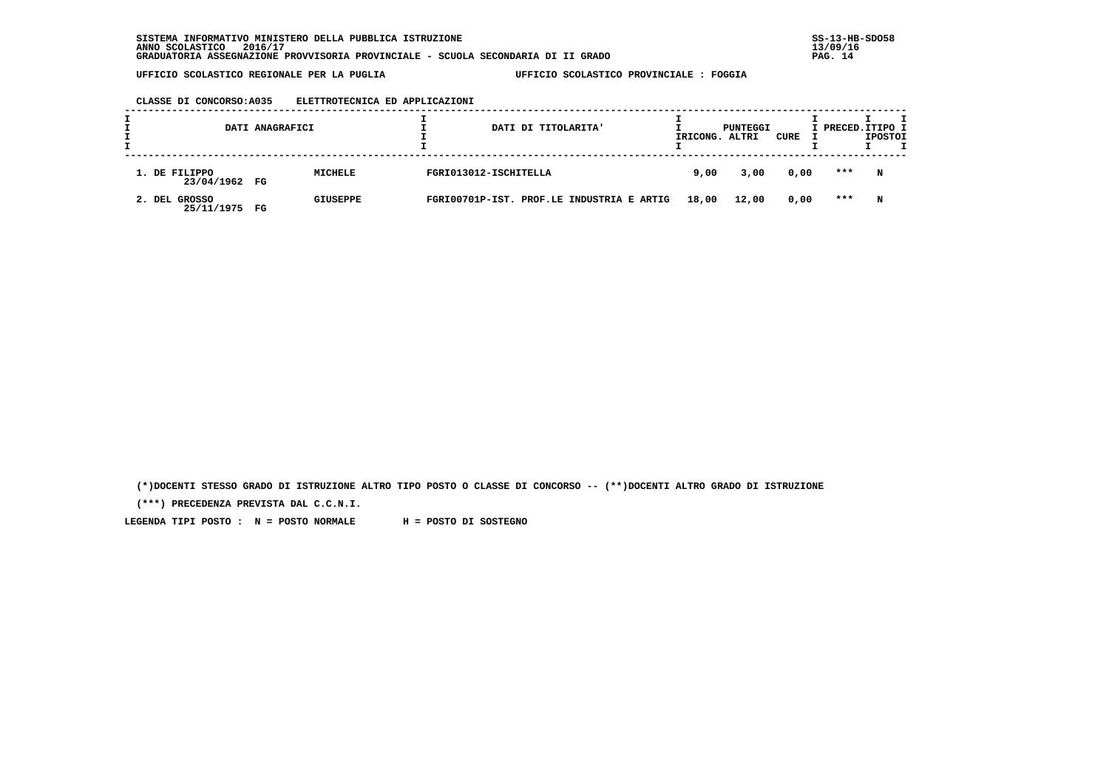### **CLASSE DI CONCORSO:A035 ELETTROTECNICA ED APPLICAZIONI**

| <b>.</b> |                                | DATI ANAGRAFICI |                 |                       | DATI DI TITOLARITA'                       | IRICONG. | PUNTEGGI<br>ALTRI | CURE | I PRECED. ITIPO I | <b>IPOSTOI</b> |  |
|----------|--------------------------------|-----------------|-----------------|-----------------------|-------------------------------------------|----------|-------------------|------|-------------------|----------------|--|
|          | 1. DE FILIPPO<br>23/04/1962 FG |                 | MICHELE         | FGRI013012-ISCHITELLA |                                           | 9,00     | 3,00              | 0,00 | ***               | N              |  |
|          | 2. DEL GROSSO<br>25/11/1975    | FG              | <b>GIUSEPPE</b> |                       | FGRI00701P-IST. PROF.LE INDUSTRIA E ARTIG | 18,00    | 12,00             | 0,00 | ***               | N              |  |

 **(\*)DOCENTI STESSO GRADO DI ISTRUZIONE ALTRO TIPO POSTO O CLASSE DI CONCORSO -- (\*\*)DOCENTI ALTRO GRADO DI ISTRUZIONE**

 **(\*\*\*) PRECEDENZA PREVISTA DAL C.C.N.I.**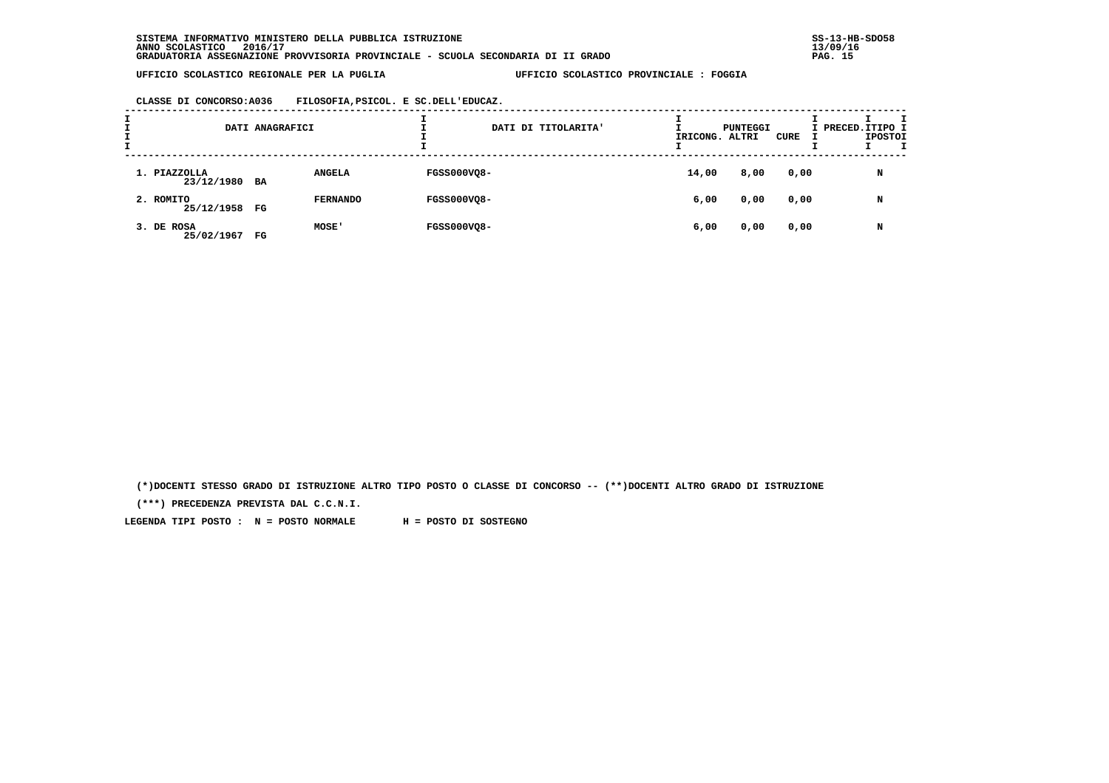**CLASSE DI CONCORSO:A036 FILOSOFIA,PSICOL. E SC.DELL'EDUCAZ.**

| <b>L</b><br><b>.</b> |                               | DATI ANAGRAFICI |                 |                    | DATI DI TITOLARITA' | IRICONG. ALTRI | PUNTEGGI | CURE | I PRECED. ITIPO I | <b>IPOSTOI</b> |  |
|----------------------|-------------------------------|-----------------|-----------------|--------------------|---------------------|----------------|----------|------|-------------------|----------------|--|
|                      | 1. PIAZZOLLA<br>23/12/1980 BA |                 | <b>ANGELA</b>   | <b>FGSS000VQ8-</b> |                     | 14,00          | 8,00     | 0,00 |                   | N              |  |
|                      | 2. ROMITO<br>25/12/1958 FG    |                 | <b>FERNANDO</b> | <b>FGSS000VQ8-</b> |                     | 6,00           | 0,00     | 0,00 |                   | N              |  |
|                      | 3. DE ROSA<br>25/02/1967      | FG              | MOSE'           | <b>FGSS000VQ8-</b> |                     | 6,00           | 0,00     | 0,00 |                   | N              |  |

 **(\*)DOCENTI STESSO GRADO DI ISTRUZIONE ALTRO TIPO POSTO O CLASSE DI CONCORSO -- (\*\*)DOCENTI ALTRO GRADO DI ISTRUZIONE**

 **(\*\*\*) PRECEDENZA PREVISTA DAL C.C.N.I.**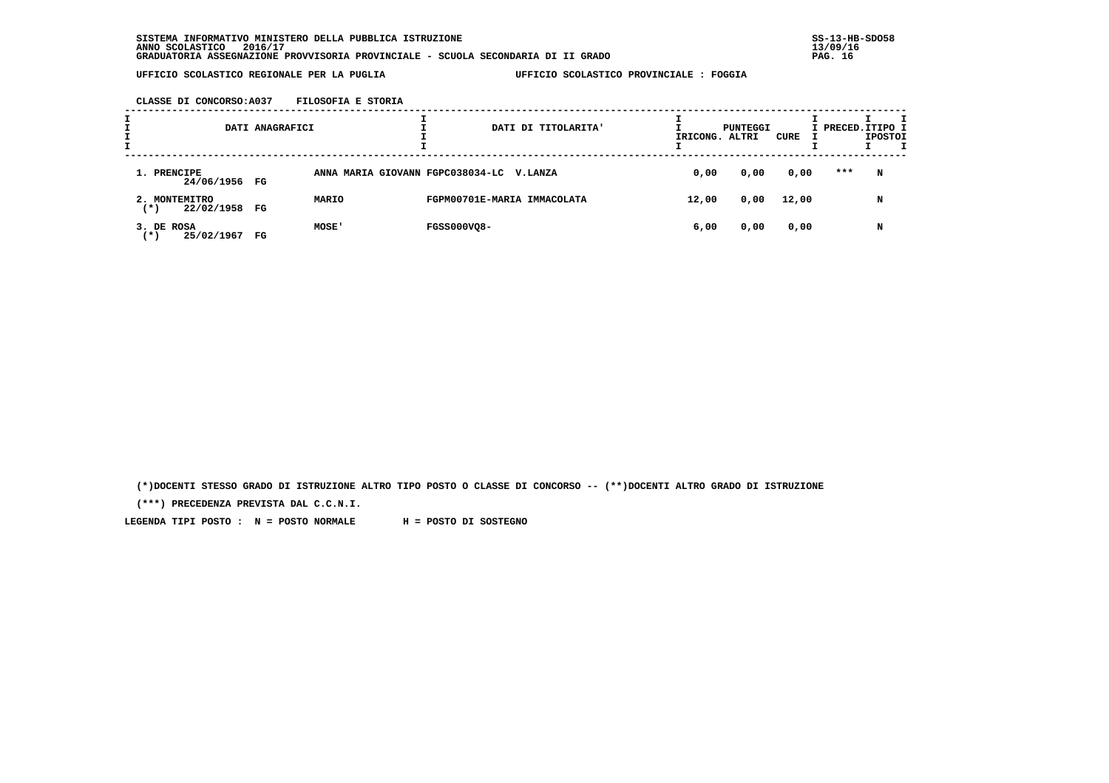**CLASSE DI CONCORSO:A037 FILOSOFIA E STORIA**

| I<br>I | DATI ANAGRAFICI                          |                                          |                             | DATI DI TITOLARITA' | IRICONG. ALTRI | PUNTEGGI | CURE  | I PRECED. ITIPO I | <b>IPOSTOI</b> | т |
|--------|------------------------------------------|------------------------------------------|-----------------------------|---------------------|----------------|----------|-------|-------------------|----------------|---|
|        | 1. PRENCIPE<br>24/06/1956 FG             | ANNA MARIA GIOVANN FGPC038034-LC V.LANZA |                             |                     | 0,00           | 0,00     | 0,00  | ***               | N              |   |
|        | 2. MONTEMITRO<br>22/02/1958<br>FG<br>(*) | MARIO                                    | FGPM00701E-MARIA IMMACOLATA |                     | 12,00          | 0,00     | 12,00 |                   | N              |   |
|        | 3. DE ROSA<br>25/02/1967<br>( * )<br>FG  | MOSE'                                    | <b>FGSS000VQ8-</b>          |                     | 6,00           | 0,00     | 0,00  |                   | N              |   |

 **(\*)DOCENTI STESSO GRADO DI ISTRUZIONE ALTRO TIPO POSTO O CLASSE DI CONCORSO -- (\*\*)DOCENTI ALTRO GRADO DI ISTRUZIONE**

 **(\*\*\*) PRECEDENZA PREVISTA DAL C.C.N.I.**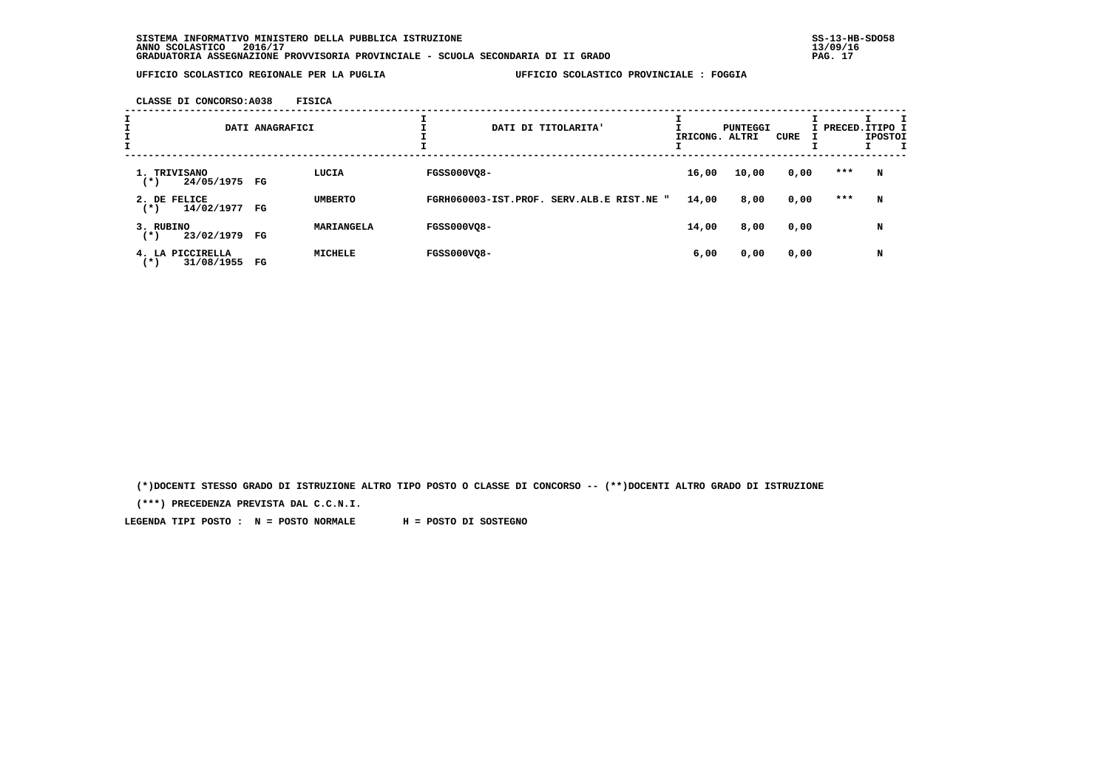**CLASSE DI CONCORSO:A038 FISICA**

| I |                                               | DATI ANAGRAFICI |                |                    | DATI DI TITOLARITA'                       | IRICONG. ALTRI | <b>PUNTEGGI</b> | CURE | I PRECED. ITIPO I | <b>IPOSTOI</b> | I |
|---|-----------------------------------------------|-----------------|----------------|--------------------|-------------------------------------------|----------------|-----------------|------|-------------------|----------------|---|
|   | 1. TRIVISANO<br>24/05/1975 FG<br>$(*)$        |                 | LUCIA          | <b>FGSS000VO8-</b> |                                           | 16,00          | 10,00           | 0,00 | ***               | N              |   |
|   | 2. DE FELICE<br>14/02/1977<br>$^{(*)}$        | FG              | <b>UMBERTO</b> |                    | FGRH060003-IST.PROF. SERV.ALB.E RIST.NE " | 14,00          | 8,00            | 0,00 | ***               | N              |   |
|   | 3. RUBINO<br>23/02/1979<br>$(*)$              | FG              | MARIANGELA     | <b>FGSS000VO8-</b> |                                           | 14,00          | 8,00            | 0,00 |                   | N              |   |
|   | PICCIRELLA<br>4.<br>LA<br>31/08/1955<br>( * ) | $_{\rm FG}$     | <b>MICHELE</b> | <b>FGSS000VQ8-</b> |                                           | 6,00           | 0,00            | 0,00 |                   | N              |   |

 **(\*)DOCENTI STESSO GRADO DI ISTRUZIONE ALTRO TIPO POSTO O CLASSE DI CONCORSO -- (\*\*)DOCENTI ALTRO GRADO DI ISTRUZIONE**

 **(\*\*\*) PRECEDENZA PREVISTA DAL C.C.N.I.**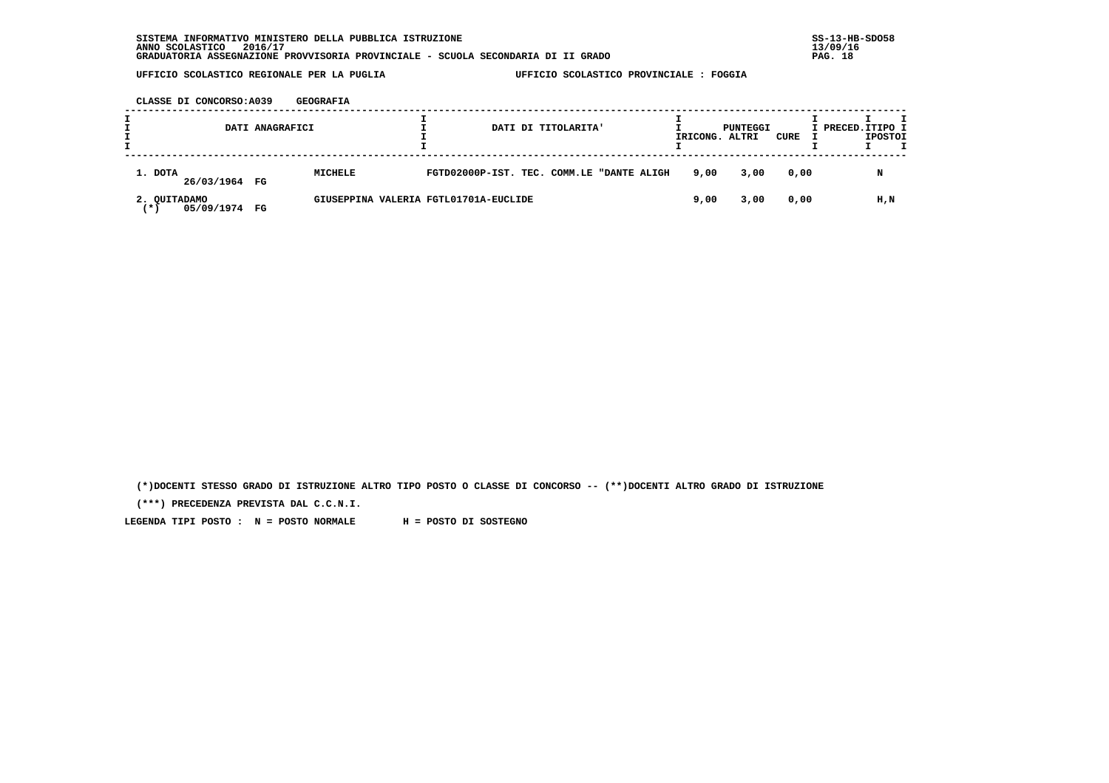**CLASSE DI CONCORSO:A039 GEOGRAFIA**

|                                     | DATI ANAGRAFICI |                                       |                                           | DATI DI TITOLARITA' | IRICONG. ALTRI | PUNTEGGI | CURE | I PRECED. ITIPO I | <b>IPOSTOI</b> |  |
|-------------------------------------|-----------------|---------------------------------------|-------------------------------------------|---------------------|----------------|----------|------|-------------------|----------------|--|
| 1. DOTA<br>26/03/1964 FG            |                 | MICHELE                               | FGTD02000P-IST. TEC. COMM.LE "DANTE ALIGH |                     | 9,00           | 3,00     | 0,00 |                   | N              |  |
| 2. OUITADAMO<br>05/09/1974 FG<br>∵* |                 | GIUSEPPINA VALERIA FGTL01701A-EUCLIDE |                                           |                     | 9,00           | 3,00     | 0,00 |                   | H,N            |  |

 **(\*)DOCENTI STESSO GRADO DI ISTRUZIONE ALTRO TIPO POSTO O CLASSE DI CONCORSO -- (\*\*)DOCENTI ALTRO GRADO DI ISTRUZIONE**

 **(\*\*\*) PRECEDENZA PREVISTA DAL C.C.N.I.**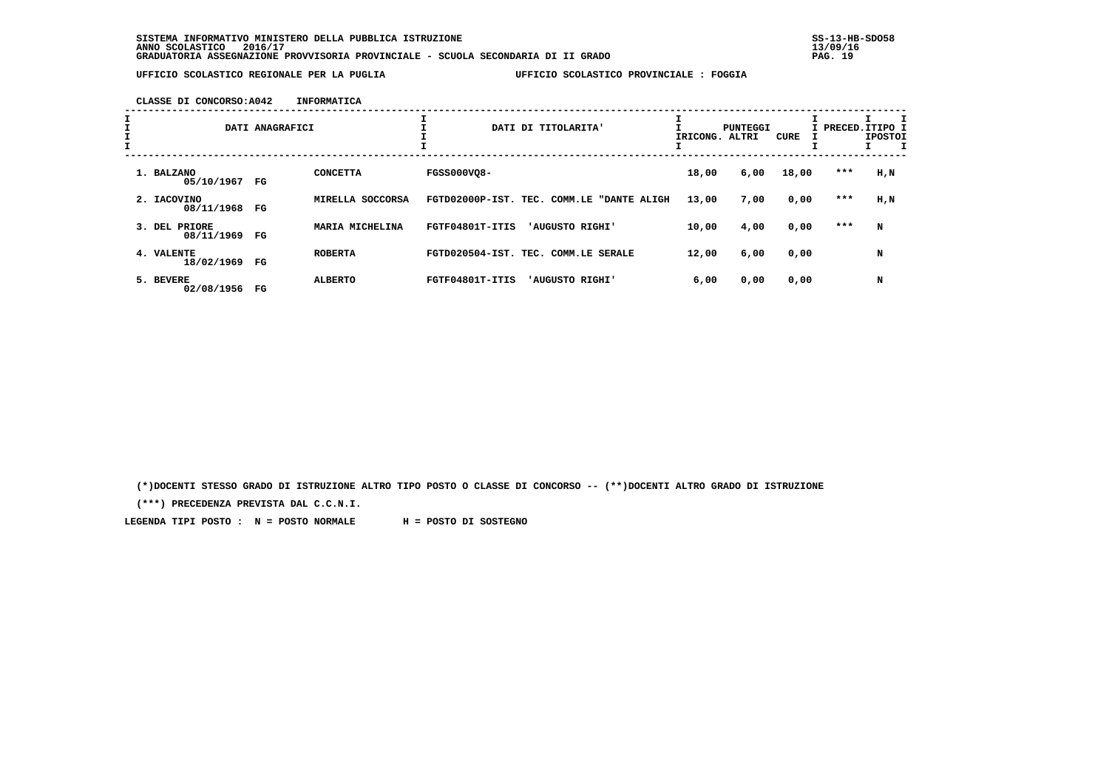**CLASSE DI CONCORSO:A042 INFORMATICA**

| II<br>I<br>$\mathbf{I}$ |                                | DATI ANAGRAFICI |                            |                    | DATI DI TITOLARITA'                       |       | PUNTEGGI<br>IRICONG. ALTRI | CURE  |       | п<br>I PRECED. ITIPO I<br><b>IPOSTOI</b> |  |
|-------------------------|--------------------------------|-----------------|----------------------------|--------------------|-------------------------------------------|-------|----------------------------|-------|-------|------------------------------------------|--|
|                         | 1. BALZANO<br>05/10/1967 FG    |                 | <b>CONCETTA</b>            | <b>FGSS000VQ8-</b> |                                           | 18,00 | 6,00                       | 18,00 | ***   | H,N                                      |  |
|                         | 2. IACOVINO<br>08/11/1968      | FG              | SOCCORSA<br><b>MIRELLA</b> |                    | FGTD02000P-IST. TEC. COMM.LE "DANTE ALIGH | 13,00 | 7,00                       | 0,00  | ***   | H,N                                      |  |
|                         | PRIORE<br>3. DEL<br>08/11/1969 | FG              | MARIA MICHELINA            | FGTF04801T-ITIS    | 'AUGUSTO RIGHI'                           | 10,00 | 4,00                       | 0,00  | $***$ | N                                        |  |
|                         | 4. VALENTE<br>18/02/1969       | FG              | <b>ROBERTA</b>             |                    | FGTD020504-IST. TEC. COMM.LE SERALE       | 12,00 | 6,00                       | 0,00  |       | N                                        |  |
|                         | 5. BEVERE<br>02/08/1956        | FG              | <b>ALBERTO</b>             | FGTF04801T-ITIS    | 'AUGUSTO RIGHI'                           | 6,00  | 0,00                       | 0,00  |       | N                                        |  |

 **(\*)DOCENTI STESSO GRADO DI ISTRUZIONE ALTRO TIPO POSTO O CLASSE DI CONCORSO -- (\*\*)DOCENTI ALTRO GRADO DI ISTRUZIONE**

 **(\*\*\*) PRECEDENZA PREVISTA DAL C.C.N.I.**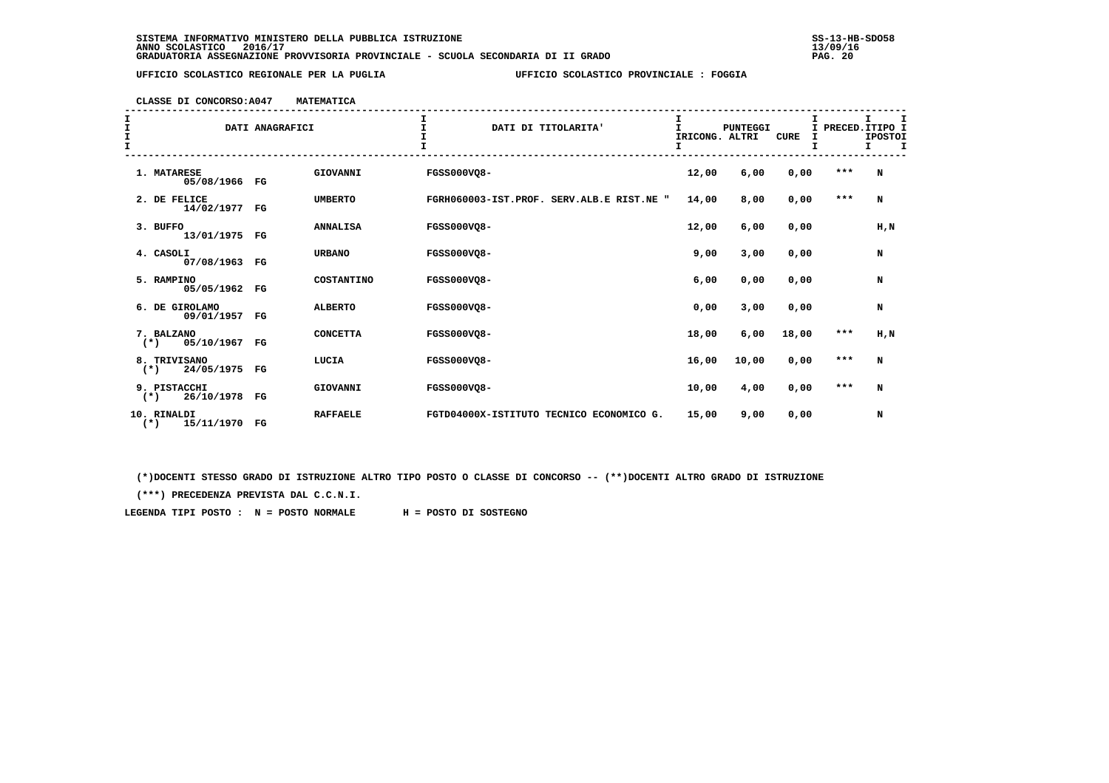**CLASSE DI CONCORSO:A047 MATEMATICA**

| I<br>$\frac{1}{1}$<br>I. | DATI ANAGRAFICI                     |             |                 | DATI DI TITOLARITA'                       | I<br>T<br>IRICONG. ALTRI<br>I | <b>PUNTEGGI</b> | <b>CURE</b><br>$\mathbf{I}$ | I     | т<br>I PRECED. ITIPO I<br><b>IPOSTOI</b><br>I.<br>I |
|--------------------------|-------------------------------------|-------------|-----------------|-------------------------------------------|-------------------------------|-----------------|-----------------------------|-------|-----------------------------------------------------|
|                          | 1. MATARESE<br>05/08/1966 FG        |             | GIOVANNI        | FGSS000VO8-                               | 12,00                         | 6,00            | 0,00                        | $***$ | N                                                   |
|                          | 2. DE FELICE<br>14/02/1977          | FG          | <b>UMBERTO</b>  | FGRH060003-IST.PROF. SERV.ALB.E RIST.NE " | 14,00                         | 8,00            | 0,00                        | $***$ | N                                                   |
|                          | 3. BUFFO<br>13/01/1975 FG           |             | <b>ANNALISA</b> | <b>FGSS000VQ8-</b>                        | 12,00                         | 6,00            | 0,00                        |       | H,N                                                 |
|                          | 4. CASOLI<br>07/08/1963 FG          |             | <b>URBANO</b>   | <b>FGSS000VQ8-</b>                        | 9,00                          | 3,00            | 0,00                        |       | N                                                   |
|                          | 5. RAMPINO<br>05/05/1962 FG         |             | COSTANTINO      | <b>FGSS000VO8-</b>                        | 6,00                          | 0,00            | 0,00                        |       | N                                                   |
|                          | 6. DE GIROLAMO<br>09/01/1957        | FG          | <b>ALBERTO</b>  | <b>FGSS000VO8-</b>                        | 0,00                          | 3,00            | 0,00                        |       | N                                                   |
|                          | 7. BALZANO<br>05/10/1967<br>$(*)$   | $_{\rm FG}$ | <b>CONCETTA</b> | <b>FGSS000VQ8-</b>                        | 18,00                         | 6,00            | 18,00                       | $***$ | H, N                                                |
|                          | 8. TRIVISANO<br>24/05/1975<br>$(*)$ | FG          | LUCIA           | <b>FGSS000VQ8-</b>                        | 16,00                         | 10,00           | 0,00                        | $***$ | N                                                   |
|                          | 9. PISTACCHI<br>26/10/1978<br>$(*)$ | $_{\rm FG}$ | GIOVANNI        | <b>FGSS000VO8-</b>                        | 10,00                         | 4,00            | 0,00                        | $***$ | N                                                   |
|                          | 10. RINALDI<br>15/11/1970<br>$(*)$  | $_{\rm FG}$ | <b>RAFFAELE</b> | FGTD04000X-ISTITUTO TECNICO ECONOMICO G.  | 15,00                         | 9,00            | 0,00                        |       | N                                                   |

 **(\*)DOCENTI STESSO GRADO DI ISTRUZIONE ALTRO TIPO POSTO O CLASSE DI CONCORSO -- (\*\*)DOCENTI ALTRO GRADO DI ISTRUZIONE**

 **(\*\*\*) PRECEDENZA PREVISTA DAL C.C.N.I.**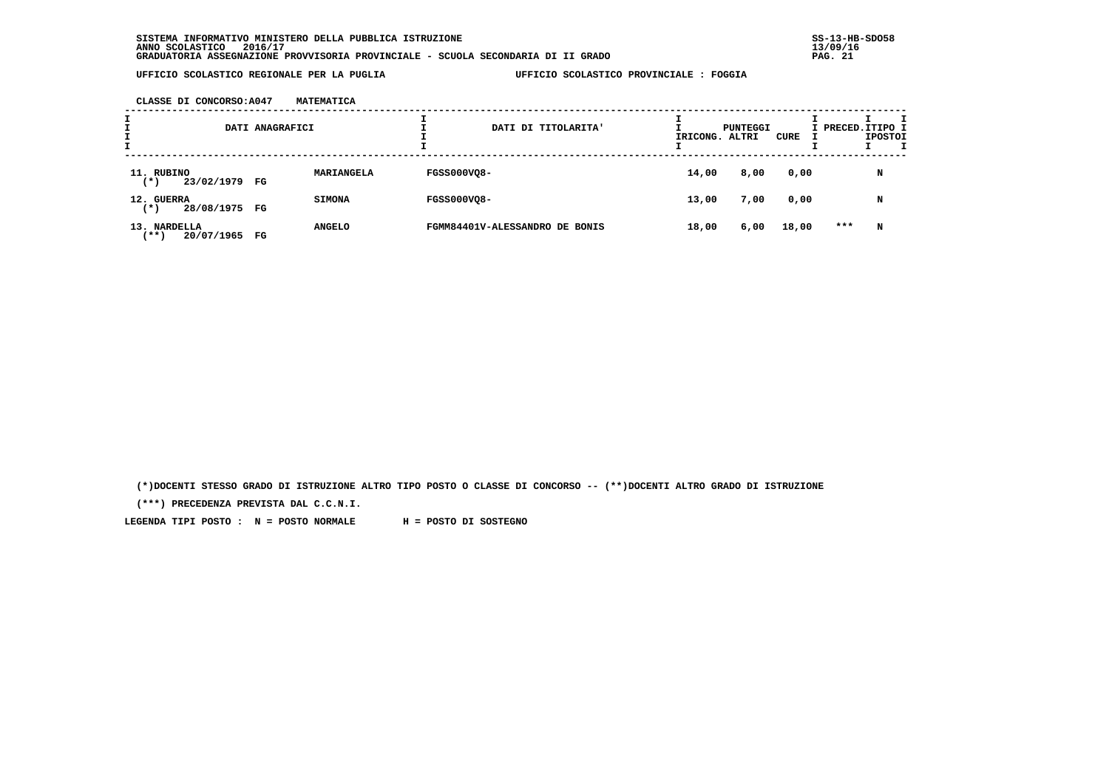**CLASSE DI CONCORSO:A047 MATEMATICA**

| I<br>I | DATI ANAGRAFICI                       |    |               |                    | DATI DI TITOLARITA'            | IRICONG. ALTRI | PUNTEGGI | CURE  | I PRECED. ITIPO I | <b>IPOSTOI</b> |  |
|--------|---------------------------------------|----|---------------|--------------------|--------------------------------|----------------|----------|-------|-------------------|----------------|--|
|        | 11. RUBINO<br>23/02/1979 FG<br>( * )  |    | MARIANGELA    | <b>FGSS000VQ8-</b> |                                | 14,00          | 8,00     | 0,00  |                   | N              |  |
|        | 12. GUERRA<br>28/08/1975 FG<br>(*)    |    | <b>SIMONA</b> | <b>FGSS000VQ8-</b> |                                | 13,00          | 7,00     | 0,00  |                   | N              |  |
|        | 13. NARDELLA<br>20/07/1965<br>$***$ ) | FG | <b>ANGELO</b> |                    | FGMM84401V-ALESSANDRO DE BONIS | 18,00          | 6,00     | 18,00 | $***$             | N              |  |

 **(\*)DOCENTI STESSO GRADO DI ISTRUZIONE ALTRO TIPO POSTO O CLASSE DI CONCORSO -- (\*\*)DOCENTI ALTRO GRADO DI ISTRUZIONE**

 **(\*\*\*) PRECEDENZA PREVISTA DAL C.C.N.I.**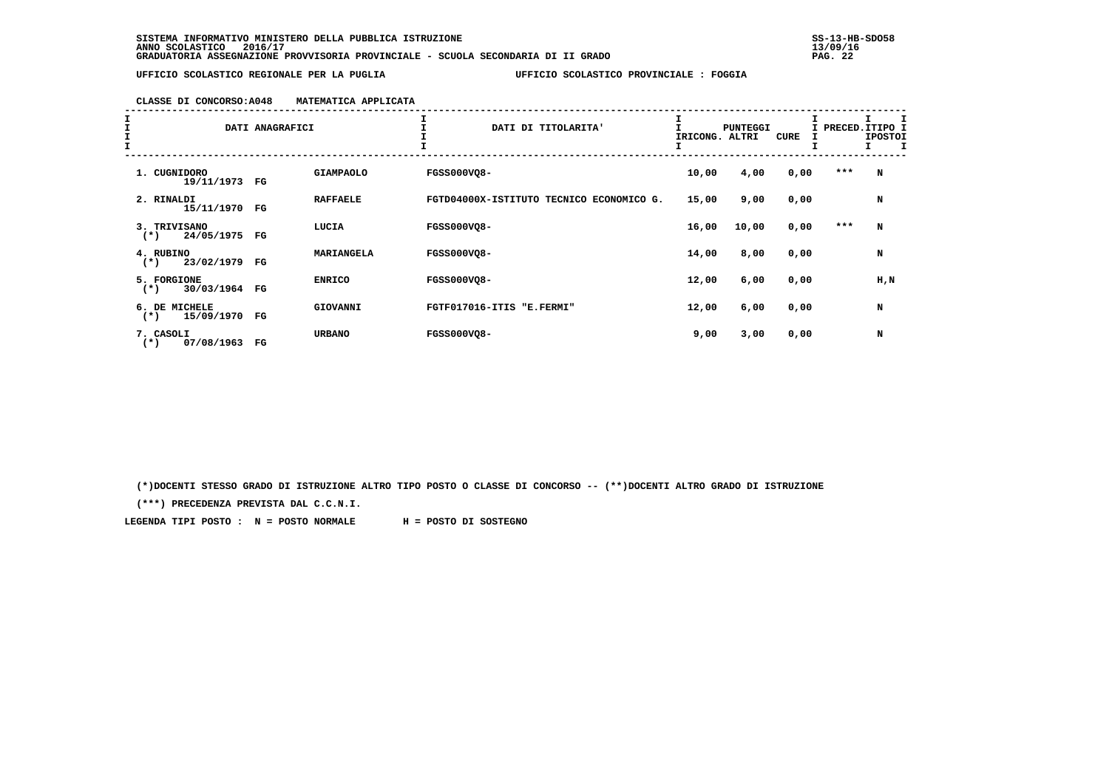# **CLASSE DI CONCORSO:A048 MATEMATICA APPLICATA**

| $\begin{array}{c}\nI \\ I \\ I\n\end{array}$ | DATI ANAGRAFICI                        |             |                  | DATI DI TITOLARITA'                      | IRICONG. | <b>PUNTEGGI</b><br>ALTRI | CURE | I PRECED. ITIPO I<br>Ι. | <b>IPOSTOI</b><br>I.<br>T |
|----------------------------------------------|----------------------------------------|-------------|------------------|------------------------------------------|----------|--------------------------|------|-------------------------|---------------------------|
|                                              | 1. CUGNIDORO<br>19/11/1973             | FG          | <b>GIAMPAOLO</b> | <b>FGSS000VO8-</b>                       | 10,00    | 4,00                     | 0,00 | $***$                   | N                         |
|                                              | 2. RINALDI<br>15/11/1970               | FG          | <b>RAFFAELE</b>  | FGTD04000X-ISTITUTO TECNICO ECONOMICO G. | 15,00    | 9,00                     | 0,00 |                         | N                         |
|                                              | 3. TRIVISANO<br>24/05/1975 FG<br>$(*)$ |             | LUCIA            | <b>FGSS000VQ8-</b>                       | 16,00    | 10,00                    | 0,00 | ***                     | N                         |
|                                              | 4. RUBINO<br>23/02/1979<br>$(*)$       | FG          | MARIANGELA       | <b>FGSS000VO8-</b>                       | 14,00    | 8,00                     | 0,00 |                         | N                         |
|                                              | 5. FORGIONE<br>30/03/1964<br>$(*)$     | $_{\rm FG}$ | <b>ENRICO</b>    | <b>FGSS000VQ8-</b>                       | 12,00    | 6,00                     | 0,00 |                         | H, N                      |
|                                              | 6. DE MICHELE<br>15/09/1970<br>$(*)$   | FG          | GIOVANNI         | FGTF017016-ITIS "E.FERMI"                | 12,00    | 6,00                     | 0,00 |                         | N                         |
|                                              | 7. CASOLI<br>07/08/1963<br>$(*)$       | $_{\rm FG}$ | <b>URBANO</b>    | FGSS000VQ8-                              | 9,00     | 3,00                     | 0,00 |                         | N                         |

 **(\*)DOCENTI STESSO GRADO DI ISTRUZIONE ALTRO TIPO POSTO O CLASSE DI CONCORSO -- (\*\*)DOCENTI ALTRO GRADO DI ISTRUZIONE**

 **(\*\*\*) PRECEDENZA PREVISTA DAL C.C.N.I.**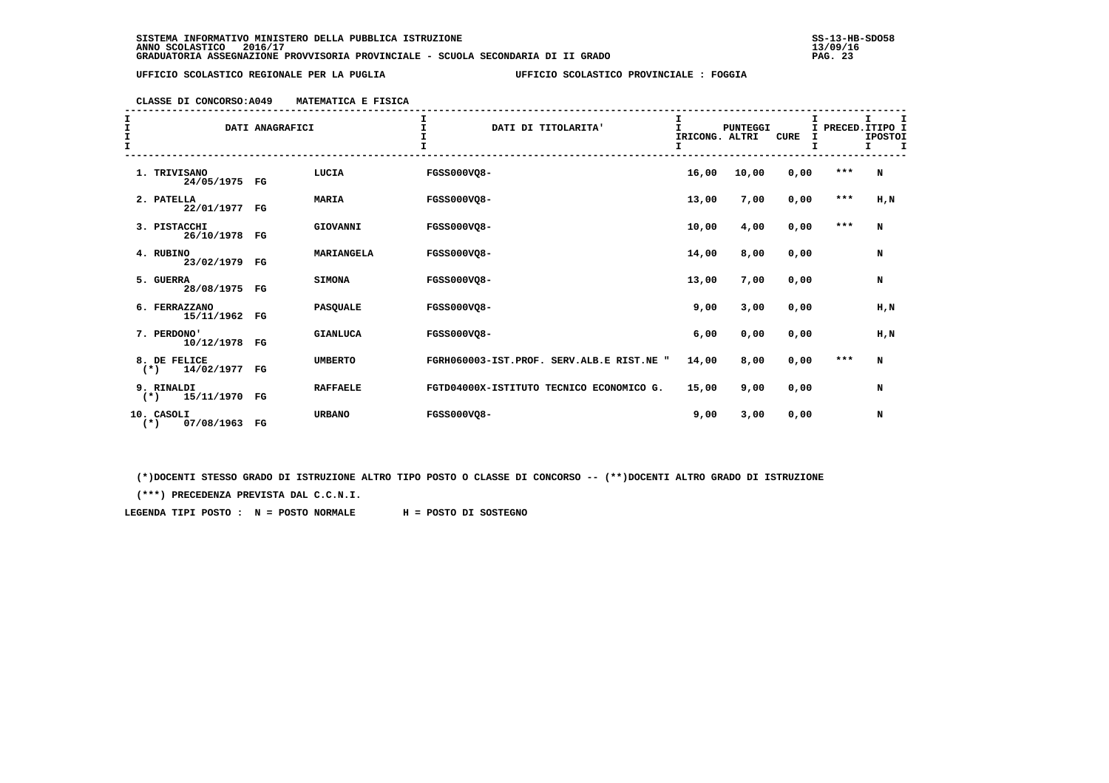# **CLASSE DI CONCORSO:A049 MATEMATICA E FISICA**

| I<br>I<br>$\frac{1}{1}$ | DATI ANAGRAFICI                     |             |                 | $\mathbf{I}$<br>DATI DI TITOLARITA'       | I<br>$\mathbf{I}$<br>IRICONG. ALTRI | <b>PUNTEGGI</b> | <b>CURE</b><br>I |         | I.<br>I<br>I PRECED. ITIPO I<br><b>IPOSTOI</b><br>Ι. |
|-------------------------|-------------------------------------|-------------|-----------------|-------------------------------------------|-------------------------------------|-----------------|------------------|---------|------------------------------------------------------|
|                         | 1. TRIVISANO<br>24/05/1975 FG       |             | LUCIA           | FGSS000VQ8-                               | 16,00                               | 10,00           | 0,00             | $***$   | N                                                    |
|                         | 2. PATELLA<br>22/01/1977            | $_{\rm FG}$ | <b>MARIA</b>    | FGSS000VO8-                               | 13,00                               | 7,00            | 0,00             | $***$   | H, N                                                 |
|                         | 3. PISTACCHI<br>26/10/1978 FG       |             | GIOVANNI        | <b>FGSS000VO8-</b>                        | 10,00                               | 4,00            | 0,00             | $***$   | N                                                    |
|                         | 4. RUBINO<br>23/02/1979 FG          |             | MARIANGELA      | <b>FGSS000VQ8-</b>                        | 14,00                               | 8,00            | 0,00             |         | N                                                    |
|                         | 5. GUERRA<br>28/08/1975 FG          |             | <b>SIMONA</b>   | <b>FGSS000VO8-</b>                        | 13,00                               | 7,00            | 0,00             |         | N                                                    |
|                         | 6. FERRAZZANO<br>15/11/1962         | FG          | <b>PASQUALE</b> | FGSS000VQ8-                               | 9,00                                | 3,00            | 0,00             |         | H, N                                                 |
|                         | 7. PERDONO'<br>10/12/1978 FG        |             | <b>GIANLUCA</b> | <b>FGSS000VQ8-</b>                        | 6,00                                | 0,00            | 0,00             |         | H,N                                                  |
|                         | 8. DE FELICE<br>14/02/1977<br>$(*)$ | $_{\rm FG}$ | <b>UMBERTO</b>  | FGRH060003-IST.PROF. SERV.ALB.E RIST.NE " | 14,00                               | 8,00            | 0,00             | $* * *$ | N                                                    |
|                         | 9. RINALDI<br>15/11/1970<br>$(*)$   | $_{\rm FG}$ | <b>RAFFAELE</b> | FGTD04000X-ISTITUTO TECNICO ECONOMICO G.  | 15,00                               | 9,00            | 0,00             |         | N                                                    |
|                         | 10. CASOLI<br>07/08/1963<br>$(*)$   | $_{\rm FG}$ | <b>URBANO</b>   | FGSS000VO8-                               | 9,00                                | 3,00            | 0,00             |         | N                                                    |

 **(\*)DOCENTI STESSO GRADO DI ISTRUZIONE ALTRO TIPO POSTO O CLASSE DI CONCORSO -- (\*\*)DOCENTI ALTRO GRADO DI ISTRUZIONE**

 **(\*\*\*) PRECEDENZA PREVISTA DAL C.C.N.I.**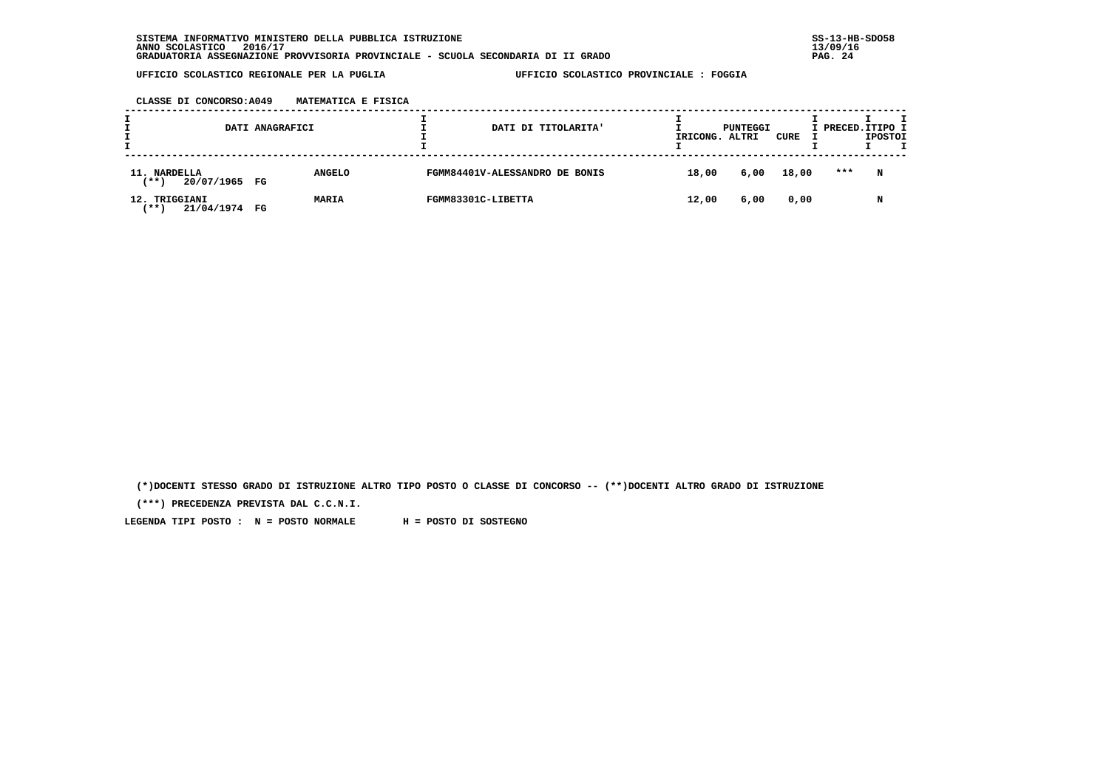**CLASSE DI CONCORSO:A049 MATEMATICA E FISICA**

| л.<br>DATI ANAGRAFICI<br><b>.</b>               |  |               | DATI DI TITOLARITA' | IRICONG.                       | PUNTEGGI<br>ALTRI | CURE | I PRECED. ITIPO I | <b>IPOSTOI</b> |   |  |
|-------------------------------------------------|--|---------------|---------------------|--------------------------------|-------------------|------|-------------------|----------------|---|--|
| 11. NARDELLA<br>$***$ )<br>20/07/1965 FG        |  | <b>ANGELO</b> |                     | FGMM84401V-ALESSANDRO DE BONIS | 18,00             | 6,00 | 18,00             | ***            | N |  |
| TRIGGIANI<br>12.<br>21/04/1974 FG<br><b>***</b> |  | <b>MARIA</b>  | FGMM83301C-LIBETTA  |                                | 12,00             | 6,00 | 0,00              |                | N |  |

 **(\*)DOCENTI STESSO GRADO DI ISTRUZIONE ALTRO TIPO POSTO O CLASSE DI CONCORSO -- (\*\*)DOCENTI ALTRO GRADO DI ISTRUZIONE**

 **(\*\*\*) PRECEDENZA PREVISTA DAL C.C.N.I.**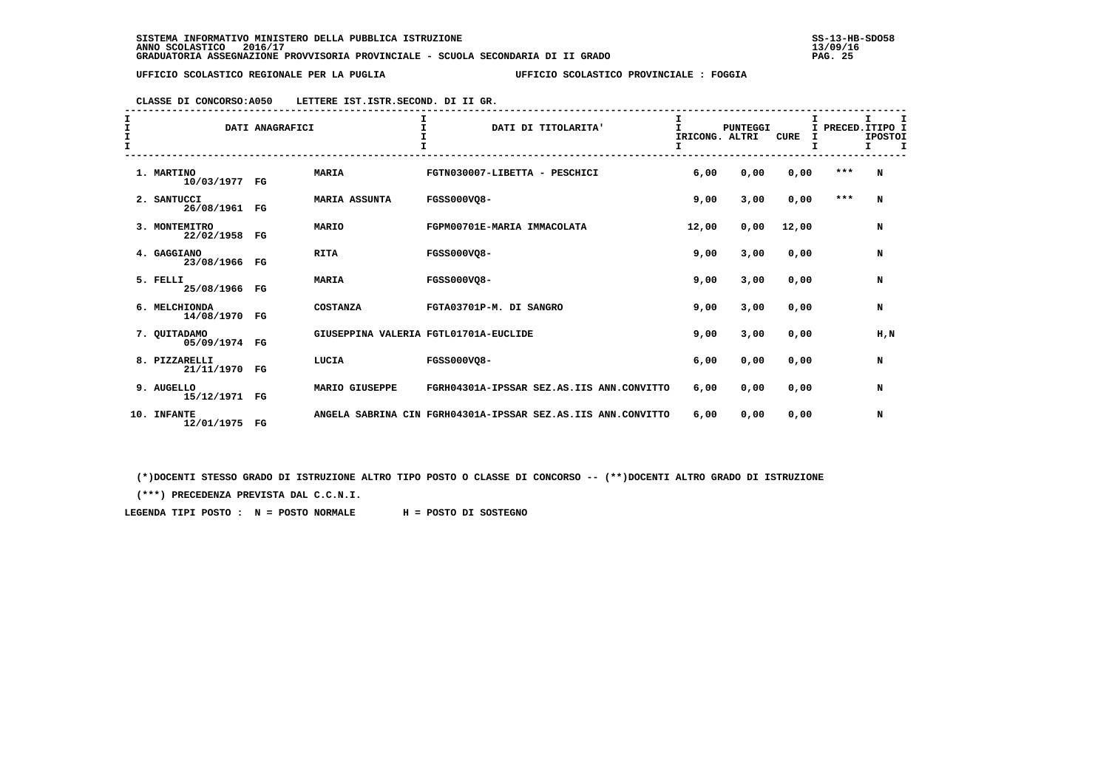| CLASSE DI CONCORSO:A050 | LETTERE IST. ISTR. SECOND. DI II GR. |  |
|-------------------------|--------------------------------------|--|
|-------------------------|--------------------------------------|--|

| $\frac{1}{1}$<br>$\mathbf{I}$ | DATI ANAGRAFICI                     |             |                      | $\mathbf{T}$<br>DATI DI TITOLARITA'                          | IRICONG. ALTRI<br>I | <b>PUNTEGGI</b> | <b>CURE</b><br>I | Τ.<br>I | т<br>PRECED.ITIPO I<br><b>IPOSTOI</b><br>I.<br>$\mathbf{T}$ |  |
|-------------------------------|-------------------------------------|-------------|----------------------|--------------------------------------------------------------|---------------------|-----------------|------------------|---------|-------------------------------------------------------------|--|
|                               | 1. MARTINO<br>10/03/1977            | FG          | <b>MARIA</b>         | FGTN030007-LIBETTA - PESCHICI                                | 6,00                | 0,00            | 0,00             | $***$   | N                                                           |  |
|                               | 2. SANTUCCI<br>26/08/1961           | $_{\rm FG}$ | <b>MARIA ASSUNTA</b> | FGSS000VO8-                                                  | 9,00                | 3,00            | 0,00             | $***$   | N                                                           |  |
|                               | 3. MONTEMITRO<br>22/02/1958         | $_{\rm FG}$ | <b>MARIO</b>         | FGPM00701E-MARIA IMMACOLATA                                  | 12,00               | 0,00            | 12,00            |         | N                                                           |  |
|                               | 4. GAGGIANO<br>23/08/1966 FG        |             | <b>RITA</b>          | FGSS000VO8-                                                  | 9,00                | 3,00            | 0,00             |         | N                                                           |  |
|                               | 5. FELLI<br>25/08/1966 FG           |             | <b>MARIA</b>         | FGSS000VO8-                                                  | 9.00                | 3,00            | 0,00             |         | N                                                           |  |
|                               | 6. MELCHIONDA<br>14/08/1970         | $_{\rm FG}$ | COSTANZA             | FGTA03701P-M. DI SANGRO                                      | 9.00                | 3,00            | 0.00             |         | N                                                           |  |
|                               | 7. QUITADAMO<br>05/09/1974 FG       |             |                      | GIUSEPPINA VALERIA FGTL01701A-EUCLIDE                        | 9,00                | 3,00            | 0,00             |         | H, N                                                        |  |
|                               | 8. PIZZARELLI<br>21/11/1970         | $_{\rm FG}$ | LUCIA                | FGSS000VQ8-                                                  | 6,00                | 0,00            | 0,00             |         | N                                                           |  |
|                               | 9. AUGELLO<br>15/12/1971 FG         |             | MARIO GIUSEPPE       | FGRH04301A-IPSSAR SEZ.AS.IIS ANN.CONVITTO                    | 6,00                | 0,00            | 0,00             |         | N                                                           |  |
|                               | <b>INFANTE</b><br>10.<br>12/01/1975 | $_{\rm FG}$ |                      | ANGELA SABRINA CIN FGRH04301A-IPSSAR SEZ.AS.IIS ANN.CONVITTO | 6,00                | 0,00            | 0,00             |         | N                                                           |  |

 **(\*)DOCENTI STESSO GRADO DI ISTRUZIONE ALTRO TIPO POSTO O CLASSE DI CONCORSO -- (\*\*)DOCENTI ALTRO GRADO DI ISTRUZIONE**

 **(\*\*\*) PRECEDENZA PREVISTA DAL C.C.N.I.**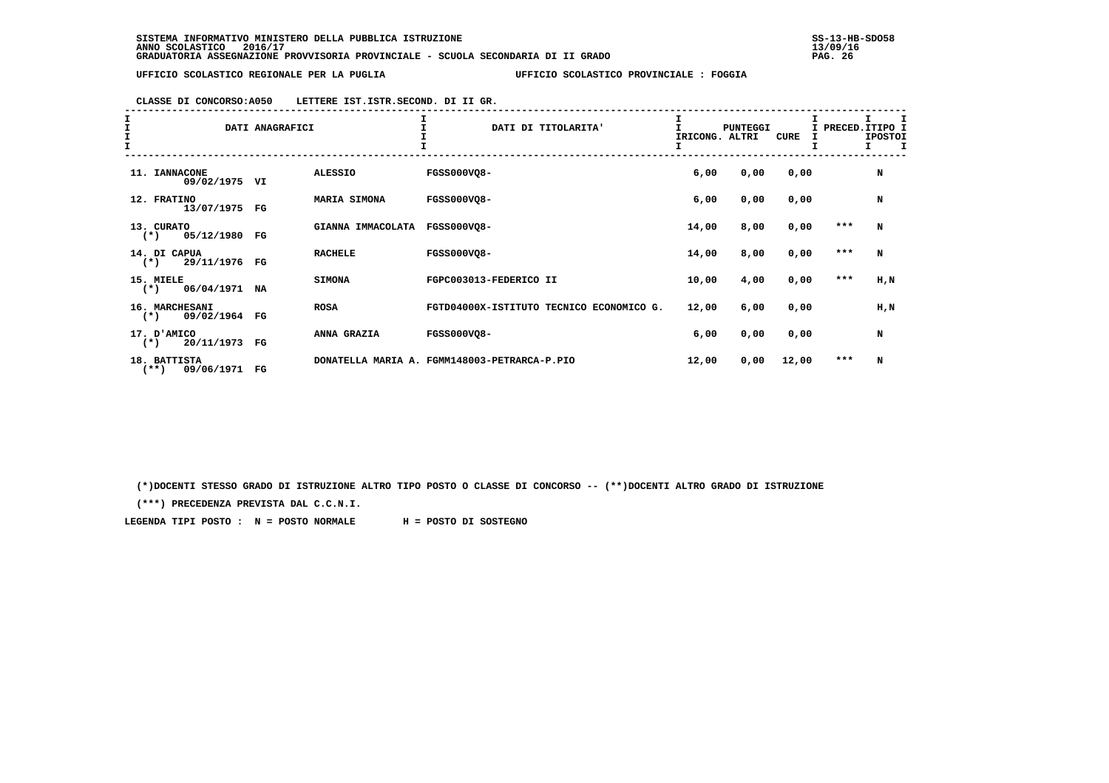| エエエエ | DATI ANAGRAFICI                       |             |                     | I<br>DATI DI TITOLARITA'                     | T.<br>IRICONG. ALTRI | <b>PUNTEGGI</b> | T.<br>CURE |         | PRECED. ITIPO I<br><b>IPOSTOI</b><br>$\mathbf{I}$<br>$\mathbf{I}$ |
|------|---------------------------------------|-------------|---------------------|----------------------------------------------|----------------------|-----------------|------------|---------|-------------------------------------------------------------------|
|      | 11. IANNACONE<br>09/02/1975 VI        |             | <b>ALESSIO</b>      | FGSS000VQ8-                                  | 6,00                 | 0,00            | 0,00       |         | N                                                                 |
|      | 12. FRATINO<br>13/07/1975             | $_{\rm FG}$ | <b>MARIA SIMONA</b> | FGSS000VQ8-                                  | 6,00                 | 0,00            | 0,00       |         | N                                                                 |
|      | 13. CURATO<br>05/12/1980<br>$(*)$     | FG          | GIANNA IMMACOLATA   | <b>FGSS000VQ8-</b>                           | 14,00                | 8,00            | 0,00       | $* * *$ | N                                                                 |
|      | 14. DI CAPUA<br>29/11/1976<br>$(*)$   | FG          | <b>RACHELE</b>      | FGSS000VQ8-                                  | 14,00                | 8,00            | 0,00       | $* * *$ | N                                                                 |
|      | 15. MIELE<br>06/04/1971<br>$(*)$      | NA          | <b>SIMONA</b>       | FGPC003013-FEDERICO II                       | 10,00                | 4,00            | 0,00       | ***     | H,N                                                               |
|      | 16. MARCHESANI<br>09/02/1964<br>$(*)$ | $_{\rm FG}$ | <b>ROSA</b>         | FGTD04000X-ISTITUTO TECNICO ECONOMICO G.     | 12,00                | 6,00            | 0,00       |         | H,N                                                               |
|      | 17. D'AMICO<br>20/11/1973<br>$(*)$    | $_{\rm FG}$ | ANNA GRAZIA         | <b>FGSS000VQ8-</b>                           | 6,00                 | 0,00            | 0,00       |         | N                                                                 |
|      | 18. BATTISTA<br>$(***)$<br>09/06/1971 | $_{\rm FG}$ |                     | DONATELLA MARIA A. FGMM148003-PETRARCA-P.PIO | 12,00                | 0,00            | 12,00      | ***     | N                                                                 |

 **CLASSE DI CONCORSO:A050 LETTERE IST.ISTR.SECOND. DI II GR.**

 **(\*)DOCENTI STESSO GRADO DI ISTRUZIONE ALTRO TIPO POSTO O CLASSE DI CONCORSO -- (\*\*)DOCENTI ALTRO GRADO DI ISTRUZIONE**

 **(\*\*\*) PRECEDENZA PREVISTA DAL C.C.N.I.**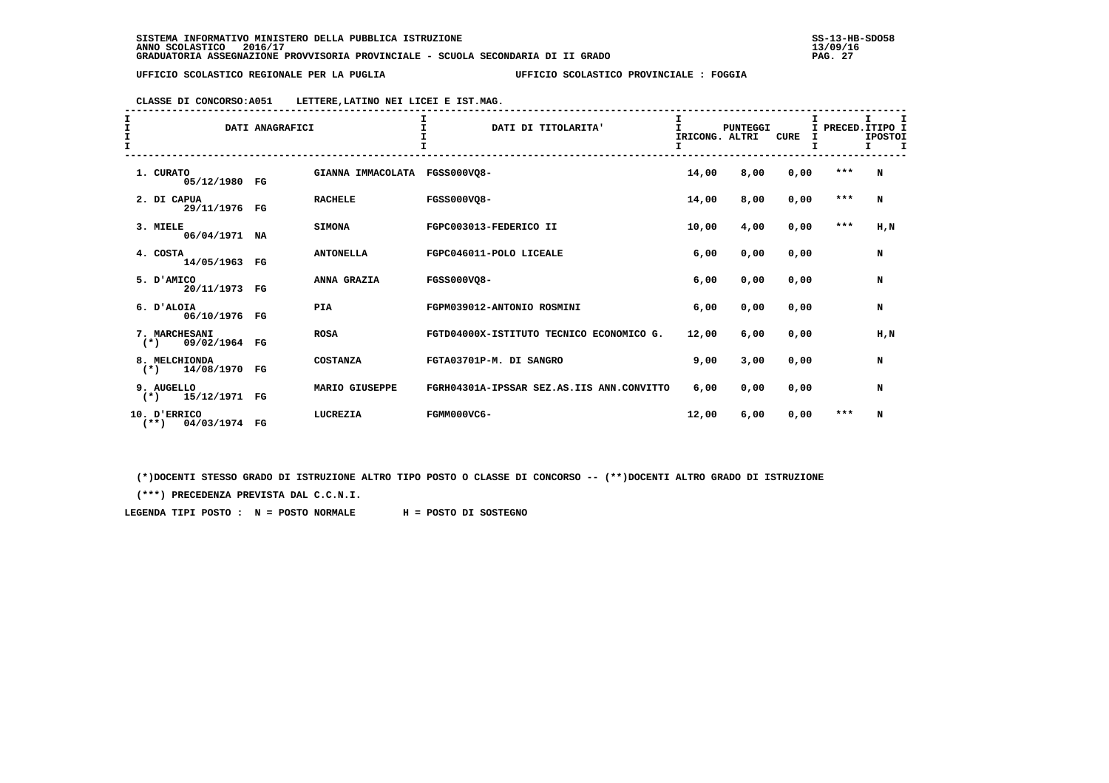**CLASSE DI CONCORSO:A051 LETTERE,LATINO NEI LICEI E IST.MAG.**

| I<br>I<br>I | DATI ANAGRAFICI                         |             |                   | T.<br>DATI DI TITOLARITA'                 | I<br>T<br>IRICONG. ALTRI<br>I | <b>PUNTEGGI</b> | I<br><b>CURE</b><br>I |         | т<br>I PRECED. ITIPO I<br><b>IPOSTOI</b><br>т<br>Τ. |
|-------------|-----------------------------------------|-------------|-------------------|-------------------------------------------|-------------------------------|-----------------|-----------------------|---------|-----------------------------------------------------|
|             | 1. CURATO<br>05/12/1980 FG              |             | GIANNA IMMACOLATA | <b>FGSS000VO8-</b>                        | 14,00                         | 8,00            | 0,00                  | $* * *$ | N                                                   |
|             | 2. DI CAPUA<br>29/11/1976               | $_{\rm FG}$ | <b>RACHELE</b>    | <b>FGSS000VO8-</b>                        | 14,00                         | 8,00            | 0,00                  | $***$   | N                                                   |
|             | 3. MIELE<br>06/04/1971 NA               |             | <b>SIMONA</b>     | FGPC003013-FEDERICO II                    | 10,00                         | 4,00            | 0,00                  | $***$   | H,N                                                 |
|             | 4. COSTA<br>14/05/1963 FG               |             | <b>ANTONELLA</b>  | FGPC046011-POLO LICEALE                   | 6,00                          | 0,00            | 0,00                  |         | N                                                   |
|             | 5. D'AMICO<br>20/11/1973 FG             |             | ANNA GRAZIA       | <b>FGSS000VO8-</b>                        | 6,00                          | 0,00            | 0,00                  |         | N                                                   |
|             | 6. D'ALOIA<br>06/10/1976 FG             |             | <b>PIA</b>        | FGPM039012-ANTONIO ROSMINI                | 6,00                          | 0,00            | 0,00                  |         | N                                                   |
|             | 7. MARCHESANI<br>09/02/1964 FG<br>$(*)$ |             | <b>ROSA</b>       | FGTD04000X-ISTITUTO TECNICO ECONOMICO G.  | 12,00                         | 6,00            | 0,00                  |         | H, N                                                |
|             | 8. MELCHIONDA<br>$(*)$<br>14/08/1970    | FG          | <b>COSTANZA</b>   | FGTA03701P-M. DI SANGRO                   | 9,00                          | 3,00            | 0,00                  |         | N                                                   |
|             | 9. AUGELLO<br>15/12/1971 FG<br>$(* )$   |             | MARIO GIUSEPPE    | FGRH04301A-IPSSAR SEZ.AS.IIS ANN.CONVITTO | 6,00                          | 0,00            | 0,00                  |         | N                                                   |
|             | 10. D'ERRICO<br>$(**)$<br>04/03/1974 FG |             | LUCREZIA          | FGMM000VC6-                               | 12,00                         | 6,00            | 0,00                  | $***$   | N                                                   |

 **(\*)DOCENTI STESSO GRADO DI ISTRUZIONE ALTRO TIPO POSTO O CLASSE DI CONCORSO -- (\*\*)DOCENTI ALTRO GRADO DI ISTRUZIONE**

 **(\*\*\*) PRECEDENZA PREVISTA DAL C.C.N.I.**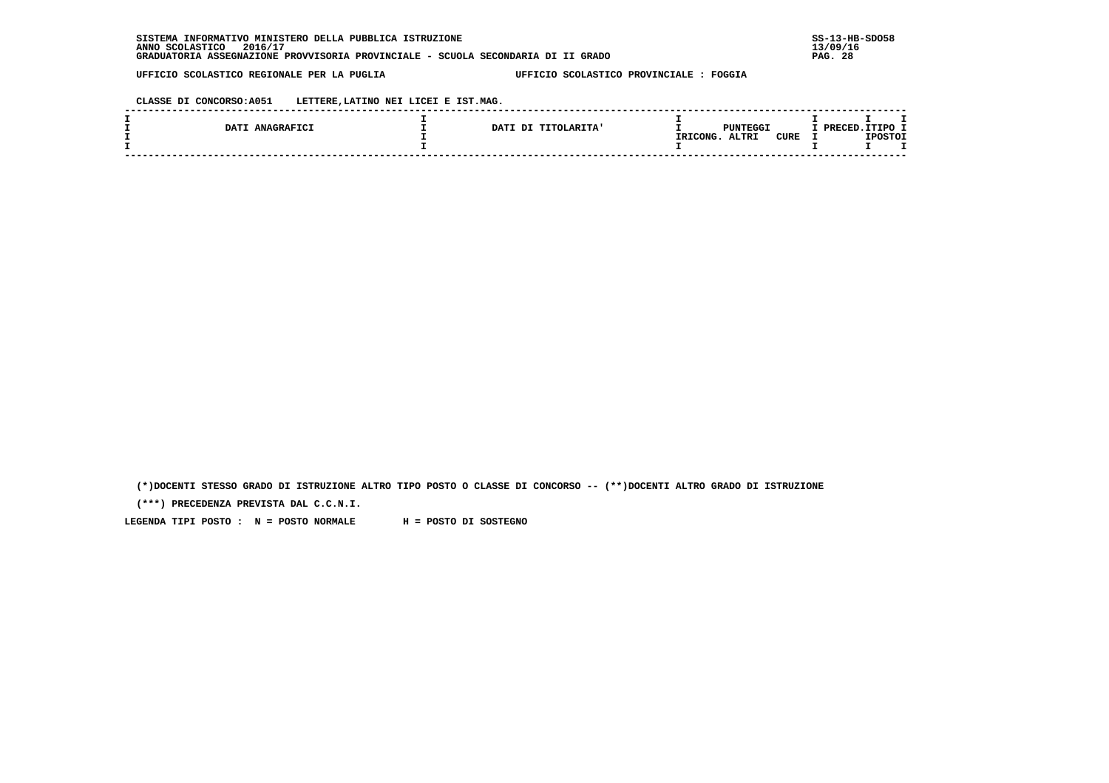**CLASSE DI CONCORSO:A051 LETTERE,LATINO NEI LICEI E IST.MAG.**

| DATI ANAGRAFICI | <b>TITOLARITA'</b><br>DATI DI |          | PUNTEGGI                    | חסמססם | ד הסדיד        |  |
|-----------------|-------------------------------|----------|-----------------------------|--------|----------------|--|
|                 |                               | IRICONG. | <b>CURE</b><br><b>ALTRI</b> |        | <b>IPOSTOI</b> |  |
|                 |                               |          |                             |        |                |  |

 **(\*)DOCENTI STESSO GRADO DI ISTRUZIONE ALTRO TIPO POSTO O CLASSE DI CONCORSO -- (\*\*)DOCENTI ALTRO GRADO DI ISTRUZIONE**

 **(\*\*\*) PRECEDENZA PREVISTA DAL C.C.N.I.**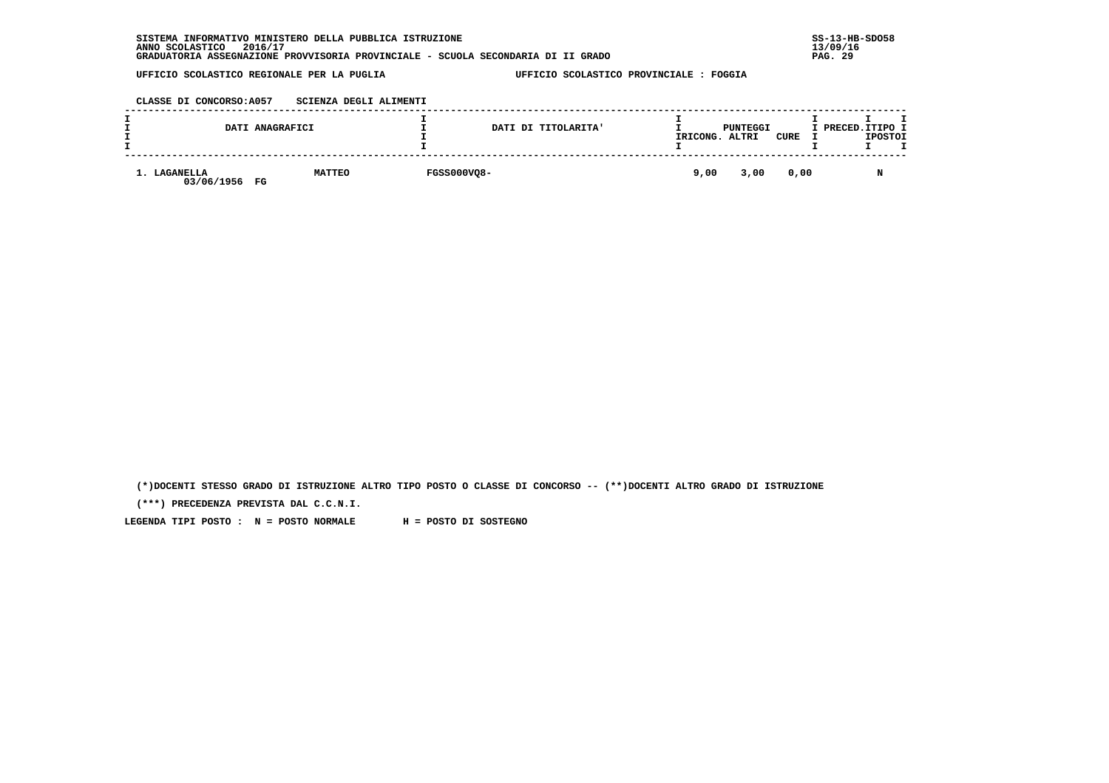| INFORMATIVO MINISTERO DELLA PUBBLICA ISTRUZIONE<br><b>SISTEMA</b>                | $SS-13-HE$   |
|----------------------------------------------------------------------------------|--------------|
| 2016/17<br>ANNO SCOLASTICO                                                       | 13/09/16     |
| GRADUATORIA ASSEGNAZIONE PROVVISORIA PROVINCIALE - SCUOLA SECONDARIA DI II GRADO | - 29<br>PAG. |

 **CLASSE DI CONCORSO:A057 SCIENZA DEGLI ALIMENTI**

|                                      | DATI ANAGRAFICI |                    | DATI DI TITOLARITA' | IRICONG. | PUNTEGGI<br>ALTRI | <b>CURE</b> | I PRECED. ITIPO I | <b>IPOSTOI</b> |  |
|--------------------------------------|-----------------|--------------------|---------------------|----------|-------------------|-------------|-------------------|----------------|--|
| <b>LAGANELLA</b><br>03/06/1956<br>FG | <b>MATTEO</b>   | <b>FGSS000VQ8-</b> |                     | 9,00     | 3,00              | 0,00        |                   | N              |  |

 **(\*)DOCENTI STESSO GRADO DI ISTRUZIONE ALTRO TIPO POSTO O CLASSE DI CONCORSO -- (\*\*)DOCENTI ALTRO GRADO DI ISTRUZIONE**

 **(\*\*\*) PRECEDENZA PREVISTA DAL C.C.N.I.**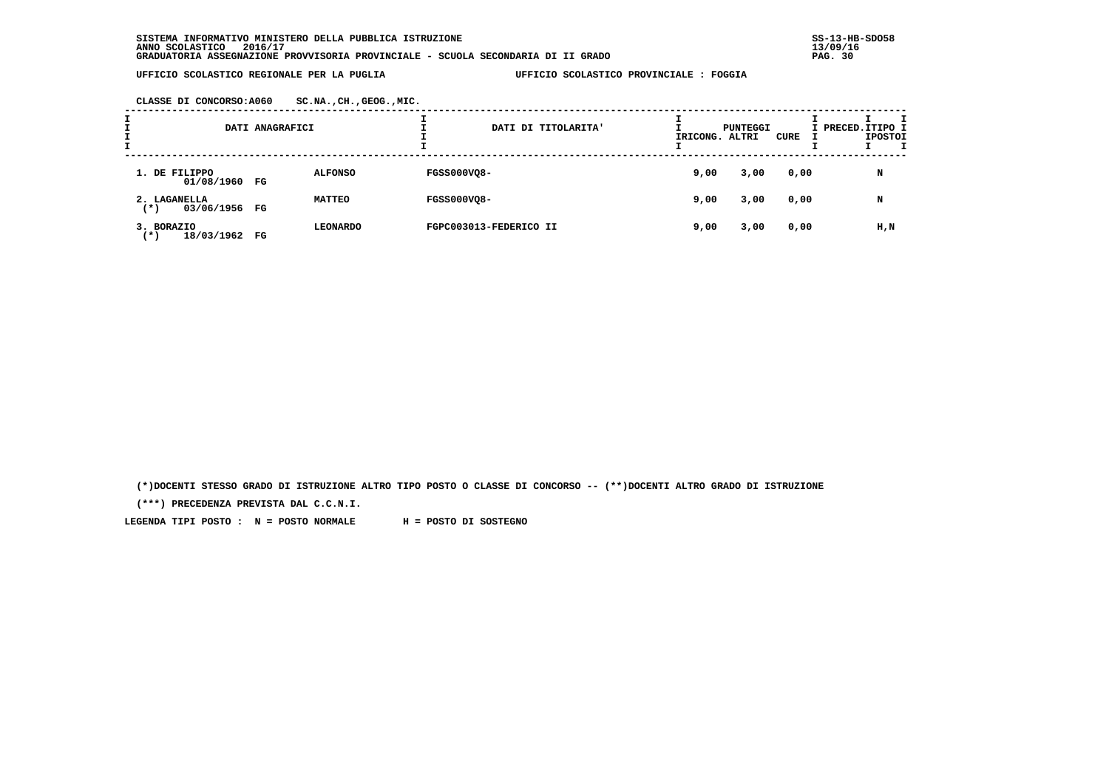| CLASSE DI CONCORSO:A060 | SC.NA., CH., GEOG., MIC. |
|-------------------------|--------------------------|
|-------------------------|--------------------------|

| <b>.</b> |                                      | DATI ANAGRAFICI |                 | DATI DI TITOLARITA'    | IRICONG. ALTRI | <b>PUNTEGGI</b> | CURE | I PRECED. ITIPO I | <b>IPOSTOI</b> |  |
|----------|--------------------------------------|-----------------|-----------------|------------------------|----------------|-----------------|------|-------------------|----------------|--|
|          | 1. DE FILIPPO<br>01/08/1960 FG       |                 | <b>ALFONSO</b>  | <b>FGSS000VQ8-</b>     | 9,00           | 3,00            | 0,00 |                   | N              |  |
|          | 2. LAGANELLA<br>03/06/1956 FG<br>(*) |                 | <b>MATTEO</b>   | <b>FGSS000VQ8-</b>     | 9,00           | 3,00            | 0,00 |                   | N              |  |
|          | 3. BORAZIO<br>18/03/1962<br>( * )    | FG              | <b>LEONARDO</b> | FGPC003013-FEDERICO II | 9,00           | 3,00            | 0,00 |                   | H,N            |  |

 **(\*)DOCENTI STESSO GRADO DI ISTRUZIONE ALTRO TIPO POSTO O CLASSE DI CONCORSO -- (\*\*)DOCENTI ALTRO GRADO DI ISTRUZIONE**

 **(\*\*\*) PRECEDENZA PREVISTA DAL C.C.N.I.**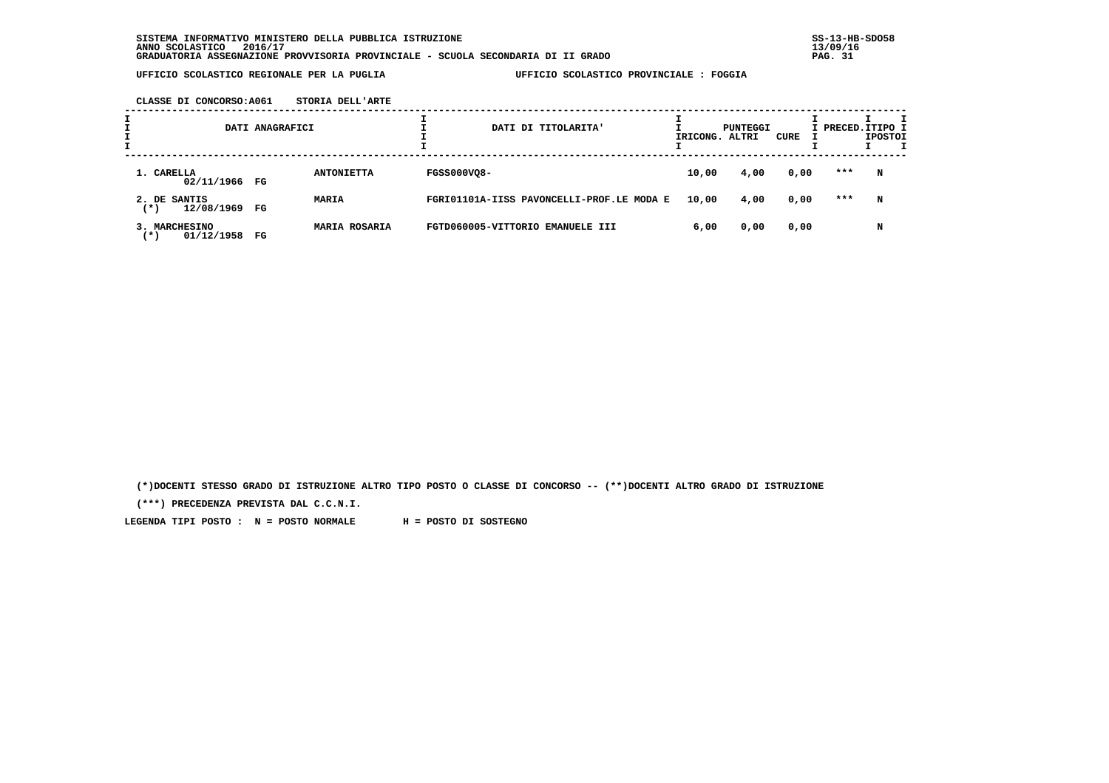**CLASSE DI CONCORSO:A061 STORIA DELL'ARTE**

| I<br>I |                                      | DATI ANAGRAFICI |                      |                    | DATI DI TITOLARITA'                       | IRICONG. ALTRI | PUNTEGGI | CURE | I PRECED. ITIPO I | <b>IPOSTOI</b> | т |
|--------|--------------------------------------|-----------------|----------------------|--------------------|-------------------------------------------|----------------|----------|------|-------------------|----------------|---|
|        | 1. CARELLA<br>02/11/1966 FG          |                 | <b>ANTONIETTA</b>    | <b>FGSS000VQ8-</b> |                                           | 10,00          | 4,00     | 0,00 | ***               | N              |   |
|        | 2. DE SANTIS<br>12/08/1969<br>( * )  | FG              | <b>MARIA</b>         |                    | FGRI01101A-IISS PAVONCELLI-PROF.LE MODA E | 10,00          | 4,00     | 0,00 | ***               | N              |   |
|        | 3. MARCHESINO<br>01/12/1958<br>( * ) | FG              | <b>MARIA ROSARIA</b> |                    | FGTD060005-VITTORIO EMANUELE III          | 6,00           | 0,00     | 0,00 |                   | N              |   |

 **(\*)DOCENTI STESSO GRADO DI ISTRUZIONE ALTRO TIPO POSTO O CLASSE DI CONCORSO -- (\*\*)DOCENTI ALTRO GRADO DI ISTRUZIONE**

 **(\*\*\*) PRECEDENZA PREVISTA DAL C.C.N.I.**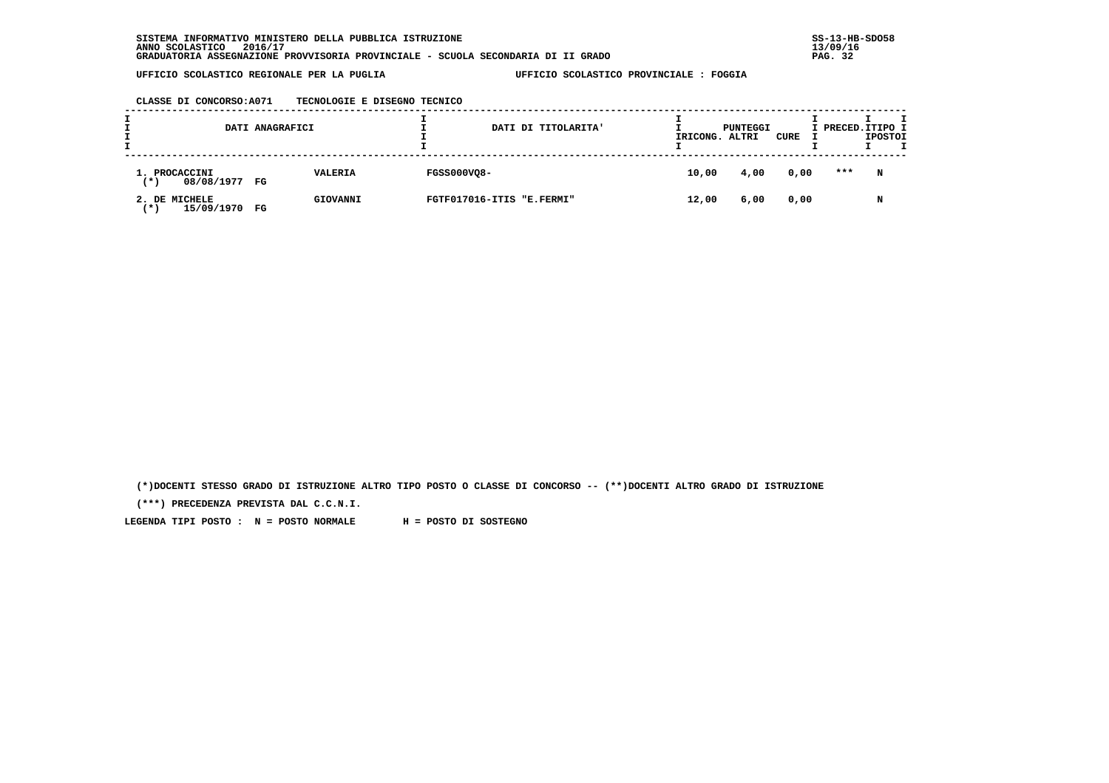|  |  |  |  | CLASSE DI CONCORSO:A071 |  | TECNOLOGIE E DISEGNO TECNICO |  |  |  |
|--|--|--|--|-------------------------|--|------------------------------|--|--|--|
|--|--|--|--|-------------------------|--|------------------------------|--|--|--|

|                                              | DATI ANAGRAFICI |          |                    | DATI DI TITOLARITA'       | IRICONG. | PUNTEGGI<br>ALTRI | CURE | I PRECED. ITIPO I | <b>IPOSTOI</b> | т |
|----------------------------------------------|-----------------|----------|--------------------|---------------------------|----------|-------------------|------|-------------------|----------------|---|
| 1. PROCACCINI<br>08/08/1977 FG<br>(*)        |                 | VALERIA  | <b>FGSS000VQ8-</b> |                           | 10,00    | 4,00              | 0,00 | ***               | N              |   |
| 2. DE MICHELE<br>15/09/1970<br>$'$ * $\cdot$ | FG              | GIOVANNI |                    | FGTF017016-ITIS "E.FERMI" | 12,00    | 6,00              | 0,00 |                   | N              |   |

 **(\*)DOCENTI STESSO GRADO DI ISTRUZIONE ALTRO TIPO POSTO O CLASSE DI CONCORSO -- (\*\*)DOCENTI ALTRO GRADO DI ISTRUZIONE**

 **(\*\*\*) PRECEDENZA PREVISTA DAL C.C.N.I.**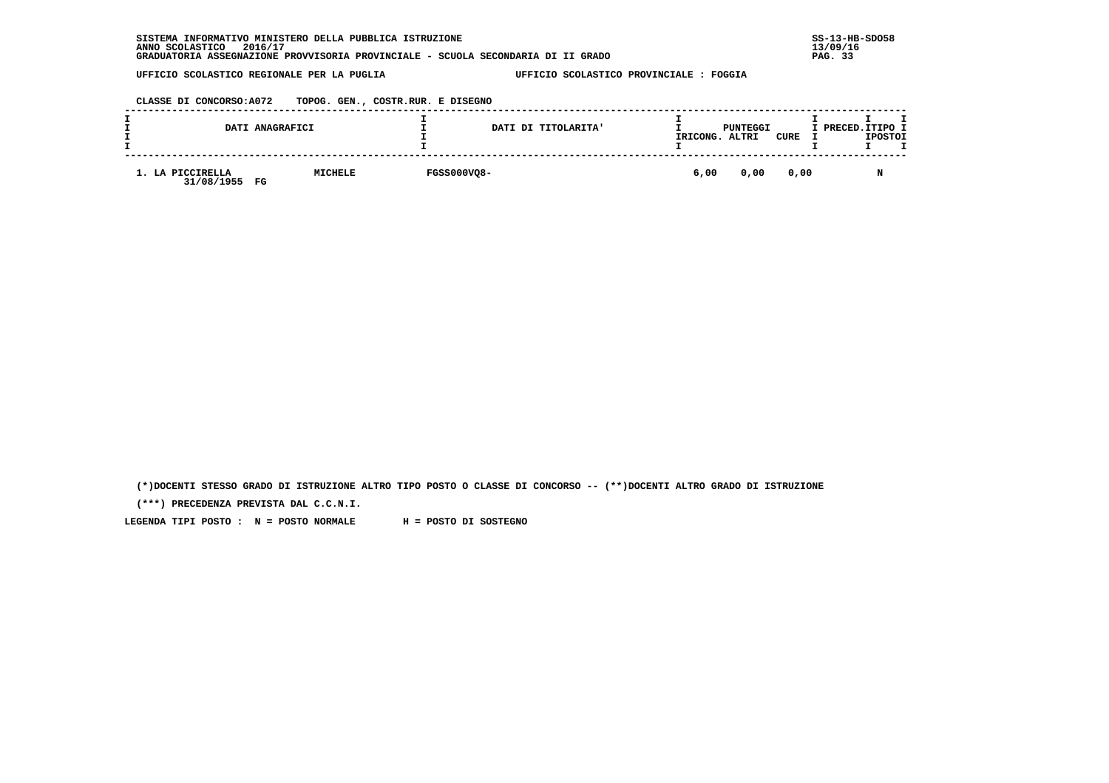| SISTEMA INFORMATIVO MINISTERO DELLA PUBBLICA ISTRUZIONE                          | $SS-13-HE$ |
|----------------------------------------------------------------------------------|------------|
| 2016/17<br>ANNO SCOLASTICO                                                       | 13/09/16   |
| GRADUATORIA ASSEGNAZIONE PROVVISORIA PROVINCIALE - SCUOLA SECONDARIA DI II GRADO | PAG. 33    |

 **CLASSE DI CONCORSO:A072 TOPOG. GEN., COSTR.RUR. E DISEGNO**

|                                               | DATI ANAGRAFICI |                    | DATI DI TITOLARITA' | IRICONG. | PUNTEGGI<br>ALTRI | CURE | I PRECED. ITIPO I<br><b>IPOSTOI</b> |
|-----------------------------------------------|-----------------|--------------------|---------------------|----------|-------------------|------|-------------------------------------|
| 1. LA PICCIRELLA<br>31/08/1955<br>$_{\rm FG}$ | MICHELE         | <b>FGSS000VQ8-</b> |                     | 6,00     | 0,00              | 0,00 | M                                   |

 **(\*)DOCENTI STESSO GRADO DI ISTRUZIONE ALTRO TIPO POSTO O CLASSE DI CONCORSO -- (\*\*)DOCENTI ALTRO GRADO DI ISTRUZIONE**

 **(\*\*\*) PRECEDENZA PREVISTA DAL C.C.N.I.**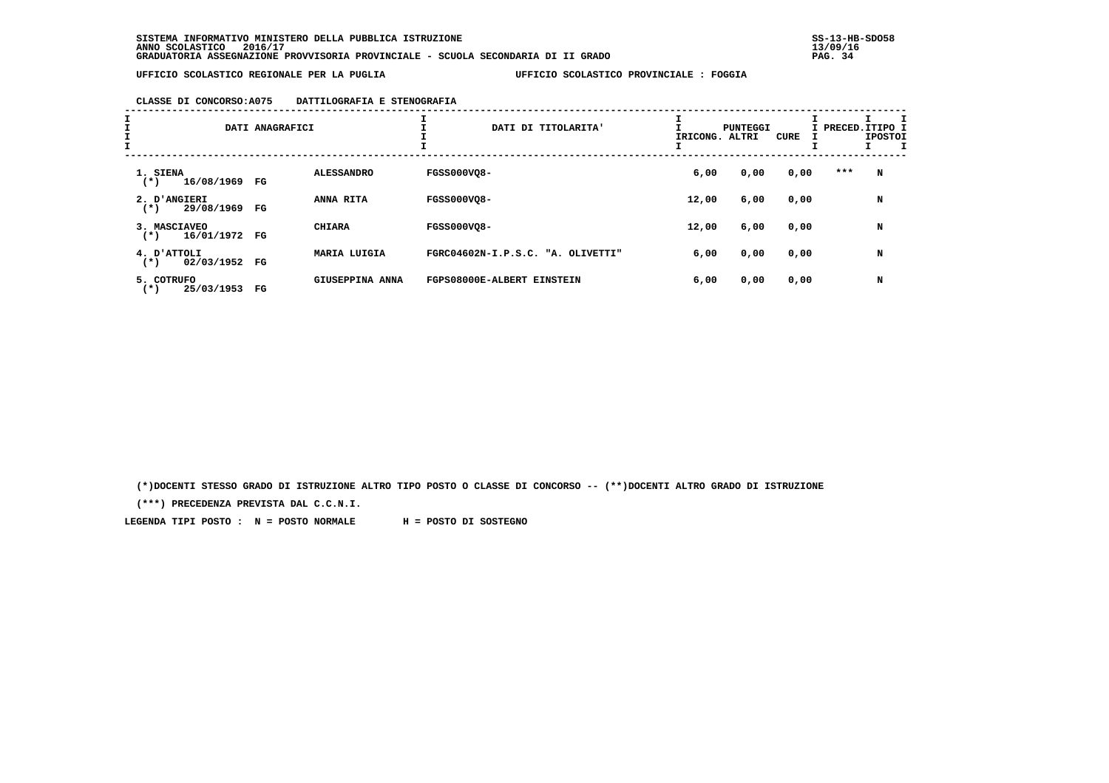### **CLASSE DI CONCORSO:A075 DATTILOGRAFIA E STENOGRAFIA**

| II<br>$\frac{\texttt{I}}{\texttt{I}}$ |                                     | DATI ANAGRAFICI |                   |                    | DATI DI TITOLARITA'               | IRICONG. | PUNTEGGI<br>ALTRI | CURE |     | I<br>I PRECED. ITIPO I<br><b>IPOSTOI</b> |
|---------------------------------------|-------------------------------------|-----------------|-------------------|--------------------|-----------------------------------|----------|-------------------|------|-----|------------------------------------------|
|                                       | 1. SIENA<br>16/08/1969 FG<br>$(*)$  |                 | <b>ALESSANDRO</b> | <b>FGSS000VO8-</b> |                                   | 6,00     | 0,00              | 0,00 | *** | N                                        |
|                                       | 2. D'ANGIERI<br>29/08/1969<br>$(*)$ | FG              | ANNA RITA         | <b>FGSS000VO8-</b> |                                   | 12,00    | 6,00              | 0,00 |     | N                                        |
|                                       | 3. MASCIAVEO<br>16/01/1972<br>$(*)$ | FG              | <b>CHIARA</b>     | <b>FGSS000VO8-</b> |                                   | 12,00    | 6,00              | 0,00 |     | N                                        |
|                                       | 4. ATTOLI<br>02/03/1952<br>$(*)$    | FG              | MARIA LUIGIA      |                    | FGRC04602N-I.P.S.C. "A. OLIVETTI" | 6,00     | 0,00              | 0,00 |     | N                                        |
|                                       | 5. COTRUFO<br>25/03/1953<br>( * )   | FG              | GIUSEPPINA ANNA   |                    | FGPS08000E-ALBERT EINSTEIN        | 6,00     | 0,00              | 0,00 |     | N                                        |

 **(\*)DOCENTI STESSO GRADO DI ISTRUZIONE ALTRO TIPO POSTO O CLASSE DI CONCORSO -- (\*\*)DOCENTI ALTRO GRADO DI ISTRUZIONE**

 **(\*\*\*) PRECEDENZA PREVISTA DAL C.C.N.I.**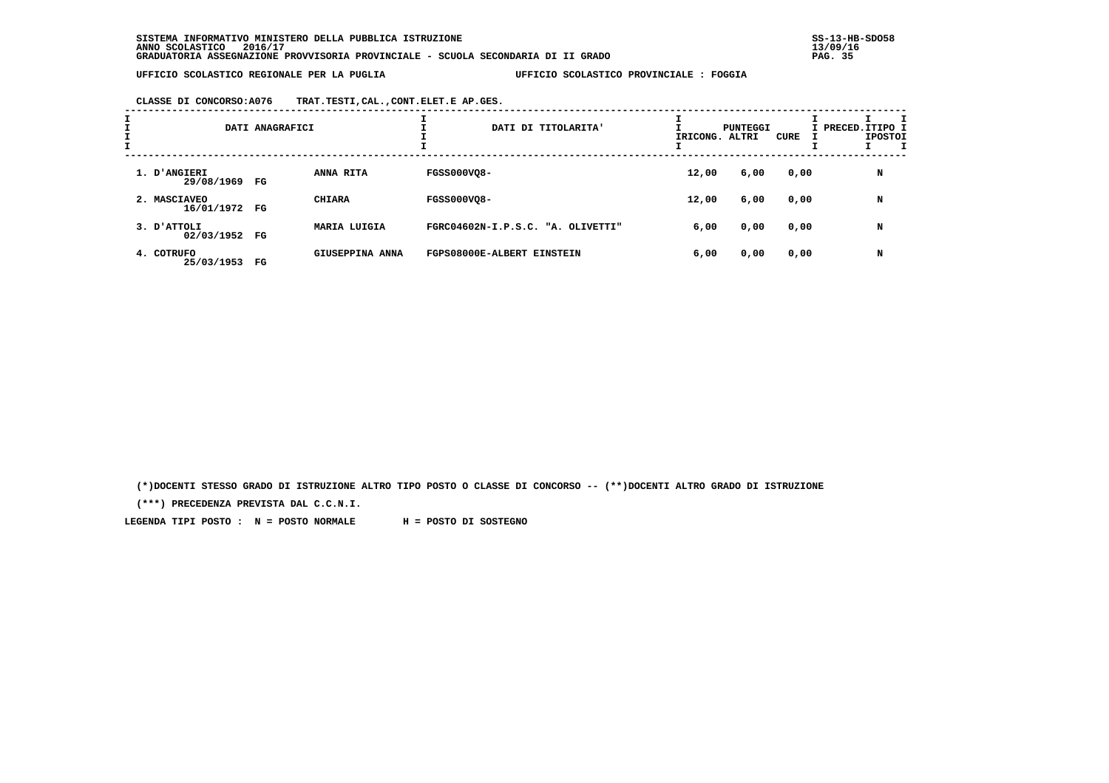**CLASSE DI CONCORSO:A076 TRAT.TESTI,CAL.,CONT.ELET.E AP.GES.**

| $\mathbf{I}$ |                               | DATI ANAGRAFICI |                     | DATI DI TITOLARITA'               | IRICONG. ALTRI | PUNTEGGI | CURE | I PRECED.ITIPO I<br><b>IPOSTOI</b> |
|--------------|-------------------------------|-----------------|---------------------|-----------------------------------|----------------|----------|------|------------------------------------|
|              | 1. D'ANGIERI<br>29/08/1969 FG |                 | ANNA RITA           | <b>FGSS000VO8-</b>                | 12,00          | 6,00     | 0,00 | N                                  |
|              | 2. MASCIAVEO<br>16/01/1972 FG |                 | <b>CHIARA</b>       | <b>FGSS000VO8-</b>                | 12,00          | 6,00     | 0,00 | N                                  |
|              | 3. D'ATTOLI<br>02/03/1952 FG  |                 | <b>MARIA LUIGIA</b> | FGRC04602N-I.P.S.C. "A. OLIVETTI" | 6,00           | 0,00     | 0,00 | N                                  |
|              | 4. COTRUFO<br>25/03/1953      | FG              | GIUSEPPINA ANNA     | FGPS08000E-ALBERT EINSTEIN        | 6,00           | 0,00     | 0,00 | N                                  |

 **(\*)DOCENTI STESSO GRADO DI ISTRUZIONE ALTRO TIPO POSTO O CLASSE DI CONCORSO -- (\*\*)DOCENTI ALTRO GRADO DI ISTRUZIONE**

 **(\*\*\*) PRECEDENZA PREVISTA DAL C.C.N.I.**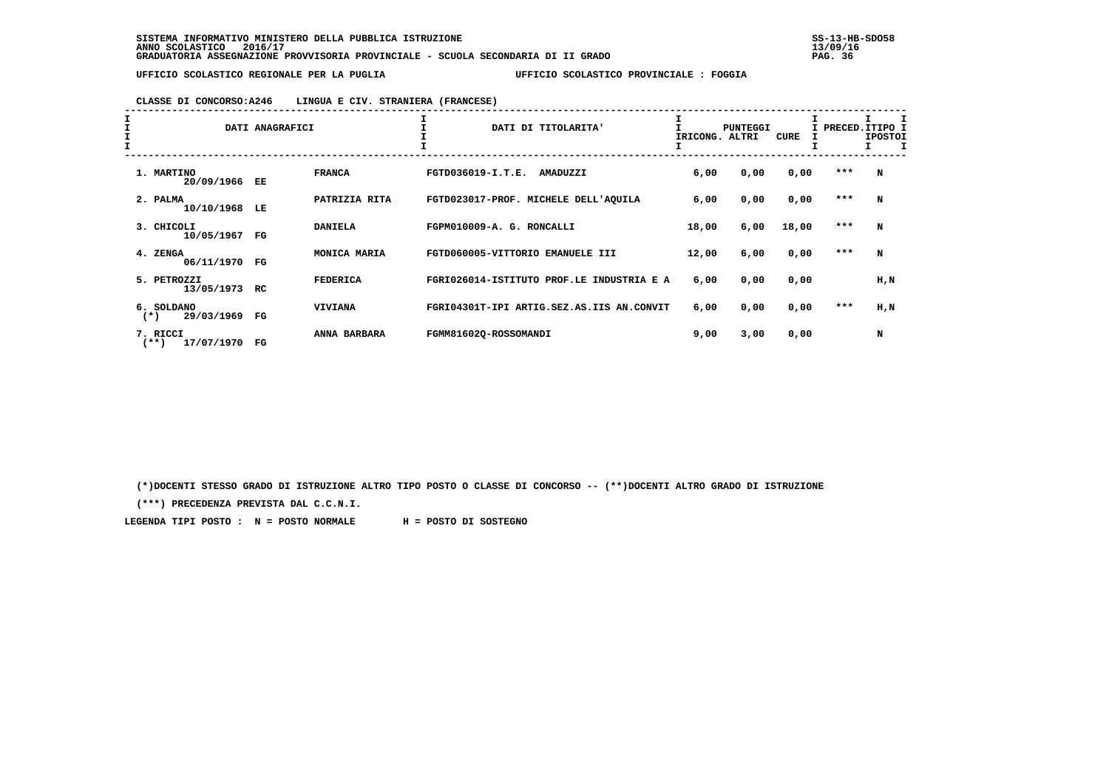# **CLASSE DI CONCORSO:A246 LINGUA E CIV. STRANIERA (FRANCESE)**

| $\begin{array}{c}\nI \\ I \\ I\n\end{array}$ |                                   | DATI ANAGRAFICI |                 | DATI DI TITOLARITA'                       | IRICONG. | <b>PUNTEGGI</b><br>ALTRI | CURE  | I PRECED. ITIPO I<br>I. | <b>IPOSTOI</b><br>I.<br>T |
|----------------------------------------------|-----------------------------------|-----------------|-----------------|-------------------------------------------|----------|--------------------------|-------|-------------------------|---------------------------|
|                                              | 1. MARTINO<br>20/09/1966          | EE              | <b>FRANCA</b>   | FGTD036019-I.T.E.<br>AMADUZZI             | 6,00     | 0,00                     | 0,00  | $* * *$                 | N                         |
|                                              | 2. PALMA<br>10/10/1968            | LE              | PATRIZIA RITA   | FGTD023017-PROF. MICHELE DELL'AOUILA      | 6,00     | 0,00                     | 0,00  | $* * *$                 | N                         |
|                                              | 3. CHICOLI<br>10/05/1967          | FG              | <b>DANIELA</b>  | FGPM010009-A. G. RONCALLI                 | 18,00    | 6,00                     | 18,00 | ***                     | N                         |
|                                              | 4. ZENGA<br>06/11/1970            | $_{\rm FG}$     | MONICA MARIA    | FGTD060005-VITTORIO EMANUELE III          | 12,00    | 6,00                     | 0,00  | $* * *$                 | N                         |
|                                              | 5. PETROZZI<br>13/05/1973         | <b>RC</b>       | <b>FEDERICA</b> | FGRI026014-ISTITUTO PROF.LE INDUSTRIA E A | 6,00     | 0,00                     | 0,00  |                         | H,N                       |
|                                              | 6. SOLDANO<br>29/03/1969<br>$(*)$ | FG              | <b>VIVIANA</b>  | FGRI04301T-IPI ARTIG.SEZ.AS.IIS AN.CONVIT | 6,00     | 0,00                     | 0,00  | ***                     | H,N                       |
|                                              | 7. RICCI<br>17/07/1970<br>$(**)$  | $_{\rm FG}$     | ANNA BARBARA    | FGMM81602Q-ROSSOMANDI                     | 9,00     | 3,00                     | 0,00  |                         | N                         |

 **(\*)DOCENTI STESSO GRADO DI ISTRUZIONE ALTRO TIPO POSTO O CLASSE DI CONCORSO -- (\*\*)DOCENTI ALTRO GRADO DI ISTRUZIONE**

 **(\*\*\*) PRECEDENZA PREVISTA DAL C.C.N.I.**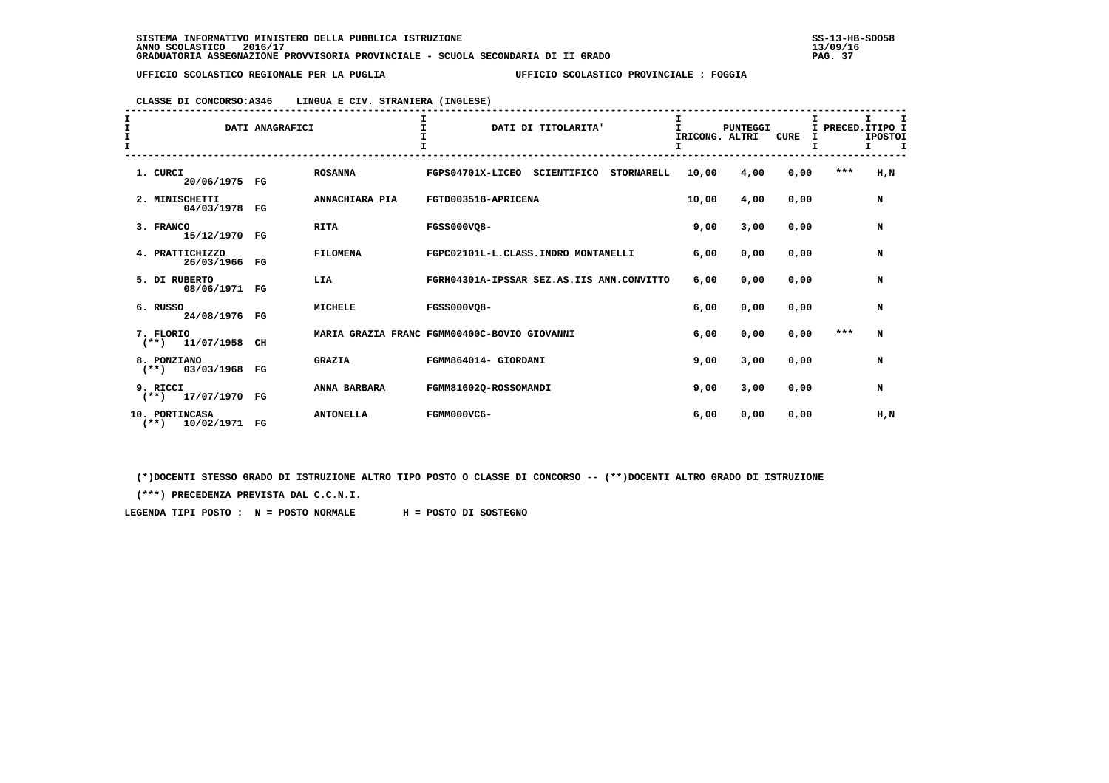## **CLASSE DI CONCORSO:A346 LINGUA E CIV. STRANIERA (INGLESE)**

| I<br>I<br>$\frac{1}{1}$ | DATI ANAGRAFICI                          |  |             |                  | $\mathbf{T}$<br>DATI DI TITOLARITA'                  | I<br>$\mathbf{I}$<br>IRICONG. ALTRI | PUNTEGGI | <b>CURE</b><br>I |       | I.<br>I PRECED. ITIPO I<br><b>IPOSTOI</b><br>$\mathbf{T}$<br>Τ. |
|-------------------------|------------------------------------------|--|-------------|------------------|------------------------------------------------------|-------------------------------------|----------|------------------|-------|-----------------------------------------------------------------|
|                         | 1. CURCI<br>20/06/1975 FG                |  |             | <b>ROSANNA</b>   | FGPS04701X-LICEO<br>SCIENTIFICO<br><b>STORNARELL</b> | 10,00                               | 4,00     | 0,00             | ***   | H, N                                                            |
|                         | 2. MINISCHETTI<br>04/03/1978             |  | $_{\rm FG}$ | ANNACHIARA PIA   | FGTD00351B-APRICENA                                  | 10,00                               | 4,00     | 0,00             |       | N                                                               |
|                         | 3. FRANCO<br>15/12/1970                  |  | $_{\rm FG}$ | <b>RITA</b>      | <b>FGSS000VO8-</b>                                   | 9,00                                | 3,00     | 0,00             |       | N                                                               |
|                         | 4. PRATTICHIZZO<br>26/03/1966 FG         |  |             | <b>FILOMENA</b>  | FGPC02101L-L.CLASS.INDRO MONTANELLI                  | 6,00                                | 0,00     | 0,00             |       | N                                                               |
|                         | 5. DI RUBERTO<br>08/06/1971 FG           |  |             | LIA              | FGRH04301A-IPSSAR SEZ.AS.IIS ANN.CONVITTO            | 6,00                                | 0,00     | 0,00             |       | N                                                               |
|                         | 6. RUSSO<br>24/08/1976 FG                |  |             | <b>MICHELE</b>   | <b>FGSS000VO8-</b>                                   | 6,00                                | 0,00     | 0,00             |       | N                                                               |
|                         | 7. FLORIO<br>11/07/1958<br>$(**)$        |  | CH          |                  | MARIA GRAZIA FRANC FGMM00400C-BOVIO GIOVANNI         | 6,00                                | 0,00     | 0,00             | $***$ | N                                                               |
|                         | 8. PONZIANO<br>03/03/1968<br>$(**)$      |  | $_{\rm FG}$ | <b>GRAZIA</b>    | FGMM864014- GIORDANI                                 | 9,00                                | 3,00     | 0,00             |       | N                                                               |
|                         | 9. RICCI<br>$(**)$ 17/07/1970            |  | $_{\rm FG}$ | ANNA BARBARA     | FGMM816020-ROSSOMANDI                                | 9,00                                | 3,00     | 0,00             |       | N                                                               |
|                         | 10. PORTINCASA<br>$***$<br>10/02/1971 FG |  |             | <b>ANTONELLA</b> | FGMM000VC6-                                          | 6,00                                | 0,00     | 0,00             |       | H,N                                                             |

 **(\*)DOCENTI STESSO GRADO DI ISTRUZIONE ALTRO TIPO POSTO O CLASSE DI CONCORSO -- (\*\*)DOCENTI ALTRO GRADO DI ISTRUZIONE**

 **(\*\*\*) PRECEDENZA PREVISTA DAL C.C.N.I.**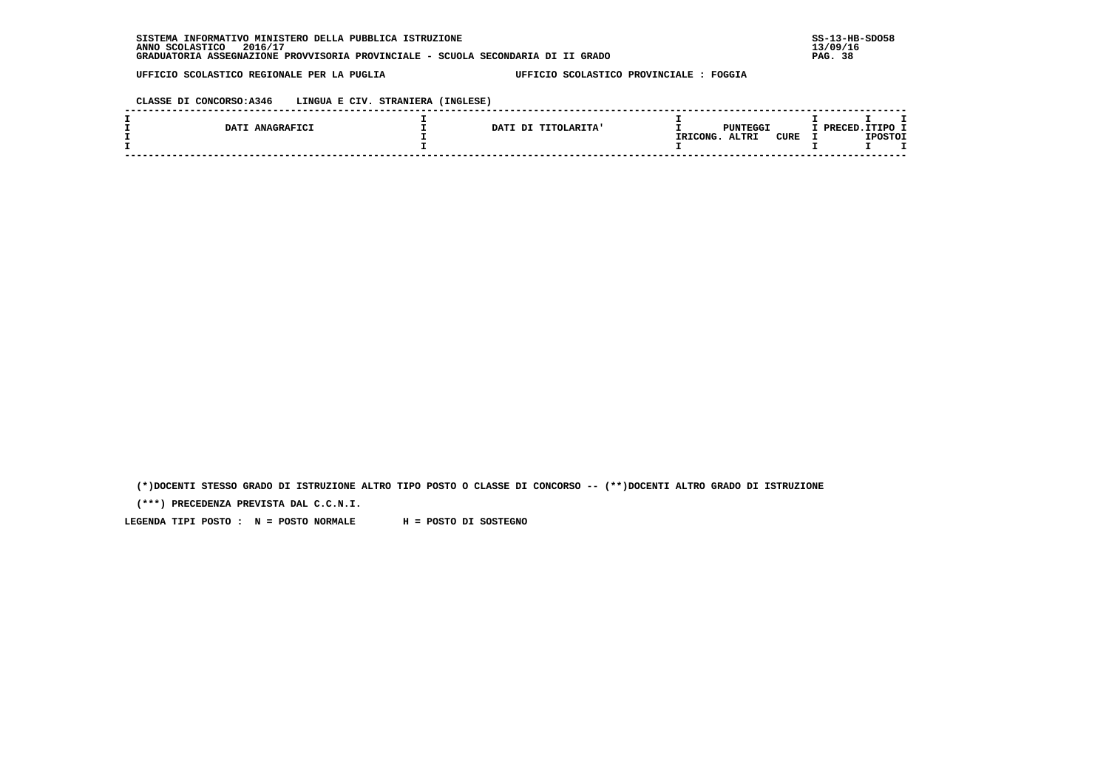**CLASSE DI CONCORSO:A346 LINGUA E CIV. STRANIERA (INGLESE)**

|     | ANAGRAFICI<br>DAT? | <b>DATI</b><br>יח<br><b>TITOLARITA'</b> | <b>PUNTEGGI</b>                  | /פסמ |                |  |
|-----|--------------------|-----------------------------------------|----------------------------------|------|----------------|--|
|     |                    |                                         | ALTRI<br><b>CURE</b><br>IRICONG. |      | <b>TPOSTOT</b> |  |
| ___ |                    |                                         |                                  |      |                |  |

 **(\*)DOCENTI STESSO GRADO DI ISTRUZIONE ALTRO TIPO POSTO O CLASSE DI CONCORSO -- (\*\*)DOCENTI ALTRO GRADO DI ISTRUZIONE**

 **(\*\*\*) PRECEDENZA PREVISTA DAL C.C.N.I.**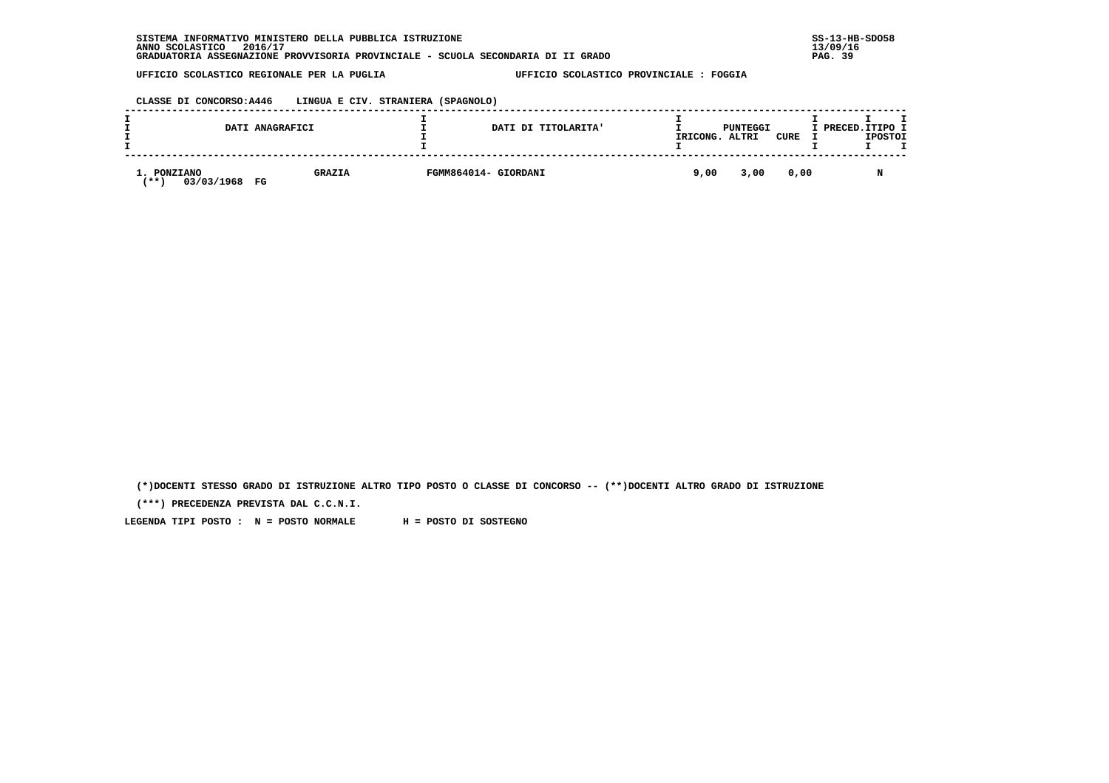**CLASSE DI CONCORSO:A446 LINGUA E CIV. STRANIERA (SPAGNOLO)**

|                                        | DATI ANAGRAFICI     | DATI DI TITOLARITA'  | IRICONG. | PUNTEGGI<br>ALTRI | CURE | I PRECED. ITIPO I<br><b>IPOSTOI</b> |
|----------------------------------------|---------------------|----------------------|----------|-------------------|------|-------------------------------------|
| 1. PONZIANO<br>03/03/1968<br><b>**</b> | <b>GRAZIA</b><br>FG | FGMM864014- GIORDANI | 9,00     | 3,00              | 0,00 |                                     |

 **(\*)DOCENTI STESSO GRADO DI ISTRUZIONE ALTRO TIPO POSTO O CLASSE DI CONCORSO -- (\*\*)DOCENTI ALTRO GRADO DI ISTRUZIONE**

 **(\*\*\*) PRECEDENZA PREVISTA DAL C.C.N.I.**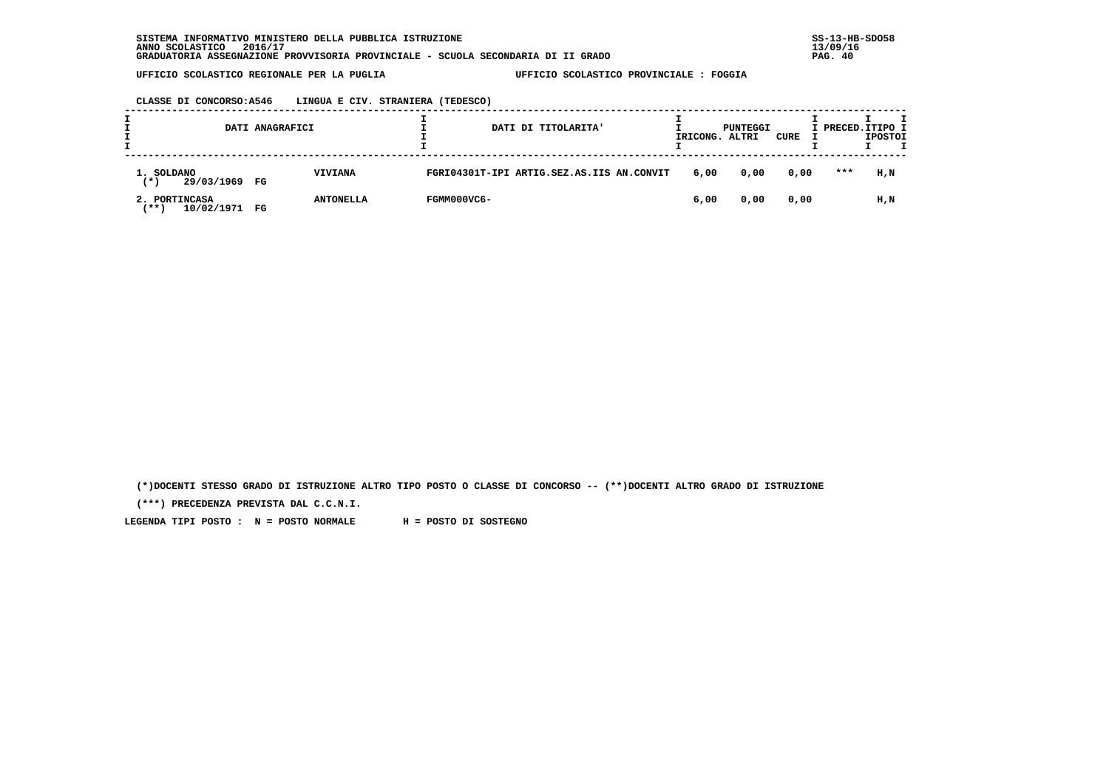|                                           | DATI ANAGRAFICI |                  |             | DATI DI TITOLARITA'                       | IRICONG. | PUNTEGGI<br>ALTRI | CURE | I PRECED.ITIPO I | <b>IPOSTOI</b> | т |
|-------------------------------------------|-----------------|------------------|-------------|-------------------------------------------|----------|-------------------|------|------------------|----------------|---|
| 1. SOLDANO<br>29/03/1969<br>(*)           | $_{\rm FG}$     | <b>VIVIANA</b>   |             | FGRI04301T-IPI ARTIG.SEZ.AS.IIS AN.CONVIT | 6,00     | 0,00              | 0,00 | $***$            | H,N            |   |
| 2. PORTINCASA<br>10/02/1971<br><b>***</b> | FG              | <b>ANTONELLA</b> | FGMM000VC6- |                                           | 6,00     | 0,00              | 0,00 |                  | H,N            |   |

 **(\*)DOCENTI STESSO GRADO DI ISTRUZIONE ALTRO TIPO POSTO O CLASSE DI CONCORSO -- (\*\*)DOCENTI ALTRO GRADO DI ISTRUZIONE**

 **(\*\*\*) PRECEDENZA PREVISTA DAL C.C.N.I.**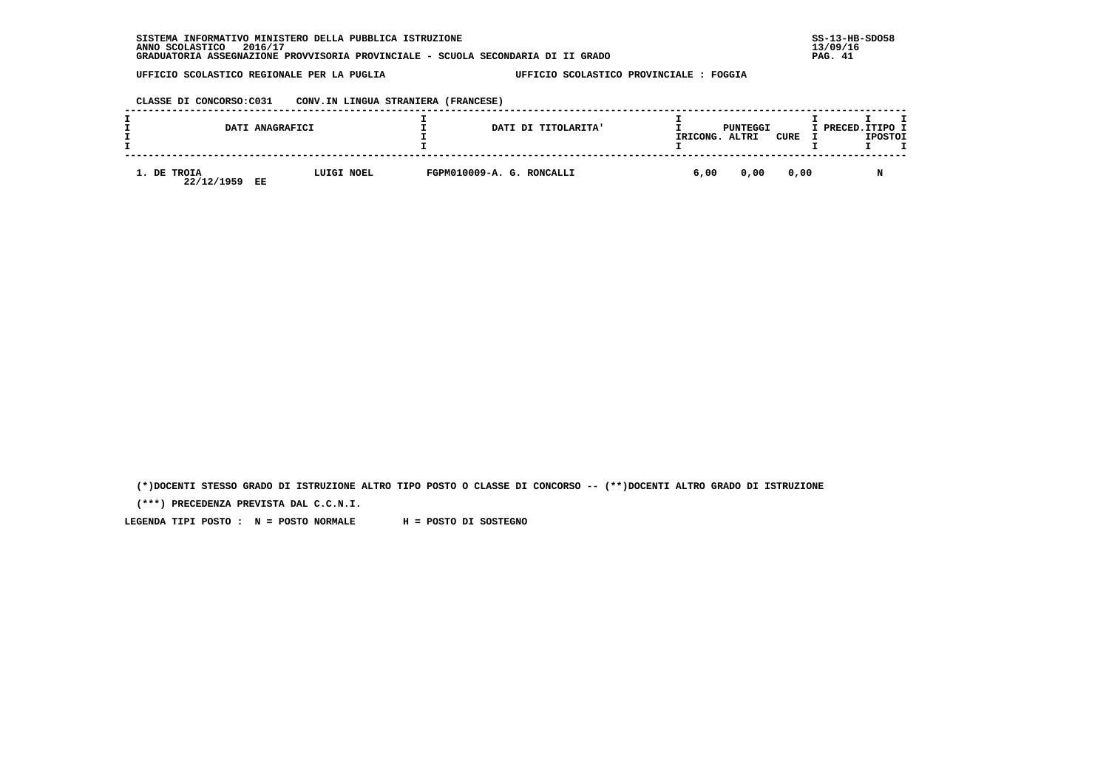**CLASSE DI CONCORSO:C031 CONV.IN LINGUA STRANIERA (FRANCESE)**

| DATI ANAGRAFICI                 |            | DATI DI TITOLARITA'       | IRICONG. | PUNTEGGI<br>ALTRI | CURE | I PRECED.ITIPO I | <b>IPOSTOI</b> |  |
|---------------------------------|------------|---------------------------|----------|-------------------|------|------------------|----------------|--|
| 1. DE TROIA<br>22/12/1959<br>EE | LUIGI NOEL | FGPM010009-A. G. RONCALLI | 6,00     | 0,00              | 0,00 |                  |                |  |

 **(\*)DOCENTI STESSO GRADO DI ISTRUZIONE ALTRO TIPO POSTO O CLASSE DI CONCORSO -- (\*\*)DOCENTI ALTRO GRADO DI ISTRUZIONE**

 **(\*\*\*) PRECEDENZA PREVISTA DAL C.C.N.I.**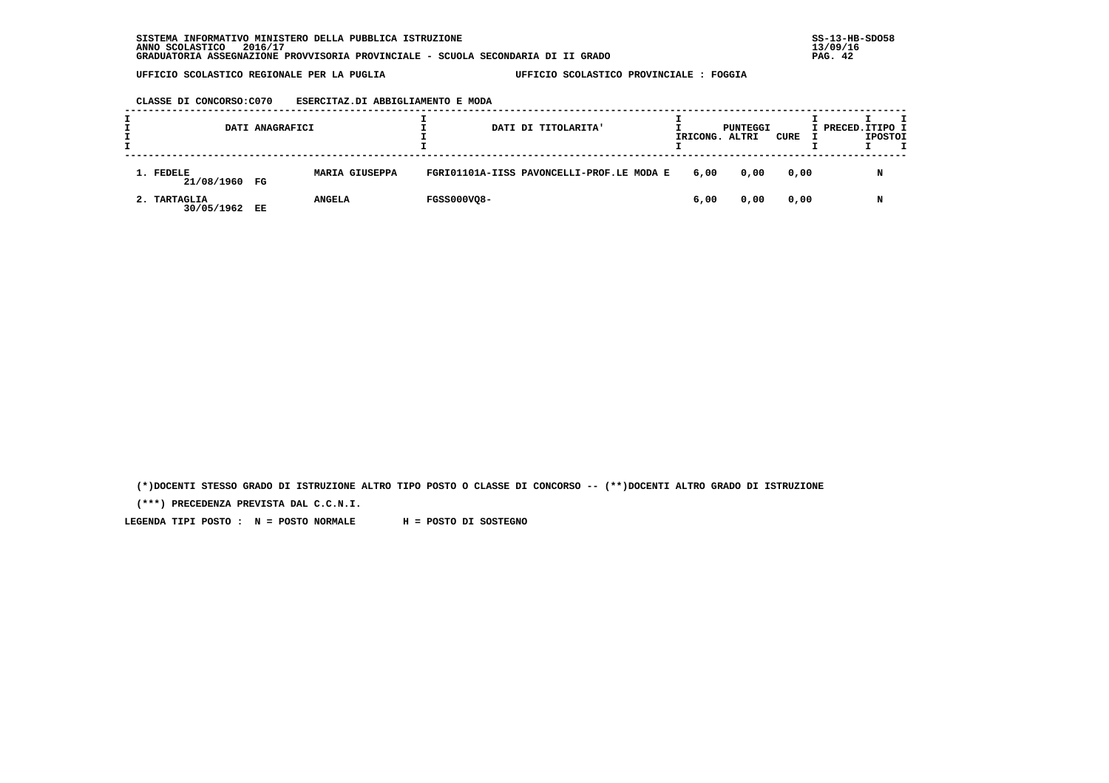|                            | DATI ANAGRAFICI |                       |                    | DATI DI TITOLARITA'                       | IRICONG. ALTRI | PUNTEGGI | CURE | I PRECED. ITIPO I | <b>IPOSTOI</b> | т |
|----------------------------|-----------------|-----------------------|--------------------|-------------------------------------------|----------------|----------|------|-------------------|----------------|---|
| 1. FEDELE<br>21/08/1960 FG |                 | <b>MARIA GIUSEPPA</b> |                    | FGRI01101A-IISS PAVONCELLI-PROF.LE MODA E | 6,00           | 0,00     | 0,00 |                   | N              |   |
| 2. TARTAGLIA<br>30/05/1962 | EE              | <b>ANGELA</b>         | <b>FGSS000VQ8-</b> |                                           | 6,00           | 0,00     | 0,00 |                   | N              |   |

 **(\*)DOCENTI STESSO GRADO DI ISTRUZIONE ALTRO TIPO POSTO O CLASSE DI CONCORSO -- (\*\*)DOCENTI ALTRO GRADO DI ISTRUZIONE**

 **(\*\*\*) PRECEDENZA PREVISTA DAL C.C.N.I.**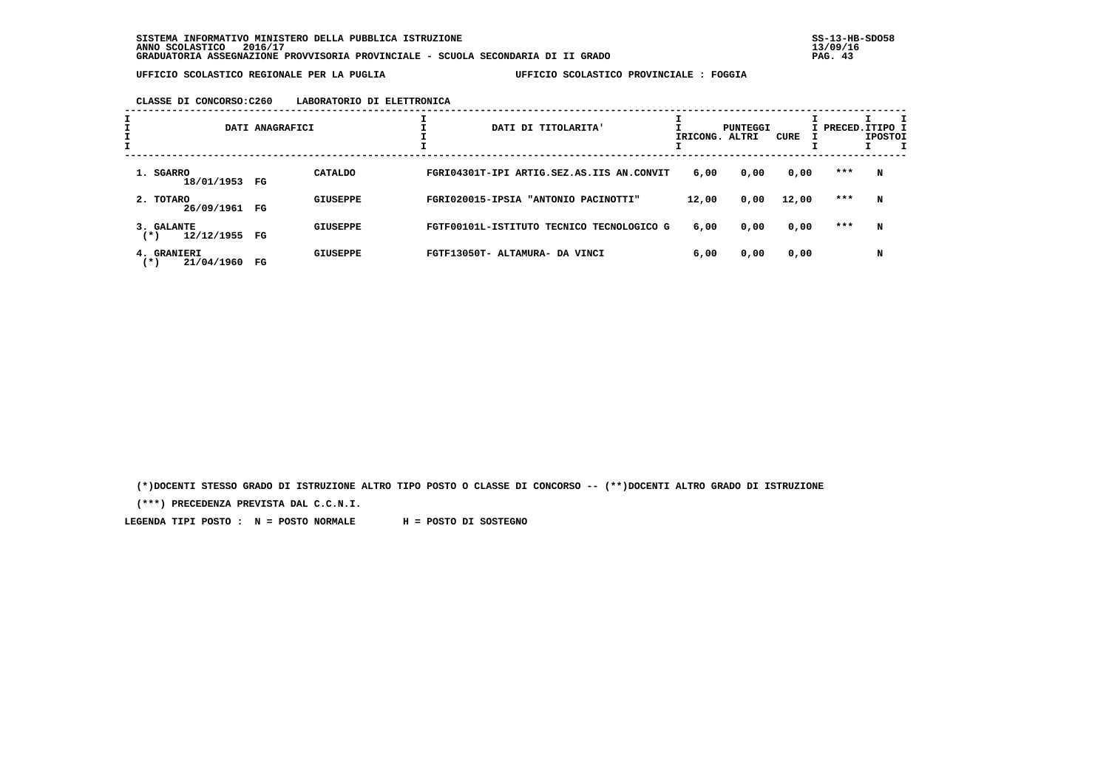## **CLASSE DI CONCORSO:C260 LABORATORIO DI ELETTRONICA**

| I | DATI ANAGRAFICI                         |    |                 | DATI DI TITOLARITA' |                                           |       | PUNTEGGI<br>IRICONG. ALTRI | CURE  | I PRECED.ITIPO I | <b>IPOSTOI</b> |
|---|-----------------------------------------|----|-----------------|---------------------|-------------------------------------------|-------|----------------------------|-------|------------------|----------------|
|   | 1. SGARRO<br>18/01/1953 FG              |    | <b>CATALDO</b>  |                     | FGRI04301T-IPI ARTIG.SEZ.AS.IIS AN.CONVIT | 6,00  | 0,00                       | 0,00  | $***$            | N              |
|   | 2. TOTARO<br>26/09/1961                 | FG | <b>GIUSEPPE</b> |                     | FGRI020015-IPSIA "ANTONIO PACINOTTI"      | 12,00 | 0,00                       | 12,00 | ***              | N              |
|   | 3. GALANTE<br>12/12/1955 FG<br>$^{(*)}$ |    | <b>GIUSEPPE</b> |                     | FGTF00101L-ISTITUTO TECNICO TECNOLOGICO G | 6,00  | 0,00                       | 0,00  | $***$            | N              |
|   | 4. GRANIERI<br>21/04/1960<br>(*)        | FG | <b>GIUSEPPE</b> |                     | FGTF13050T- ALTAMURA- DA VINCI            | 6,00  | 0,00                       | 0,00  |                  | N              |

 **(\*)DOCENTI STESSO GRADO DI ISTRUZIONE ALTRO TIPO POSTO O CLASSE DI CONCORSO -- (\*\*)DOCENTI ALTRO GRADO DI ISTRUZIONE**

 **(\*\*\*) PRECEDENZA PREVISTA DAL C.C.N.I.**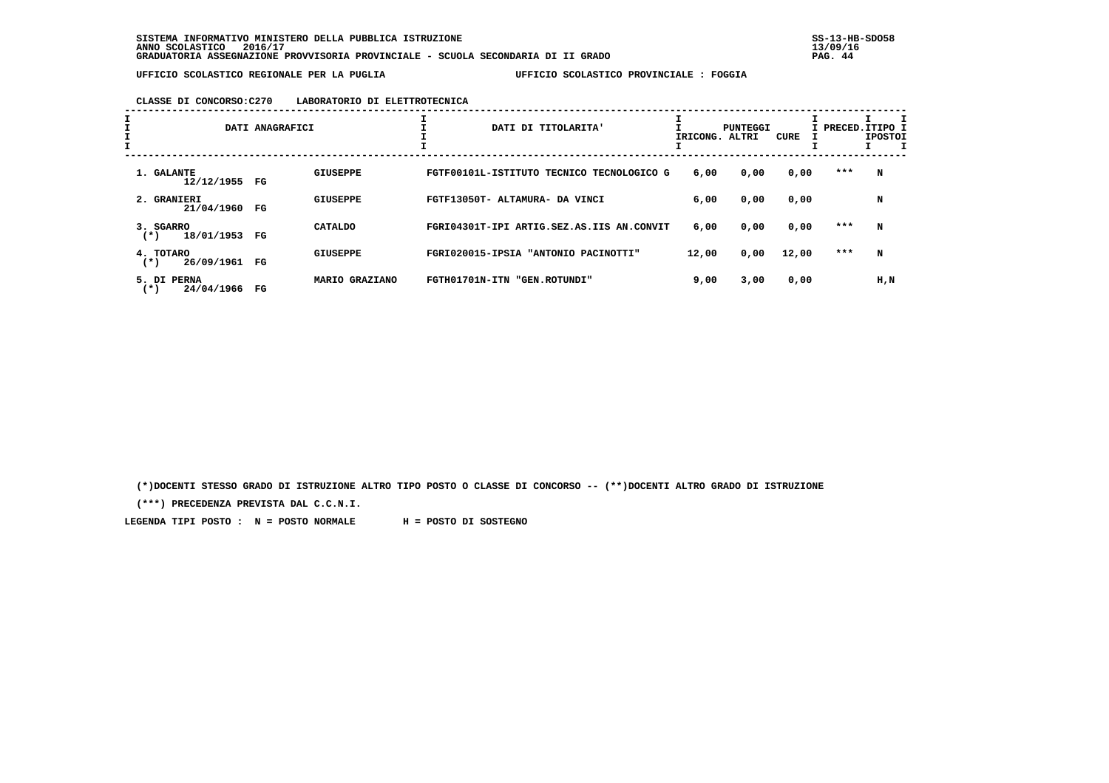## **CLASSE DI CONCORSO:C270 LABORATORIO DI ELETTROTECNICA**

| $\mathbf{I}$ | DATI ANAGRAFICI                    |             | ∸<br>DATI DI TITOLARITA'<br>IRICONG. ALTRI |                                           |       | CURE | I PRECED.ITIPO 1 | <b>IPOSTOI</b><br>$\mathbf I$ |     |
|--------------|------------------------------------|-------------|--------------------------------------------|-------------------------------------------|-------|------|------------------|-------------------------------|-----|
|              | 1. GALANTE<br>12/12/1955 FG        |             | GIUSEPPE                                   | FGTF00101L-ISTITUTO TECNICO TECNOLOGICO G | 6,00  | 0,00 | 0,00             | ***                           | N   |
|              | 2. GRANIERI<br>21/04/1960          | FG          | <b>GIUSEPPE</b>                            | FGTF13050T- ALTAMURA- DA VINCI            | 6,00  | 0,00 | 0,00             |                               | N   |
|              | 3. SGARRO<br>18/01/1953<br>$(*)$   | $_{\rm FG}$ | CATALDO                                    | FGRI04301T-IPI ARTIG.SEZ.AS.IIS AN.CONVIT | 6,00  | 0,00 | 0,00             | ***                           | N   |
|              | 4. TOTARO<br>26/09/1961<br>$(*)$   | $_{\rm FG}$ | <b>GIUSEPPE</b>                            | FGRI020015-IPSIA "ANTONIO PACINOTTI"      | 12,00 | 0,00 | 12,00            | ***                           | N   |
|              | 5. DI PERNA<br>24/04/1966<br>$(*)$ | $_{\rm FG}$ | MARIO GRAZIANO                             | FGTH01701N-ITN "GEN.ROTUNDI"              | 9,00  | 3,00 | 0,00             |                               | H,N |

 **(\*)DOCENTI STESSO GRADO DI ISTRUZIONE ALTRO TIPO POSTO O CLASSE DI CONCORSO -- (\*\*)DOCENTI ALTRO GRADO DI ISTRUZIONE**

 **(\*\*\*) PRECEDENZA PREVISTA DAL C.C.N.I.**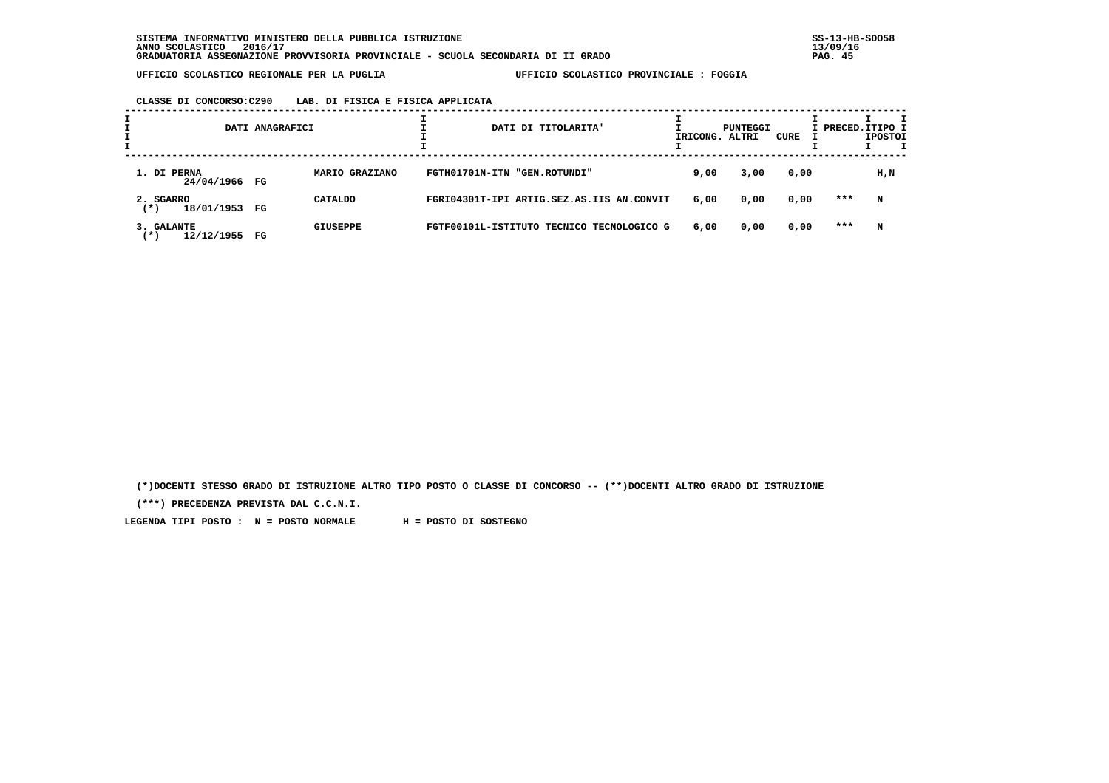# **CLASSE DI CONCORSO:C290 LAB. DI FISICA E FISICA APPLICATA**

|                                   | DATI ANAGRAFICI |                 | DATI DI TITOLARITA'                       | IRICONG. ALTRI | PUNTEGGI | CURE | I PRECED.ITIPO 1 | <b>IPOSTOI</b> |  |
|-----------------------------------|-----------------|-----------------|-------------------------------------------|----------------|----------|------|------------------|----------------|--|
| 1. DI PERNA<br>24/04/1966 FG      |                 | MARIO GRAZIANO  | FGTH01701N-ITN "GEN.ROTUNDI"              | 9,00           | 3,00     | 0,00 |                  | H,N            |  |
| 2. SGARRO<br>18/01/1953 FG<br>(*) |                 | CATALDO         | FGRI04301T-IPI ARTIG.SEZ.AS.IIS AN.CONVIT | 6,00           | 0,00     | 0,00 | ***              | N              |  |
| 3. GALANTE<br>12/12/1955<br>( * ) | $_{\rm FG}$     | <b>GIUSEPPE</b> | FGTF00101L-ISTITUTO TECNICO TECNOLOGICO G | 6,00           | 0,00     | 0,00 | ***              | N              |  |

 **(\*)DOCENTI STESSO GRADO DI ISTRUZIONE ALTRO TIPO POSTO O CLASSE DI CONCORSO -- (\*\*)DOCENTI ALTRO GRADO DI ISTRUZIONE**

 **(\*\*\*) PRECEDENZA PREVISTA DAL C.C.N.I.**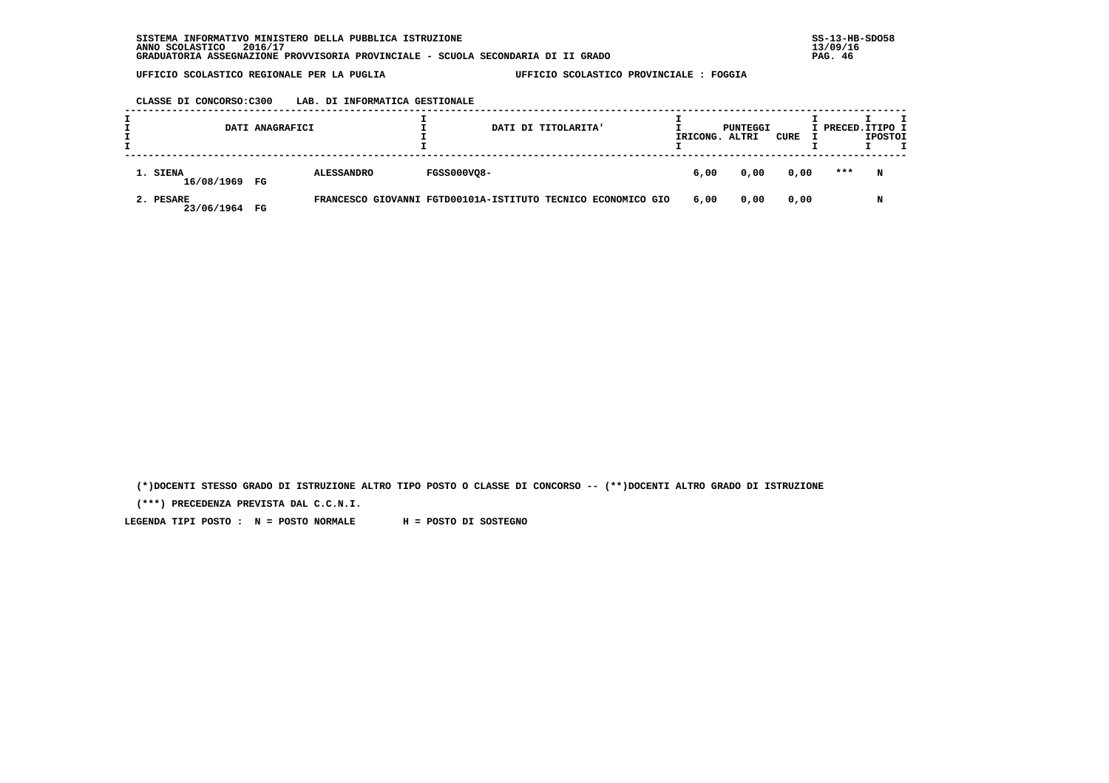## **CLASSE DI CONCORSO:C300 LAB. DI INFORMATICA GESTIONALE**

|                            | DATI ANAGRAFICI |                                                              |                    | DATI DI TITOLARITA' | IRICONG. | PUNTEGGI<br>ALTRI | CURE | I PRECED. ITIPO I | <b>IPOSTOI</b> |  |
|----------------------------|-----------------|--------------------------------------------------------------|--------------------|---------------------|----------|-------------------|------|-------------------|----------------|--|
| 1. SIENA<br>16/08/1969 FG  |                 | <b>ALESSANDRO</b>                                            | <b>FGSS000VQ8-</b> |                     | 6,00     | 0,00              | 0,00 | ***               | N              |  |
| 2. PESARE<br>23/06/1964 FG |                 | FRANCESCO GIOVANNI FGTD00101A-ISTITUTO TECNICO ECONOMICO GIO |                    |                     | 6,00     | 0,00              | 0,00 |                   | N              |  |

 **(\*)DOCENTI STESSO GRADO DI ISTRUZIONE ALTRO TIPO POSTO O CLASSE DI CONCORSO -- (\*\*)DOCENTI ALTRO GRADO DI ISTRUZIONE**

 **(\*\*\*) PRECEDENZA PREVISTA DAL C.C.N.I.**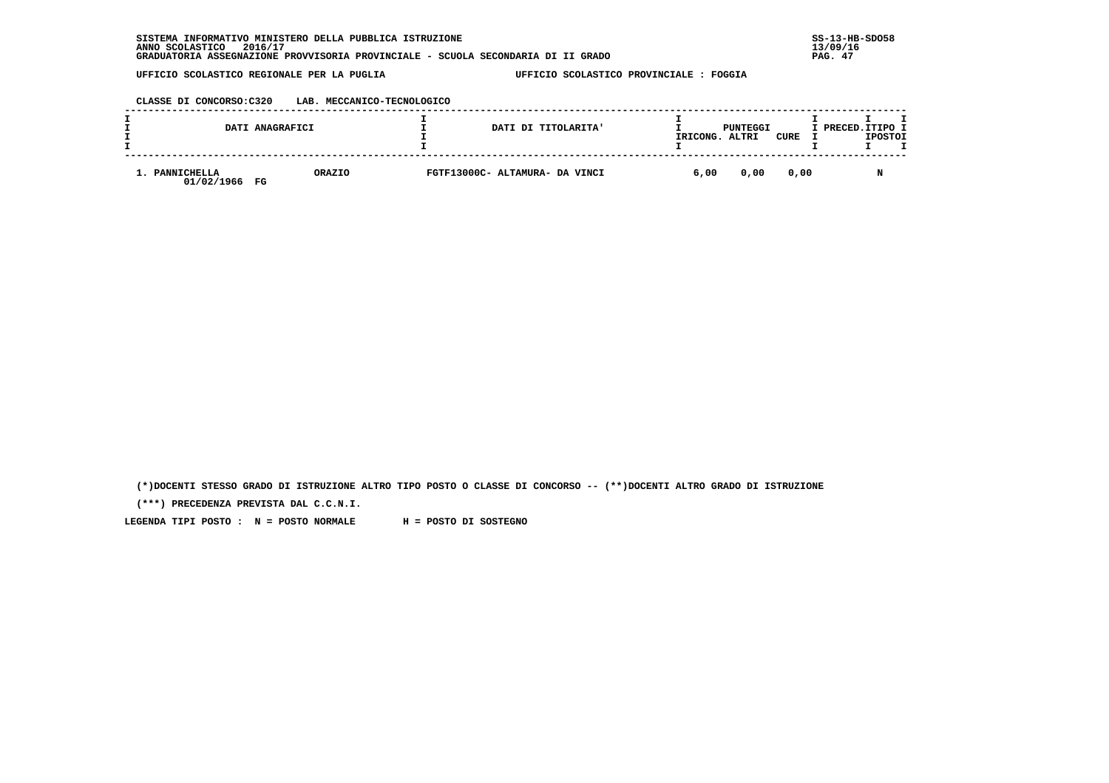|                                | DATI ANAGRAFICI | DATI DI TITOLARITA'            | IRICONG. | PUNTEGGI<br>ALTRI | CURE | I PRECED.ITIPO I | <b>IPOSTOI</b> |  |
|--------------------------------|-----------------|--------------------------------|----------|-------------------|------|------------------|----------------|--|
| . PANNICHELLA<br>01/02/1966 FG | ORAZIO          | FGTF13000C- ALTAMURA- DA VINCI | 6,00     | 0,00              | 0,00 |                  | N              |  |

 **(\*)DOCENTI STESSO GRADO DI ISTRUZIONE ALTRO TIPO POSTO O CLASSE DI CONCORSO -- (\*\*)DOCENTI ALTRO GRADO DI ISTRUZIONE**

 **(\*\*\*) PRECEDENZA PREVISTA DAL C.C.N.I.**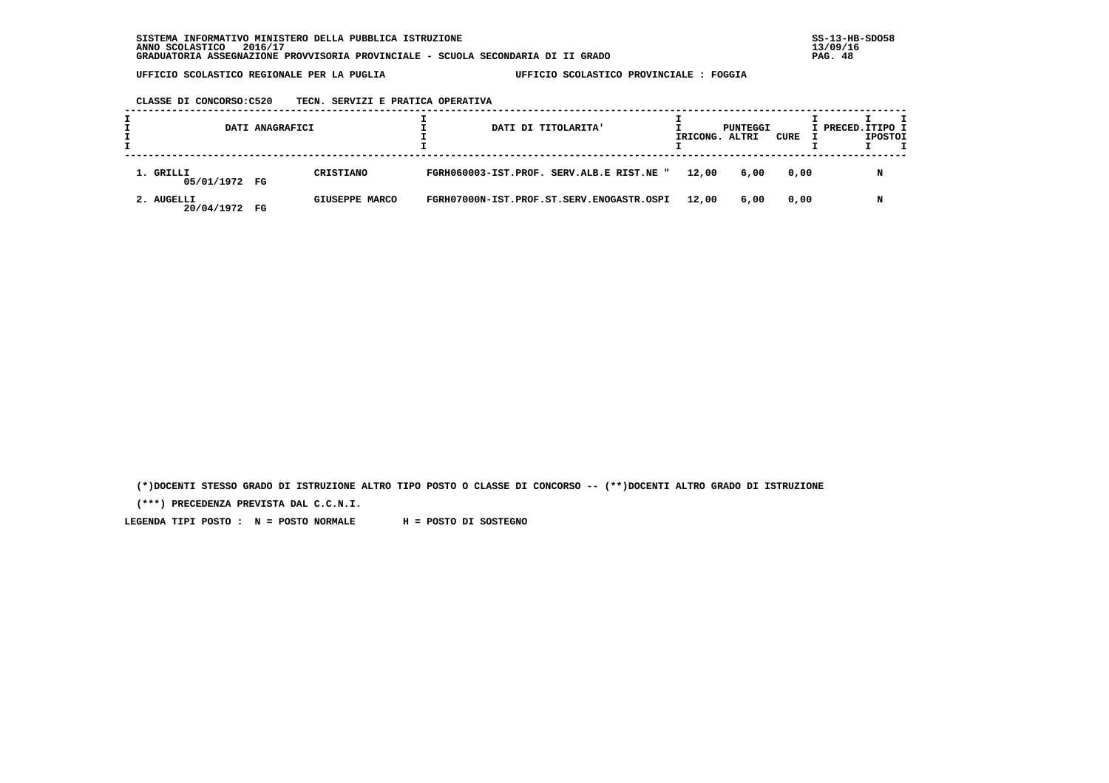# **CLASSE DI CONCORSO:C520 TECN. SERVIZI E PRATICA OPERATIVA**

|                            | DATI ANAGRAFICI |                |  | DATI DI TITOLARITA'                       | IRICONG. ALTRI | PUNTEGGI | CURE | I PRECED. ITIPO I | <b>IPOSTOI</b> |  |
|----------------------------|-----------------|----------------|--|-------------------------------------------|----------------|----------|------|-------------------|----------------|--|
| 1. GRILLI<br>05/01/1972 FG |                 | CRISTIANO      |  | FGRH060003-IST.PROF. SERV.ALB.E RIST.NE " | 12,00          | 6,00     | 0,00 |                   | N              |  |
| 2. AUGELLI<br>20/04/1972   | FG              | GIUSEPPE MARCO |  | FGRH07000N-IST.PROF.ST.SERV.ENOGASTR.OSPI | 12,00          | 6,00     | 0,00 |                   | N              |  |

 **(\*)DOCENTI STESSO GRADO DI ISTRUZIONE ALTRO TIPO POSTO O CLASSE DI CONCORSO -- (\*\*)DOCENTI ALTRO GRADO DI ISTRUZIONE**

 **(\*\*\*) PRECEDENZA PREVISTA DAL C.C.N.I.**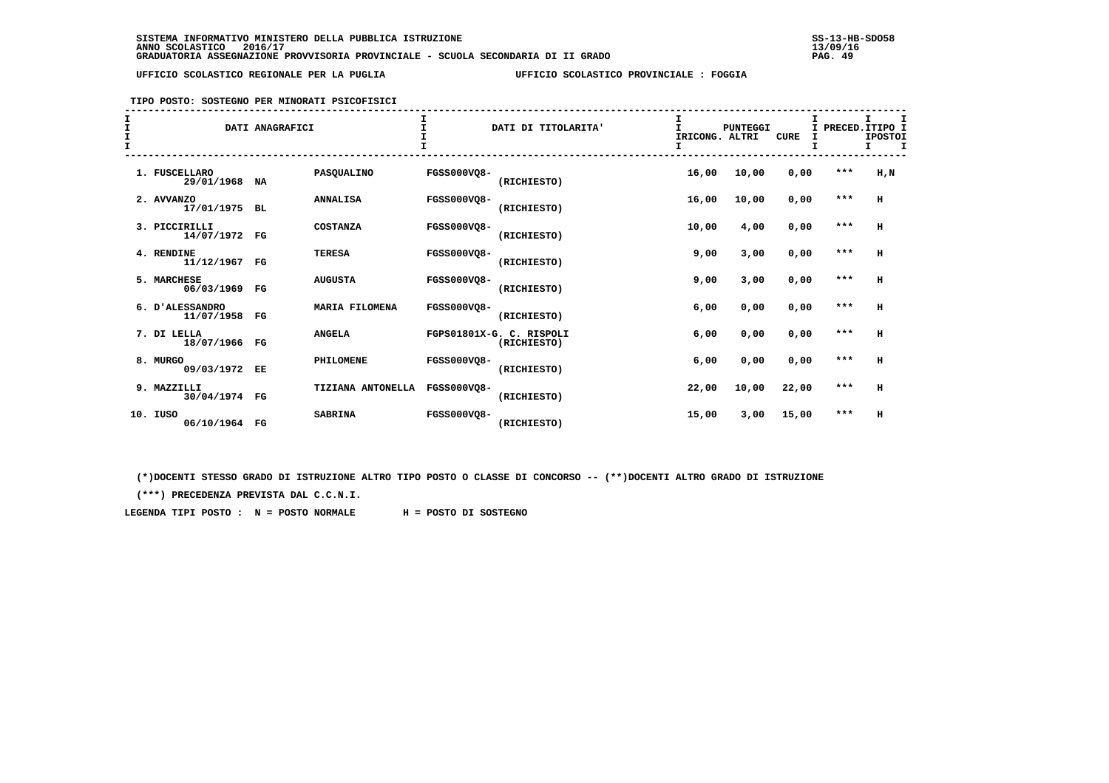## **TIPO POSTO: SOSTEGNO PER MINORATI PSICOFISICI**

| $\frac{1}{1}$<br>$\mathbf{I}$ |                                | DATI ANAGRAFICI |                       |                    | DATI DI TITOLARITA'                     | I<br>T<br>IRICONG. ALTRI<br>I | <b>PUNTEGGI</b> | <b>CURE</b> | $\mathbf{I}$<br>I | т<br>I PRECED. ITIPO I<br><b>IPOSTOI</b><br>I.<br>I |
|-------------------------------|--------------------------------|-----------------|-----------------------|--------------------|-----------------------------------------|-------------------------------|-----------------|-------------|-------------------|-----------------------------------------------------|
|                               | 1. FUSCELLARO<br>29/01/1968    | NA              | PASQUALINO            | FGSS000VO8-        | (RICHIESTO)                             | 16,00                         | 10,00           | 0,00        | $***$             | H, N                                                |
|                               | 2. AVVANZO<br>17/01/1975       | <b>BL</b>       | <b>ANNALISA</b>       | <b>FGSS000VO8-</b> | (RICHIESTO)                             | 16,00                         | 10,00           | 0,00        | $***$             | н                                                   |
|                               | 3. PICCIRILLI<br>14/07/1972 FG |                 | <b>COSTANZA</b>       | <b>FGSS000VQ8-</b> | (RICHIESTO)                             | 10,00                         | 4,00            | 0,00        | $***$             | H                                                   |
|                               | 4. RENDINE<br>11/12/1967 FG    |                 | <b>TERESA</b>         | <b>FGSS000VO8-</b> | (RICHIESTO)                             | 9,00                          | 3,00            | 0,00        | $***$             | H                                                   |
|                               | 5. MARCHESE<br>06/03/1969      | $_{\rm FG}$     | <b>AUGUSTA</b>        | <b>FGSS000VO8-</b> | (RICHIESTO)                             | 9,00                          | 3,00            | 0,00        | $***$             | н                                                   |
|                               | 6. D'ALESSANDRO<br>11/07/1958  | $_{\rm FG}$     | <b>MARIA FILOMENA</b> | <b>FGSS000VO8-</b> | (RICHIESTO)                             | 6,00                          | 0,00            | 0,00        | $***$             | H                                                   |
|                               | 7. DI LELLA<br>18/07/1966 FG   |                 | <b>ANGELA</b>         |                    | FGPS01801X-G. C. RISPOLI<br>(RICHIESTO) | 6,00                          | 0,00            | 0,00        | $***$             | H                                                   |
|                               | 8. MURGO<br>09/03/1972 EE      |                 | PHILOMENE             | <b>FGSS000VO8-</b> | (RICHIESTO)                             | 6,00                          | 0,00            | 0,00        | $***$             | н                                                   |
|                               | 9. MAZZILLI<br>30/04/1974 FG   |                 | TIZIANA ANTONELLA     | <b>FGSS000VO8-</b> | (RICHIESTO)                             | 22,00                         | 10,00           | 22,00       | $***$             | н                                                   |
| 10.                           | IUSO<br>06/10/1964 FG          |                 | <b>SABRINA</b>        | <b>FGSS000VO8-</b> | (RICHIESTO)                             | 15,00                         | 3,00            | 15,00       | $***$             | н                                                   |

 **(\*)DOCENTI STESSO GRADO DI ISTRUZIONE ALTRO TIPO POSTO O CLASSE DI CONCORSO -- (\*\*)DOCENTI ALTRO GRADO DI ISTRUZIONE**

 **(\*\*\*) PRECEDENZA PREVISTA DAL C.C.N.I.**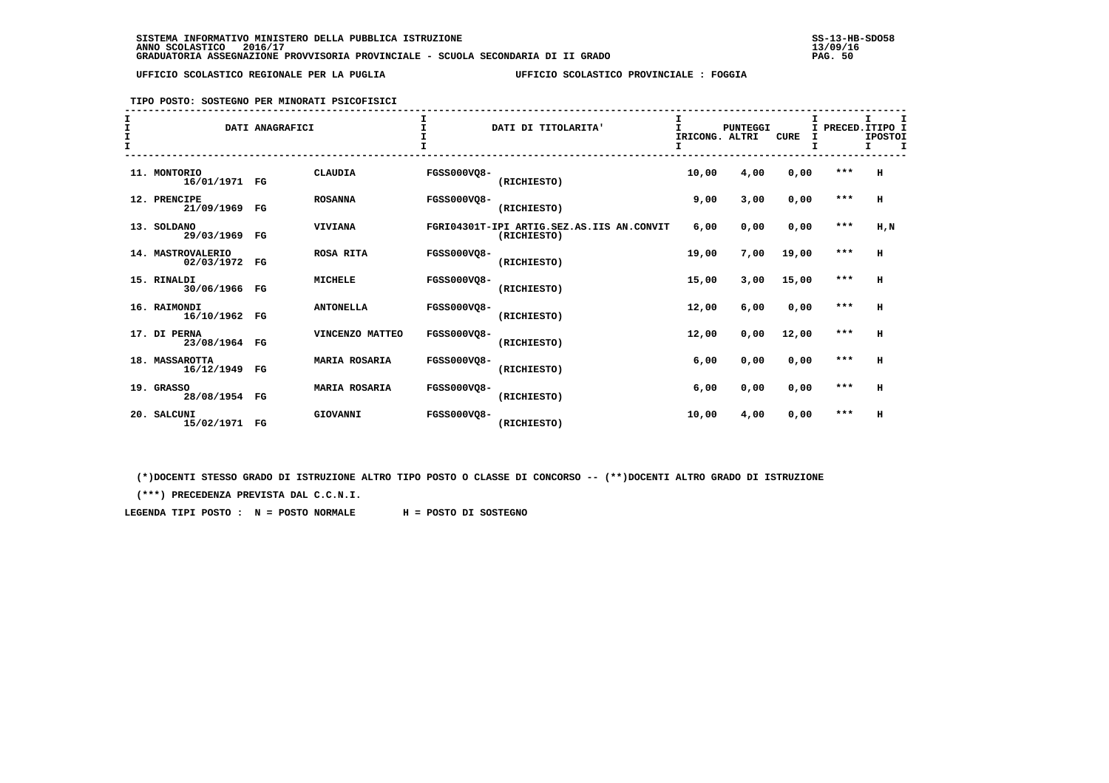#### **TIPO POSTO: SOSTEGNO PER MINORATI PSICOFISICI**

| I<br>$\mathbf{I}$ |                                    | DATI ANAGRAFICI |                      |                    | DATI DI TITOLARITA'                                      | I<br>IRICONG. ALTRI<br>I | <b>PUNTEGGI</b> | <b>CURE</b> |       | I<br>PRECED. ITIPO I<br><b>IPOSTOI</b><br>I.<br>I |
|-------------------|------------------------------------|-----------------|----------------------|--------------------|----------------------------------------------------------|--------------------------|-----------------|-------------|-------|---------------------------------------------------|
|                   | 11. MONTORIO<br>16/01/1971 FG      |                 | <b>CLAUDIA</b>       | <b>FGSS000VQ8-</b> | (RICHIESTO)                                              | 10,00                    | 4,00            | 0,00        | ***   | H                                                 |
|                   | 12. PRENCIPE<br>21/09/1969         | $_{\rm FG}$     | <b>ROSANNA</b>       | <b>FGSS000VQ8-</b> | (RICHIESTO)                                              | 9,00                     | 3,00            | 0,00        | $***$ | H                                                 |
|                   | 13. SOLDANO<br>29/03/1969 FG       |                 | <b>VIVIANA</b>       |                    | FGRI04301T-IPI ARTIG.SEZ.AS.IIS AN.CONVIT<br>(RICHIESTO) | 6,00                     | 0,00            | 0,00        | $***$ | H, N                                              |
|                   | 14. MASTROVALERIO<br>02/03/1972 FG |                 | <b>ROSA RITA</b>     | <b>FGSS000VO8-</b> | (RICHIESTO)                                              | 19,00                    | 7,00            | 19,00       | $***$ | H                                                 |
|                   | 15. RINALDI<br>30/06/1966 FG       |                 | <b>MICHELE</b>       | <b>FGSS000VO8-</b> | (RICHIESTO)                                              | 15,00                    | 3,00            | 15,00       | $***$ | H                                                 |
|                   | 16. RAIMONDI<br>16/10/1962 FG      |                 | <b>ANTONELLA</b>     | <b>FGSS000VO8-</b> | (RICHIESTO)                                              | 12,00                    | 6,00            | 0,00        | $***$ | H                                                 |
|                   | 17. DI PERNA<br>23/08/1964 FG      |                 | VINCENZO MATTEO      | <b>FGSS000VO8-</b> | (RICHIESTO)                                              | 12,00                    | 0,00            | 12,00       | $***$ | H                                                 |
|                   | 18. MASSAROTTA<br>16/12/1949 FG    |                 | <b>MARIA ROSARIA</b> | <b>FGSS000VO8-</b> | (RICHIESTO)                                              | 6,00                     | 0,00            | 0,00        | $***$ | H                                                 |
|                   | 19. GRASSO<br>28/08/1954 FG        |                 | <b>MARIA ROSARIA</b> | <b>FGSS000VQ8-</b> | (RICHIESTO)                                              | 6,00                     | 0,00            | 0,00        | $***$ | н                                                 |
|                   | 20. SALCUNI<br>15/02/1971 FG       |                 | GIOVANNI             | <b>FGSS000VO8-</b> | (RICHIESTO)                                              | 10,00                    | 4,00            | 0,00        | $***$ | н                                                 |

 **(\*)DOCENTI STESSO GRADO DI ISTRUZIONE ALTRO TIPO POSTO O CLASSE DI CONCORSO -- (\*\*)DOCENTI ALTRO GRADO DI ISTRUZIONE**

 **(\*\*\*) PRECEDENZA PREVISTA DAL C.C.N.I.**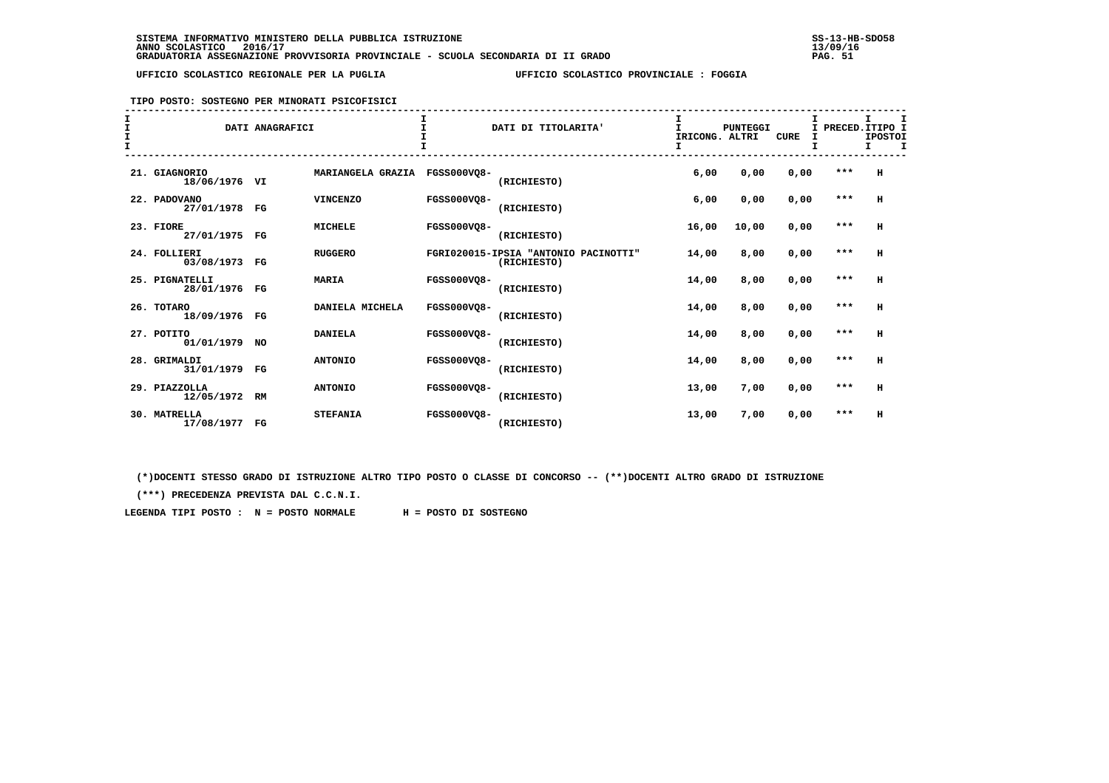# **TIPO POSTO: SOSTEGNO PER MINORATI PSICOFISICI**

| $\mathbf{I}$<br>$\mathbf{I}$<br>$\mathbf{I}$ |                                 | DATI ANAGRAFICI |                   |                    | DATI DI TITOLARITA'                                 | I.<br>IRICONG. ALTRI<br>I | <b>PUNTEGGI</b> | <b>CURE</b> | I     | т<br>I PRECED. ITIPO I<br><b>IPOSTOI</b><br>т |
|----------------------------------------------|---------------------------------|-----------------|-------------------|--------------------|-----------------------------------------------------|---------------------------|-----------------|-------------|-------|-----------------------------------------------|
|                                              | 21. GIAGNORIO<br>18/06/1976 VI  |                 | MARIANGELA GRAZIA | <b>FGSS000VO8-</b> | (RICHIESTO)                                         | 6,00                      | 0,00            | 0,00        | $***$ | н                                             |
|                                              | 22. PADOVANO<br>27/01/1978 FG   |                 | <b>VINCENZO</b>   | <b>FGSS000VQ8-</b> | (RICHIESTO)                                         | 6,00                      | 0,00            | 0,00        | $***$ | H                                             |
|                                              | 23. FIORE<br>27/01/1975 FG      |                 | <b>MICHELE</b>    | <b>FGSS000VO8-</b> | (RICHIESTO)                                         | 16,00                     | 10,00           | 0,00        | $***$ | H                                             |
|                                              | 24. FOLLIERI<br>03/08/1973 FG   |                 | <b>RUGGERO</b>    |                    | FGRI020015-IPSIA "ANTONIO PACINOTTI"<br>(RICHIESTO) | 14,00                     | 8,00            | 0,00        | $***$ | H                                             |
|                                              | 25. PIGNATELLI<br>28/01/1976 FG |                 | <b>MARIA</b>      | <b>FGSS000VQ8-</b> | (RICHIESTO)                                         | 14,00                     | 8,00            | 0,00        | $***$ | н                                             |
|                                              | 26. TOTARO<br>18/09/1976 FG     |                 | DANIELA MICHELA   | <b>FGSS000VO8-</b> | (RICHIESTO)                                         | 14,00                     | 8,00            | 0,00        | ***   | н                                             |
|                                              | 27. POTITO<br>01/01/1979 NO     |                 | <b>DANIELA</b>    | <b>FGSS000VO8-</b> | (RICHIESTO)                                         | 14,00                     | 8,00            | 0,00        | $***$ | н                                             |
|                                              | 28. GRIMALDI<br>31/01/1979 FG   |                 | <b>ANTONIO</b>    | <b>FGSS000VO8-</b> | (RICHIESTO)                                         | 14,00                     | 8,00            | 0,00        | $***$ | н                                             |
|                                              | 29. PIAZZOLLA<br>12/05/1972 RM  |                 | <b>ANTONIO</b>    | FGSS000VO8-        | (RICHIESTO)                                         | 13,00                     | 7,00            | 0,00        | $***$ | н                                             |
|                                              | 30. MATRELLA<br>17/08/1977      | $_{\rm FG}$     | <b>STEFANIA</b>   | <b>FGSS000VO8-</b> | (RICHIESTO)                                         | 13,00                     | 7,00            | 0,00        | ***   | H                                             |

 **(\*)DOCENTI STESSO GRADO DI ISTRUZIONE ALTRO TIPO POSTO O CLASSE DI CONCORSO -- (\*\*)DOCENTI ALTRO GRADO DI ISTRUZIONE**

 **(\*\*\*) PRECEDENZA PREVISTA DAL C.C.N.I.**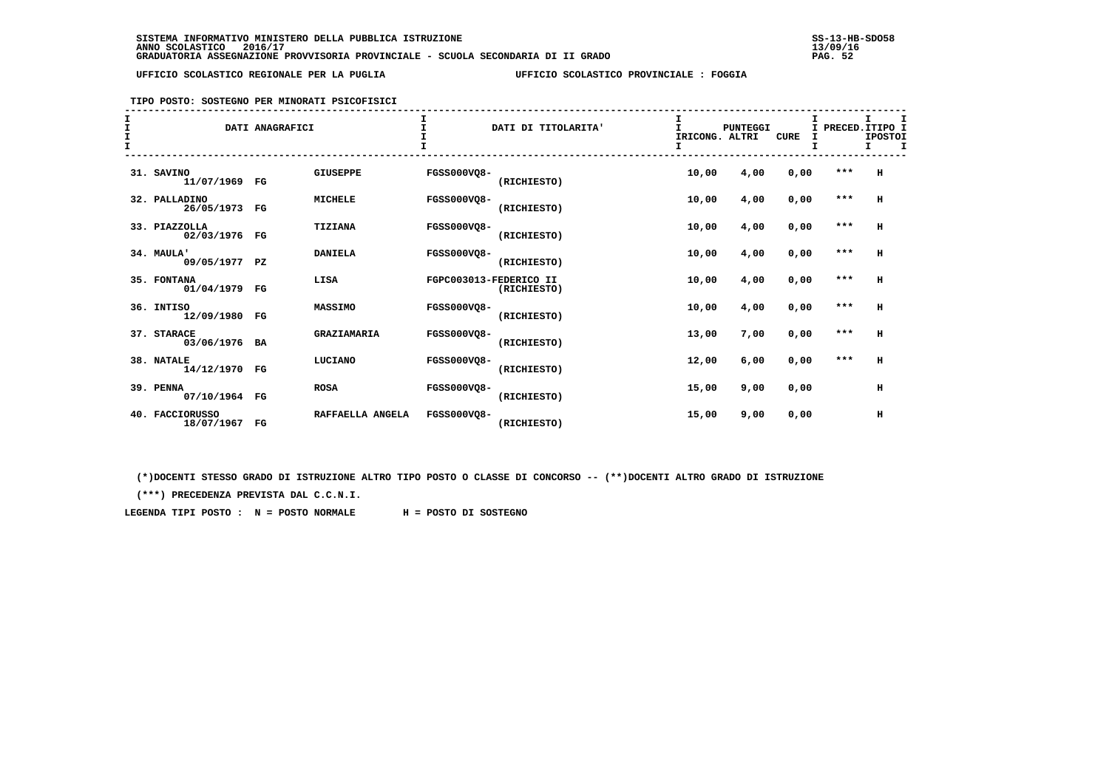## **TIPO POSTO: SOSTEGNO PER MINORATI PSICOFISICI**

| $rac{1}{t}$<br>$\mathbf{I}$ |                                  | DATI ANAGRAFICI |                  |                    | DATI DI TITOLARITA'                   | IRICONG. ALTRI<br>I | <b>PUNTEGGI</b> | <b>CURE</b> | I<br>I | I PRECED. ITIPO I<br><b>IPOSTOI</b><br>I<br>I. |
|-----------------------------|----------------------------------|-----------------|------------------|--------------------|---------------------------------------|---------------------|-----------------|-------------|--------|------------------------------------------------|
|                             | 31. SAVINO<br>11/07/1969 FG      |                 | <b>GIUSEPPE</b>  | FGSS000VO8-        | (RICHIESTO)                           | 10,00               | 4,00            | 0,00        | $***$  | H                                              |
|                             | 32. PALLADINO<br>26/05/1973 FG   |                 | <b>MICHELE</b>   | <b>FGSS000VO8-</b> | (RICHIESTO)                           | 10,00               | 4,00            | 0,00        | $***$  | н                                              |
|                             | 33. PIAZZOLLA<br>02/03/1976 FG   |                 | TIZIANA          | <b>FGSS000VQ8-</b> | (RICHIESTO)                           | 10,00               | 4,00            | 0,00        | $***$  | н                                              |
|                             | 34. MAULA'<br>09/05/1977 PZ      |                 | <b>DANIELA</b>   | <b>FGSS000VQ8-</b> | (RICHIESTO)                           | 10,00               | 4,00            | 0,00        | $***$  | н                                              |
|                             | 35. FONTANA<br>01/04/1979 FG     |                 | LISA             |                    | FGPC003013-FEDERICO II<br>(RICHIESTO) | 10,00               | 4,00            | 0,00        | $***$  | н                                              |
|                             | 36. INTISO<br>12/09/1980 FG      |                 | MASSIMO          | <b>FGSS000VO8-</b> | (RICHIESTO)                           | 10,00               | 4,00            | 0,00        | $***$  | H                                              |
|                             | 37. STARACE<br>03/06/1976 BA     |                 | GRAZIAMARIA      | <b>FGSS000VO8-</b> | (RICHIESTO)                           | 13,00               | 7,00            | 0,00        | $***$  | H                                              |
|                             | 38. NATALE<br>14/12/1970 FG      |                 | LUCIANO          | <b>FGSS000VO8-</b> | (RICHIESTO)                           | 12,00               | 6,00            | 0,00        | ***    | н                                              |
|                             | 39. PENNA<br>07/10/1964 FG       |                 | <b>ROSA</b>      | <b>FGSS000VQ8-</b> | (RICHIESTO)                           | 15,00               | 9,00            | 0,00        |        | н                                              |
|                             | 40. FACCIORUSSO<br>18/07/1967 FG |                 | RAFFAELLA ANGELA | <b>FGSS000VO8-</b> | (RICHIESTO)                           | 15,00               | 9,00            | 0,00        |        | н                                              |

 **(\*)DOCENTI STESSO GRADO DI ISTRUZIONE ALTRO TIPO POSTO O CLASSE DI CONCORSO -- (\*\*)DOCENTI ALTRO GRADO DI ISTRUZIONE**

 **(\*\*\*) PRECEDENZA PREVISTA DAL C.C.N.I.**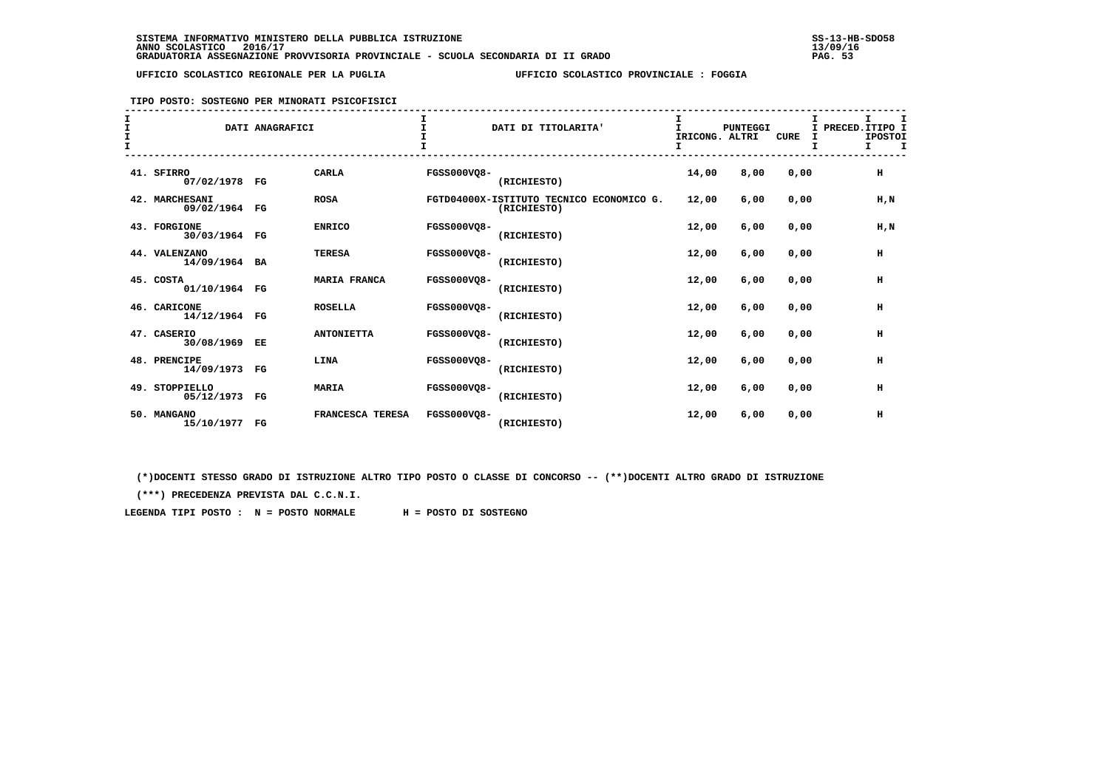#### **TIPO POSTO: SOSTEGNO PER MINORATI PSICOFISICI**

| I<br>$\mathbf{I}$ |                                 | DATI ANAGRAFICI |                     |                    | DATI DI TITOLARITA'                                     | IRICONG. ALTRI<br>I. | PUNTEGGI | <b>CURE</b> | Τ.<br>I<br>т | PRECED. ITIPO I<br><b>IPOSTOI</b><br>$\mathbf I$<br>I. |
|-------------------|---------------------------------|-----------------|---------------------|--------------------|---------------------------------------------------------|----------------------|----------|-------------|--------------|--------------------------------------------------------|
|                   | 41. SFIRRO<br>07/02/1978 FG     |                 | CARLA               | <b>FGSS000VQ8-</b> | (RICHIESTO)                                             | 14,00                | 8,00     | 0,00        |              | н                                                      |
|                   | 42. MARCHESANI<br>09/02/1964 FG |                 | <b>ROSA</b>         |                    | FGTD04000X-ISTITUTO TECNICO ECONOMICO G.<br>(RICHIESTO) | 12,00                | 6,00     | 0,00        |              | H, N                                                   |
|                   | 43. FORGIONE<br>30/03/1964 FG   |                 | <b>ENRICO</b>       | FGSS000VQ8-        | (RICHIESTO)                                             | 12,00                | 6,00     | 0,00        |              | $H$ , $N$                                              |
|                   | 44. VALENZANO<br>14/09/1964 BA  |                 | <b>TERESA</b>       | <b>FGSS000VQ8-</b> | (RICHIESTO)                                             | 12,00                | 6,00     | 0,00        |              | $\,$ H                                                 |
|                   | 45. COSTA<br>01/10/1964 FG      |                 | <b>MARIA FRANCA</b> | <b>FGSS000VO8-</b> | (RICHIESTO)                                             | 12,00                | 6.00     | 0.00        |              | $\,$ H                                                 |
|                   | 46. CARICONE<br>14/12/1964 FG   |                 | <b>ROSELLA</b>      | <b>FGSS000VO8-</b> | (RICHIESTO)                                             | 12,00                | 6,00     | 0.00        |              | н                                                      |
|                   | 47. CASERIO<br>30/08/1969 EE    |                 | <b>ANTONIETTA</b>   | <b>FGSS000VO8-</b> | (RICHIESTO)                                             | 12,00                | 6,00     | 0.00        |              | н                                                      |
|                   | 48. PRENCIPE<br>14/09/1973 FG   |                 | LINA                | <b>FGSS000VQ8-</b> | (RICHIESTO)                                             | 12,00                | 6,00     | 0,00        |              | $\,$ H                                                 |
|                   | 49. STOPPIELLO<br>05/12/1973 FG |                 | <b>MARIA</b>        | <b>FGSS000VQ8-</b> | (RICHIESTO)                                             | 12,00                | 6,00     | 0,00        |              | н                                                      |
|                   | 50. MANGANO<br>15/10/1977 FG    |                 | FRANCESCA TERESA    | <b>FGSS000VO8-</b> | (RICHIESTO)                                             | 12,00                | 6,00     | 0,00        |              | н                                                      |

 **(\*)DOCENTI STESSO GRADO DI ISTRUZIONE ALTRO TIPO POSTO O CLASSE DI CONCORSO -- (\*\*)DOCENTI ALTRO GRADO DI ISTRUZIONE**

 **(\*\*\*) PRECEDENZA PREVISTA DAL C.C.N.I.**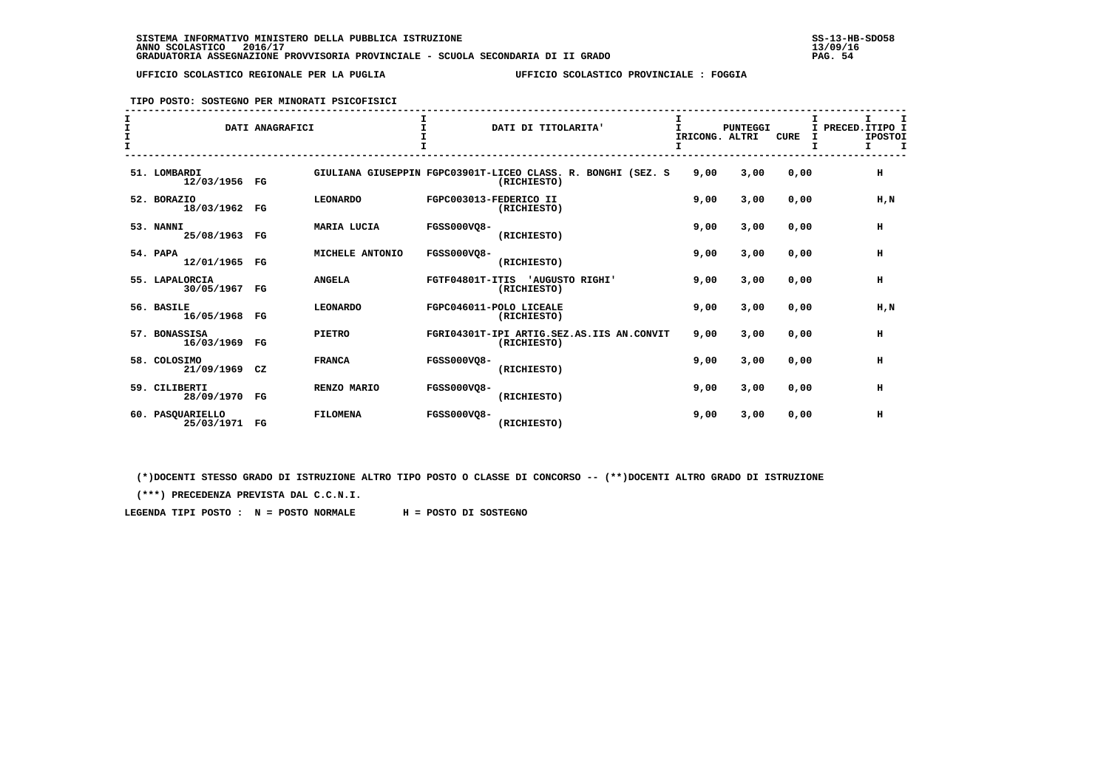**TIPO POSTO: SOSTEGNO PER MINORATI PSICOFISICI**

| $\mathbf{I}$<br>I<br>$\mathbf{I}$ |                                | DATI ANAGRAFICI |                 |                        | DATI DI TITOLARITA'                                                         | I<br>T<br>I |      | <b>PUNTEGGI</b><br>IRICONG. ALTRI | <b>CURE</b> | I<br>т | т<br>I PRECED. ITIPO I<br><b>IPOSTOI</b><br>т<br>т |
|-----------------------------------|--------------------------------|-----------------|-----------------|------------------------|-----------------------------------------------------------------------------|-------------|------|-----------------------------------|-------------|--------|----------------------------------------------------|
|                                   | 51. LOMBARDI<br>12/03/1956 FG  |                 |                 |                        | GIULIANA GIUSEPPIN FGPC03901T-LICEO CLASS. R. BONGHI (SEZ. S<br>(RICHIESTO) |             | 9,00 | 3,00                              | 0,00        |        | н                                                  |
|                                   | 52. BORAZIO<br>18/03/1962      | $_{\rm FG}$     | <b>LEONARDO</b> | FGPC003013-FEDERICO II | (RICHIESTO)                                                                 |             | 9,00 | 3,00                              | 0,00        |        | H, N                                               |
|                                   | 53. NANNI<br>25/08/1963        | FG              | MARIA LUCIA     | <b>FGSS000VO8-</b>     | (RICHIESTO)                                                                 |             | 9,00 | 3,00                              | 0,00        |        | н                                                  |
|                                   | 54. PAPA<br>12/01/1965         | $_{\rm FG}$     | MICHELE ANTONIO | <b>FGSS000VO8-</b>     | (RICHIESTO)                                                                 |             | 9,00 | 3,00                              | 0,00        |        | н                                                  |
|                                   | 55. LAPALORCIA<br>30/05/1967   | $_{\rm FG}$     | <b>ANGELA</b>   | FGTF04801T-ITIS        | 'AUGUSTO RIGHI'<br>(RICHIESTO)                                              |             | 9,00 | 3,00                              | 0,00        |        | H                                                  |
|                                   | 56. BASILE<br>16/05/1968       | $_{\rm FG}$     | <b>LEONARDO</b> |                        | FGPC046011-POLO LICEALE<br>(RICHIESTO)                                      |             | 9,00 | 3,00                              | 0,00        |        | H, N                                               |
|                                   | 57. BONASSISA<br>16/03/1969    | $_{\rm FG}$     | <b>PIETRO</b>   |                        | FGRI04301T-IPI ARTIG.SEZ.AS.IIS AN.CONVIT<br>(RICHIESTO)                    |             | 9,00 | 3,00                              | 0,00        |        | н                                                  |
|                                   | 58. COLOSIMO<br>21/09/1969     | CZ              | <b>FRANCA</b>   | <b>FGSS000VO8-</b>     | (RICHIESTO)                                                                 |             | 9,00 | 3,00                              | 0,00        |        | н                                                  |
|                                   | 59. CILIBERTI<br>28/09/1970    | FG              | RENZO MARIO     | <b>FGSS000VO8-</b>     | (RICHIESTO)                                                                 |             | 9,00 | 3,00                              | 0,00        |        | н                                                  |
|                                   | 60. PASOUARIELLO<br>25/03/1971 | FG              | <b>FILOMENA</b> | <b>FGSS000VO8-</b>     | (RICHIESTO)                                                                 |             | 9,00 | 3,00                              | 0,00        |        | н                                                  |

 **(\*)DOCENTI STESSO GRADO DI ISTRUZIONE ALTRO TIPO POSTO O CLASSE DI CONCORSO -- (\*\*)DOCENTI ALTRO GRADO DI ISTRUZIONE**

 **(\*\*\*) PRECEDENZA PREVISTA DAL C.C.N.I.**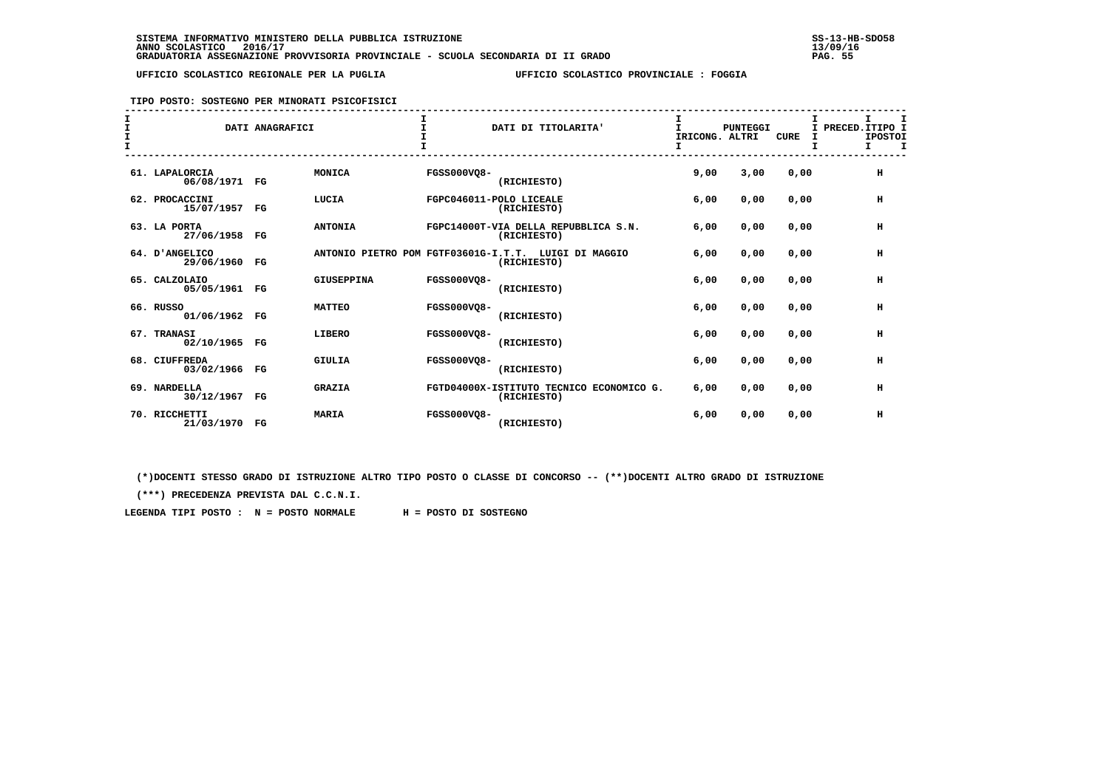#### **TIPO POSTO: SOSTEGNO PER MINORATI PSICOFISICI**

| I<br>$\mathbf{I}$ |                                 | DATI ANAGRAFICI |                   |                    | DATI DI TITOLARITA'                                                 | т<br>IRICONG. ALTRI<br>I | <b>PUNTEGGI</b> | <b>CURE</b> | I<br>I | I PRECED. ITIPO I<br><b>IPOSTOI</b><br>I<br>I. |
|-------------------|---------------------------------|-----------------|-------------------|--------------------|---------------------------------------------------------------------|--------------------------|-----------------|-------------|--------|------------------------------------------------|
|                   | 61. LAPALORCIA<br>06/08/1971 FG |                 | MONICA            | FGSS000VO8-        | (RICHIESTO)                                                         | 9,00                     | 3,00            | 0.00        |        | H                                              |
|                   | 62. PROCACCINI<br>15/07/1957    | $_{\rm FG}$     | LUCIA             |                    | FGPC046011-POLO LICEALE<br>(RICHIESTO)                              | 6,00                     | 0,00            | 0.00        |        | н                                              |
|                   | 63. LA PORTA<br>27/06/1958 FG   |                 | <b>ANTONIA</b>    |                    | FGPC14000T-VIA DELLA REPUBBLICA S.N.<br>(RICHIESTO)                 | 6,00                     | 0.00            | 0.00        |        | н                                              |
|                   | 64. D'ANGELICO<br>29/06/1960 FG |                 |                   |                    | ANTONIO PIETRO POM FGTF03601G-I.T.T. LUIGI DI MAGGIO<br>(RICHIESTO) | 6,00                     | 0.00            | 0.00        |        | н                                              |
|                   | 65. CALZOLAIO<br>05/05/1961 FG  |                 | <b>GIUSEPPINA</b> | FGSS000VQ8-        | (RICHIESTO)                                                         | 6,00                     | 0.00            | 0.00        |        | н                                              |
|                   | 66. RUSSO<br>01/06/1962 FG      |                 | <b>MATTEO</b>     | <b>FGSS000VO8-</b> | (RICHIESTO)                                                         | 6,00                     | 0.00            | 0.00        |        | н                                              |
|                   | 67. TRANASI<br>02/10/1965 FG    |                 | LIBERO            | <b>FGSS000VO8-</b> | (RICHIESTO)                                                         | 6,00                     | 0,00            | 0.00        |        | н                                              |
|                   | 68. CIUFFREDA<br>03/02/1966 FG  |                 | <b>GIULIA</b>     | <b>FGSS000VO8-</b> | (RICHIESTO)                                                         | 6,00                     | 0,00            | 0.00        |        | н                                              |
|                   | 69. NARDELLA<br>30/12/1967 FG   |                 | <b>GRAZIA</b>     |                    | FGTD04000X-ISTITUTO TECNICO ECONOMICO G.<br>(RICHIESTO)             | 6,00                     | 0,00            | 0,00        |        | н                                              |
|                   | 70. RICCHETTI<br>21/03/1970     | $_{\rm FG}$     | <b>MARIA</b>      | <b>FGSS000VO8-</b> | (RICHIESTO)                                                         | 6,00                     | 0,00            | 0,00        |        | н                                              |

 **(\*)DOCENTI STESSO GRADO DI ISTRUZIONE ALTRO TIPO POSTO O CLASSE DI CONCORSO -- (\*\*)DOCENTI ALTRO GRADO DI ISTRUZIONE**

 **(\*\*\*) PRECEDENZA PREVISTA DAL C.C.N.I.**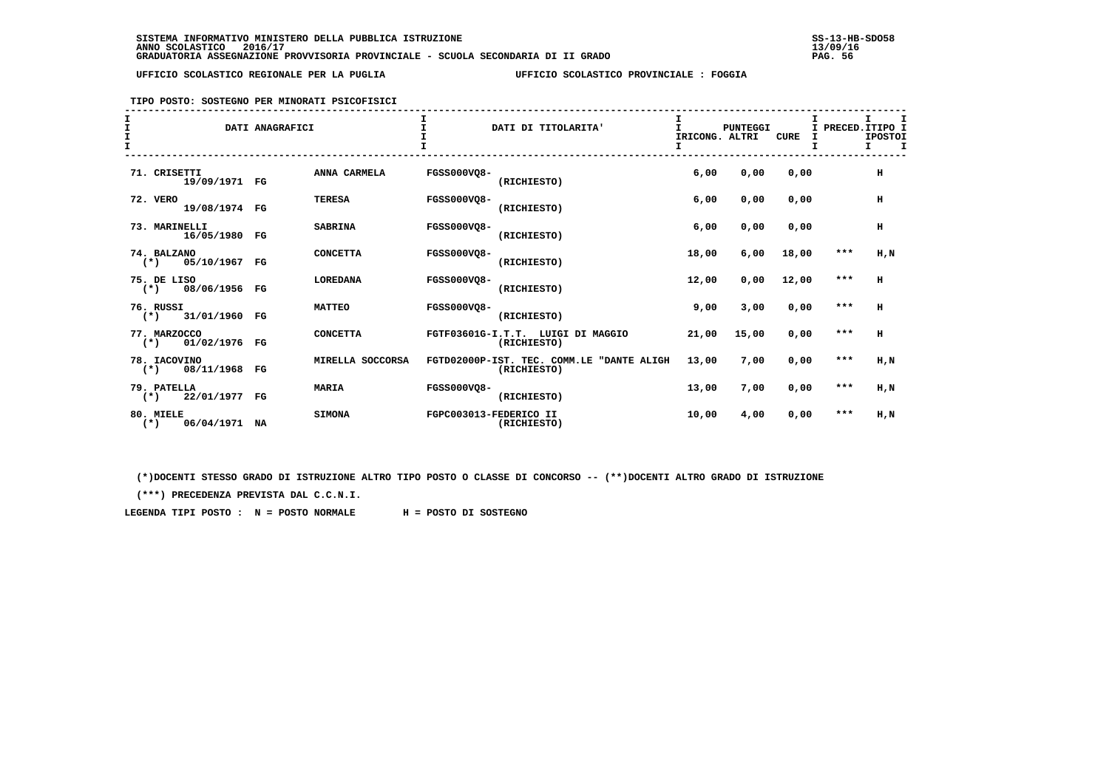**TIPO POSTO: SOSTEGNO PER MINORATI PSICOFISICI**

| $\mathbf{T}$ |                                        | DATI ANAGRAFICI |                  |                    | DATI DI TITOLARITA'                                      | IRICONG. ALTRI<br>I. | <b>PUNTEGGI</b> | <b>CURE</b> | I     | т<br>I PRECED. ITIPO I<br><b>IPOSTOI</b><br>$\mathbf{I}$<br>Ι. |
|--------------|----------------------------------------|-----------------|------------------|--------------------|----------------------------------------------------------|----------------------|-----------------|-------------|-------|----------------------------------------------------------------|
|              | 71. CRISETTI<br>19/09/1971 FG          |                 | ANNA CARMELA     | <b>FGSS000VQ8-</b> | (RICHIESTO)                                              | 6,00                 | 0,00            | 0,00        |       | $\,$ H                                                         |
|              | 72. VERO<br>19/08/1974 FG              |                 | <b>TERESA</b>    | <b>FGSS000VQ8-</b> | (RICHIESTO)                                              | 6,00                 | 0,00            | 0,00        |       | н                                                              |
|              | 73. MARINELLI<br>16/05/1980 FG         |                 | <b>SABRINA</b>   | <b>FGSS000VO8-</b> | (RICHIESTO)                                              | 6,00                 | 0,00            | 0,00        |       | н                                                              |
|              | 74. BALZANO<br>$(*)$ 05/10/1967 FG     |                 | <b>CONCETTA</b>  | <b>FGSS000VQ8-</b> | (RICHIESTO)                                              | 18,00                | 6,00            | 18,00       | ***   | H, N                                                           |
|              | 75. DE LISO<br>08/06/1956 FG<br>$(*)$  |                 | <b>LOREDANA</b>  | <b>FGSS000VO8-</b> | (RICHIESTO)                                              | 12,00                | 0,00            | 12,00       | ***   | H                                                              |
|              | 76. RUSSI<br>$(*)$ 31/01/1960 FG       |                 | <b>MATTEO</b>    | <b>FGSS000VO8-</b> | (RICHIESTO)                                              | 9,00                 | 3,00            | 0,00        | $***$ | н                                                              |
|              | 77. MARZOCCO<br>01/02/1976 FG<br>$(*)$ |                 | <b>CONCETTA</b>  |                    | FGTF03601G-I.T.T. LUIGI DI MAGGIO<br>(RICHIESTO)         | 21,00                | 15,00           | 0,00        | $***$ | н                                                              |
|              | 78. IACOVINO<br>08/11/1968 FG<br>$(*)$ |                 | MIRELLA SOCCORSA |                    | FGTD02000P-IST. TEC. COMM.LE "DANTE ALIGH<br>(RICHIESTO) | 13,00                | 7,00            | 0,00        | $***$ | H,N                                                            |
|              | 79. PATELLA<br>22/01/1977 FG<br>$(*)$  |                 | <b>MARIA</b>     | <b>FGSS000VO8-</b> | (RICHIESTO)                                              | 13,00                | 7,00            | 0,00        | $***$ | H,N                                                            |
|              | 80. MIELE<br>06/04/1971 NA<br>$(*)$    |                 | <b>SIMONA</b>    |                    | FGPC003013-FEDERICO II<br>(RICHIESTO)                    | 10,00                | 4,00            | 0,00        | ***   | H,N                                                            |

 **(\*)DOCENTI STESSO GRADO DI ISTRUZIONE ALTRO TIPO POSTO O CLASSE DI CONCORSO -- (\*\*)DOCENTI ALTRO GRADO DI ISTRUZIONE**

 **(\*\*\*) PRECEDENZA PREVISTA DAL C.C.N.I.**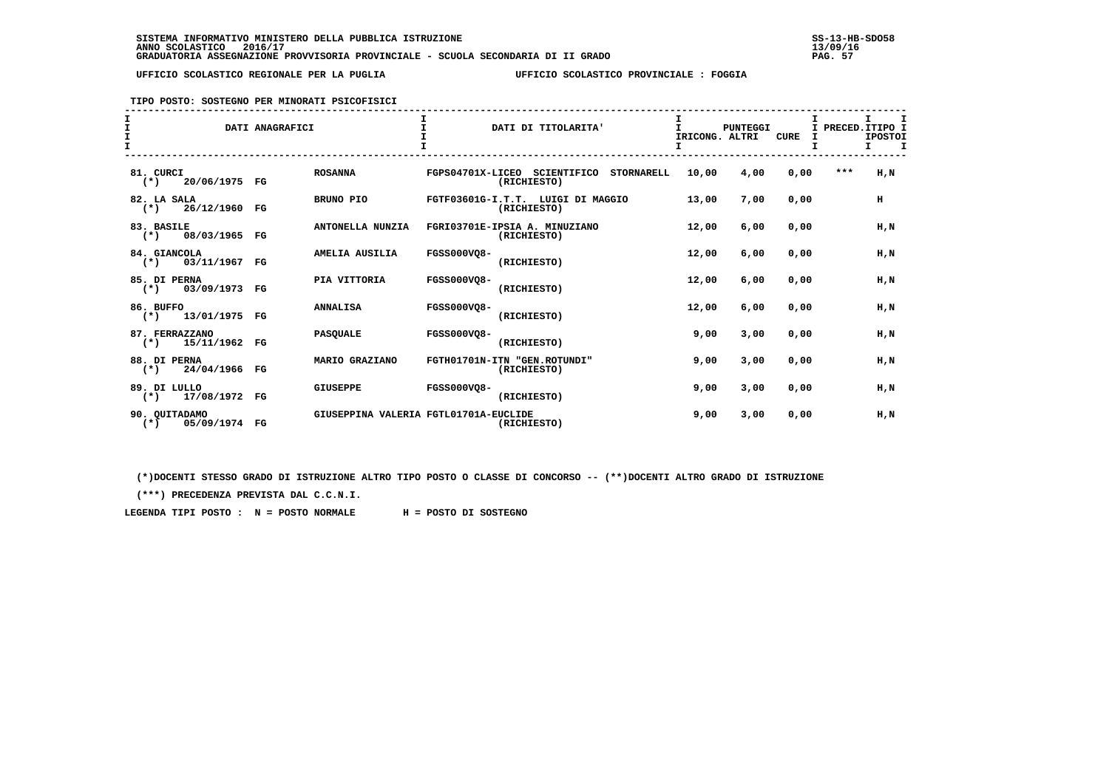**TIPO POSTO: SOSTEGNO PER MINORATI PSICOFISICI**

| $\mathbf{T}$ |                                           | DATI ANAGRAFICI               | DATI DI TITOLARITA'                                              | IRICONG. ALTRI<br>I | <b>PUNTEGGI</b> | <b>CURE</b><br>I<br>I | I PRECED. ITIPO I<br><b>IPOSTOI</b><br>$\mathbf I$<br>I. |
|--------------|-------------------------------------------|-------------------------------|------------------------------------------------------------------|---------------------|-----------------|-----------------------|----------------------------------------------------------|
|              | 81. CURCI<br>$(*)$<br>20/06/1975 FG       | <b>ROSANNA</b>                | FGPS04701X-LICEO SCIENTIFICO<br><b>STORNARELL</b><br>(RICHIESTO) | 10,00               | 4,00            | 0,00                  | $***$<br>H.N                                             |
|              | 82. LA SALA<br>26/12/1960 FG<br>$(\star)$ | BRUNO PIO                     | FGTF03601G-I.T.T. LUIGI DI MAGGIO<br>(RICHIESTO)                 | 13,00               | 7,00            | 0.00                  | н                                                        |
|              | 83. BASILE<br>$(*)$ 08/03/1965 FG         | ANTONELLA NUNZIA              | FGRI03701E-IPSIA A. MINUZIANO<br>(RICHIESTO)                     | 12,00               | 6,00            | 0,00                  | H,N                                                      |
|              | 84. GIANCOLA<br>$(*)$ 03/11/1967          | AMELIA AUSILIA<br>$_{\rm FG}$ | <b>FGSS000VQ8-</b><br>(RICHIESTO)                                | 12,00               | 6,00            | 0,00                  | H,N                                                      |
|              | 85. DI PERNA<br>03/09/1973 FG<br>$(*)$    | PIA VITTORIA                  | <b>FGSS000VO8-</b><br>(RICHIESTO)                                | 12,00               | 6,00            | 0.00                  | H.N                                                      |
|              | 86. BUFFO<br>$(*)$ 13/01/1975 FG          | <b>ANNALISA</b>               | <b>FGSS000VO8-</b><br>(RICHIESTO)                                | 12,00               | 6,00            | 0.00                  | H.N                                                      |
|              | 87. FERRAZZANO<br>$(*)$<br>15/11/1962 FG  | <b>PASQUALE</b>               | <b>FGSS000VO8-</b><br>(RICHIESTO)                                | 9,00                | 3,00            | 0,00                  | H, N                                                     |
|              | 88. DI PERNA<br>24/04/1966 FG<br>$(* )$   | MARIO GRAZIANO                | FGTH01701N-ITN "GEN.ROTUNDI"<br>(RICHIESTO)                      | 9,00                | 3,00            | 0,00                  | H.N                                                      |
|              | 89. DI LULLO<br>$(*)$ 17/08/1972 FG       | <b>GIUSEPPE</b>               | <b>FGSS000VO8-</b><br>(RICHIESTO)                                | 9,00                | 3,00            | 0,00                  | H,N                                                      |
|              | 90. OUITADAMO<br>05/09/1974 FG<br>$(*)$   |                               | GIUSEPPINA VALERIA FGTL01701A-EUCLIDE<br>(RICHIESTO)             | 9,00                | 3,00            | 0,00                  | H,N                                                      |

 **(\*)DOCENTI STESSO GRADO DI ISTRUZIONE ALTRO TIPO POSTO O CLASSE DI CONCORSO -- (\*\*)DOCENTI ALTRO GRADO DI ISTRUZIONE**

 **(\*\*\*) PRECEDENZA PREVISTA DAL C.C.N.I.**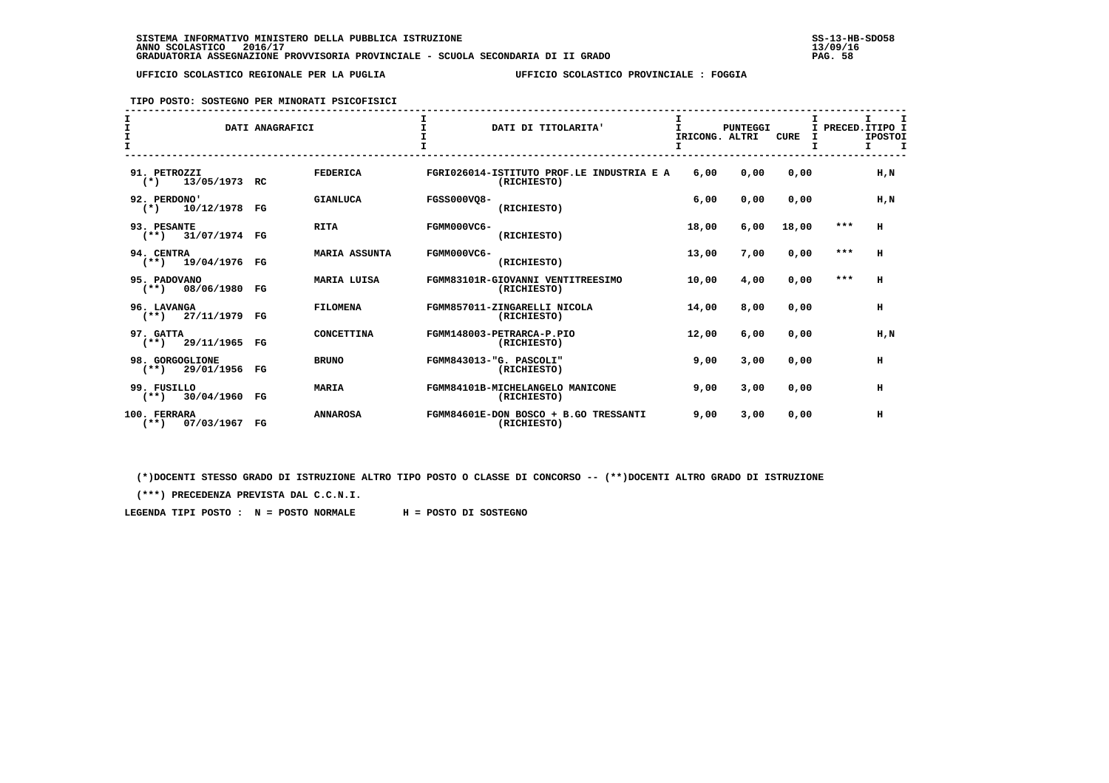#### **TIPO POSTO: SOSTEGNO PER MINORATI PSICOFISICI**

| $\mathbf{I}$<br>$\mathbf{I}$ |                                         | DATI ANAGRAFICI |                      |                    | DATI DI TITOLARITA'                                      | IRICONG. ALTRI<br>I | PUNTEGGI | <b>CURE</b> | Τ.<br>т | I.<br>I. | PRECED. ITIPO I<br><b>IPOSTOI</b><br>$\mathbf I$ |
|------------------------------|-----------------------------------------|-----------------|----------------------|--------------------|----------------------------------------------------------|---------------------|----------|-------------|---------|----------|--------------------------------------------------|
|                              | 91. PETROZZI<br>13/05/1973 RC<br>$(*)$  |                 | <b>FEDERICA</b>      |                    | FGRI026014-ISTITUTO PROF.LE INDUSTRIA E A<br>(RICHIESTO) | 6,00                | 0,00     | 0,00        |         |          | H, N                                             |
|                              | 92. PERDONO'<br>10/12/1978<br>$(*)$     | FG              | <b>GIANLUCA</b>      | <b>FGSS000VO8-</b> | (RICHIESTO)                                              | 6,00                | 0,00     | 0.00        |         |          | H.N                                              |
|                              | 93. PESANTE<br>$(**)$ 31/07/1974 FG     |                 | <b>RITA</b>          | FGMM000VC6-        | (RICHIESTO)                                              | 18,00               | 6,00     | 18,00       |         | $***$    | H                                                |
|                              | 94. CENTRA<br>$(**)$ 19/04/1976         | FG              | <b>MARIA ASSUNTA</b> | FGMM000VC6-        | (RICHIESTO)                                              | 13,00               | 7,00     | 0,00        |         | $***$    | H                                                |
|                              | 95. PADOVANO<br>$(**)$ 08/06/1980       | FG              | <b>MARIA LUISA</b>   |                    | FGMM83101R-GIOVANNI VENTITREESIMO<br>(RICHIESTO)         | 10,00               | 4,00     | 0.00        |         | $***$    | H                                                |
|                              | 96. LAVANGA<br>$(**)$ 27/11/1979        | FG              | <b>FILOMENA</b>      |                    | FGMM857011-ZINGARELLI NICOLA<br>(RICHIESTO)              | 14,00               | 8,00     | 0.00        |         |          | H                                                |
|                              | 97. GATTA<br>$(**)$ 29/11/1965 FG       |                 | <b>CONCETTINA</b>    |                    | FGMM148003-PETRARCA-P.PIO<br>(RICHIESTO)                 | 12,00               | 6,00     | 0.00        |         |          | H.N                                              |
|                              | 98. GORGOGLIONE<br>29/01/1956<br>$(**)$ | $_{\rm FG}$     | <b>BRUNO</b>         |                    | FGMM843013-"G. PASCOLI"<br>(RICHIESTO)                   | 9,00                | 3,00     | 0,00        |         |          | H                                                |
|                              | 99. FUSILLO<br>$(**)$ 30/04/1960        | FG              | <b>MARIA</b>         |                    | FGMM84101B-MICHELANGELO MANICONE<br>(RICHIESTO)          | 9,00                | 3,00     | 0,00        |         |          | H                                                |
|                              | 100. FERRARA<br>$(***)$<br>07/03/1967   | $_{\rm FG}$     | <b>ANNAROSA</b>      |                    | FGMM84601E-DON BOSCO + B.GO TRESSANTI<br>(RICHIESTO)     | 9,00                | 3,00     | 0.00        |         |          | н                                                |

 **(\*)DOCENTI STESSO GRADO DI ISTRUZIONE ALTRO TIPO POSTO O CLASSE DI CONCORSO -- (\*\*)DOCENTI ALTRO GRADO DI ISTRUZIONE**

 **(\*\*\*) PRECEDENZA PREVISTA DAL C.C.N.I.**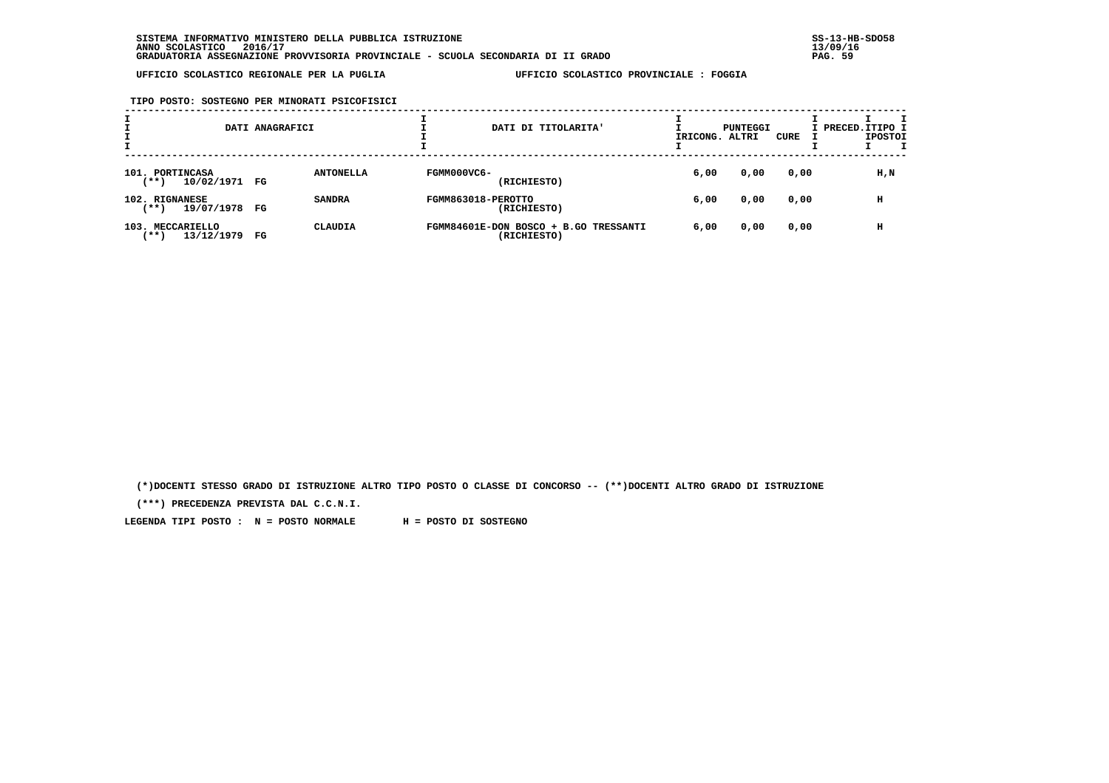**TIPO POSTO: SOSTEGNO PER MINORATI PSICOFISICI**

|                                           | DATI ANAGRAFICI               | DATI DI TITOLARITA'                                  | IRICONG. | PUNTEGGI<br>ALTRI | CURE | I PRECED. ITIPO I<br><b>IPOSTOI</b> |
|-------------------------------------------|-------------------------------|------------------------------------------------------|----------|-------------------|------|-------------------------------------|
| 101. PORTINCASA<br>10/02/1971 FG<br>(**)  | <b>ANTONELLA</b>              | FGMM000VC6-<br>(RICHIESTO)                           | 6,00     | 0,00              | 0,00 | H,N                                 |
| 102. RIGNANESE<br>19/07/1978 FG<br>(** )  | <b>SANDRA</b>                 | FGMM863018-PEROTTO<br>(RICHIESTO)                    | 6,00     | 0,00              | 0,00 | н                                   |
| 103. MECCARIELLO<br>13/12/1979<br>$***$ ) | <b>CLAUDIA</b><br>$_{\rm FG}$ | FGMM84601E-DON BOSCO + B.GO TRESSANTI<br>(RICHIESTO) | 6,00     | 0,00              | 0,00 | н                                   |

 **(\*)DOCENTI STESSO GRADO DI ISTRUZIONE ALTRO TIPO POSTO O CLASSE DI CONCORSO -- (\*\*)DOCENTI ALTRO GRADO DI ISTRUZIONE**

 **(\*\*\*) PRECEDENZA PREVISTA DAL C.C.N.I.**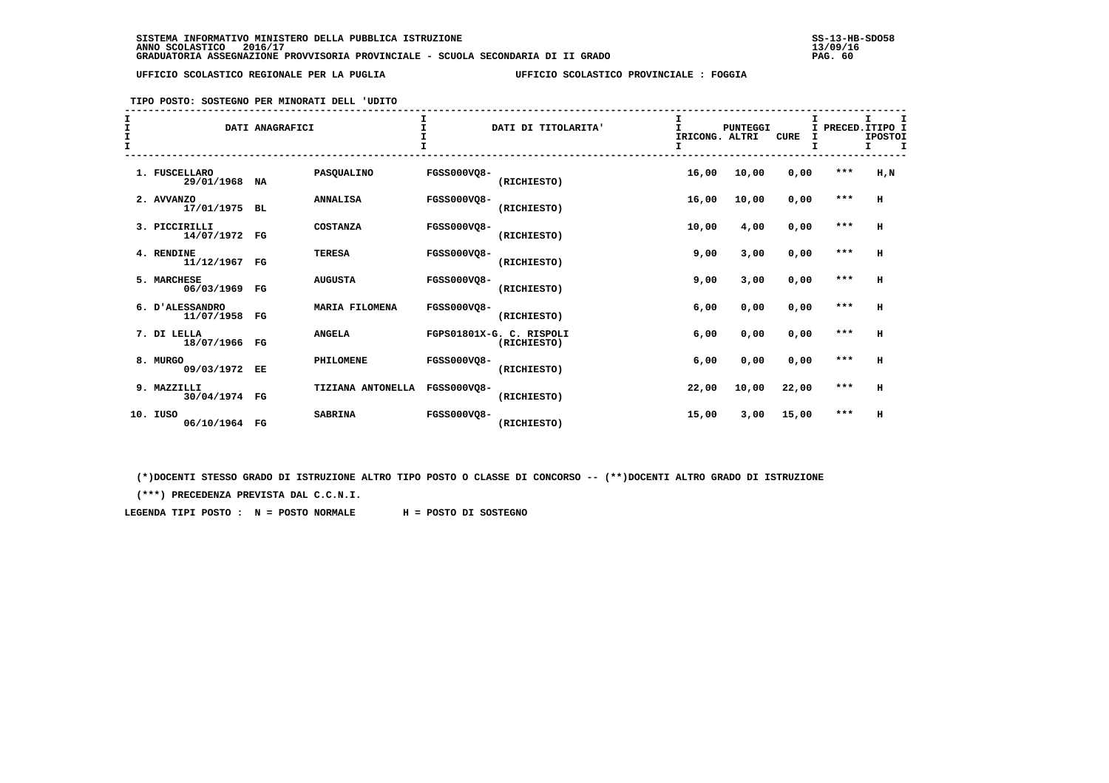# **TIPO POSTO: SOSTEGNO PER MINORATI DELL 'UDITO**

| I<br>$\mathbf{I}$<br>$\mathbf{I}$<br>$\mathbf{I}$ |     |                               | DATI ANAGRAFICI |                       |                    | DATI DI TITOLARITA'                     | I<br>IRICONG. ALTRI<br>I | <b>PUNTEGGI</b> | <b>CURE</b> | I.<br>т | I<br>PRECED. ITIPO I<br><b>IPOSTOI</b><br>I |
|---------------------------------------------------|-----|-------------------------------|-----------------|-----------------------|--------------------|-----------------------------------------|--------------------------|-----------------|-------------|---------|---------------------------------------------|
|                                                   |     | 1. FUSCELLARO<br>29/01/1968   | NA              | PASQUALINO            | <b>FGSS000VQ8-</b> | (RICHIESTO)                             | 16,00                    | 10,00           | 0,00        | ***     | $H$ , $N$                                   |
|                                                   |     | 2. AVVANZO<br>17/01/1975 BL   |                 | <b>ANNALISA</b>       | <b>FGSS000VO8-</b> | (RICHIESTO)                             | 16,00                    | 10,00           | 0,00        | $***$   | H                                           |
|                                                   |     | 3. PICCIRILLI<br>14/07/1972   | $_{\rm FG}$     | COSTANZA              | <b>FGSS000VO8-</b> | (RICHIESTO)                             | 10,00                    | 4,00            | 0,00        | $* * *$ | H                                           |
|                                                   |     | 4. RENDINE<br>11/12/1967 FG   |                 | <b>TERESA</b>         | <b>FGSS000VO8-</b> | (RICHIESTO)                             | 9,00                     | 3,00            | 0,00        | $***$   | н                                           |
|                                                   |     | 5. MARCHESE<br>06/03/1969 FG  |                 | <b>AUGUSTA</b>        | <b>FGSS000VO8-</b> | (RICHIESTO)                             | 9,00                     | 3,00            | 0,00        | $***$   | н                                           |
|                                                   |     | 6. D'ALESSANDRO<br>11/07/1958 | $_{\rm FG}$     | <b>MARIA FILOMENA</b> | <b>FGSS000VO8-</b> | (RICHIESTO)                             | 6,00                     | 0,00            | 0,00        | $***$   | H                                           |
|                                                   |     | 7. DI LELLA<br>18/07/1966 FG  |                 | <b>ANGELA</b>         |                    | FGPS01801X-G. C. RISPOLI<br>(RICHIESTO) | 6,00                     | 0,00            | 0,00        | $***$   | H                                           |
|                                                   |     | 8. MURGO<br>09/03/1972 EE     |                 | PHILOMENE             | <b>FGSS000VO8-</b> | (RICHIESTO)                             | 6,00                     | 0,00            | 0,00        | $***$   | н                                           |
|                                                   |     | 9. MAZZILLI<br>30/04/1974 FG  |                 | TIZIANA ANTONELLA     | <b>FGSS000VO8-</b> | (RICHIESTO)                             | 22,00                    | 10,00           | 22,00       | ***     | н                                           |
|                                                   | 10. | IUSO<br>06/10/1964 FG         |                 | <b>SABRINA</b>        | <b>FGSS000VQ8-</b> | (RICHIESTO)                             | 15,00                    | 3,00            | 15,00       | $***$   | н                                           |

 **(\*)DOCENTI STESSO GRADO DI ISTRUZIONE ALTRO TIPO POSTO O CLASSE DI CONCORSO -- (\*\*)DOCENTI ALTRO GRADO DI ISTRUZIONE**

 **(\*\*\*) PRECEDENZA PREVISTA DAL C.C.N.I.**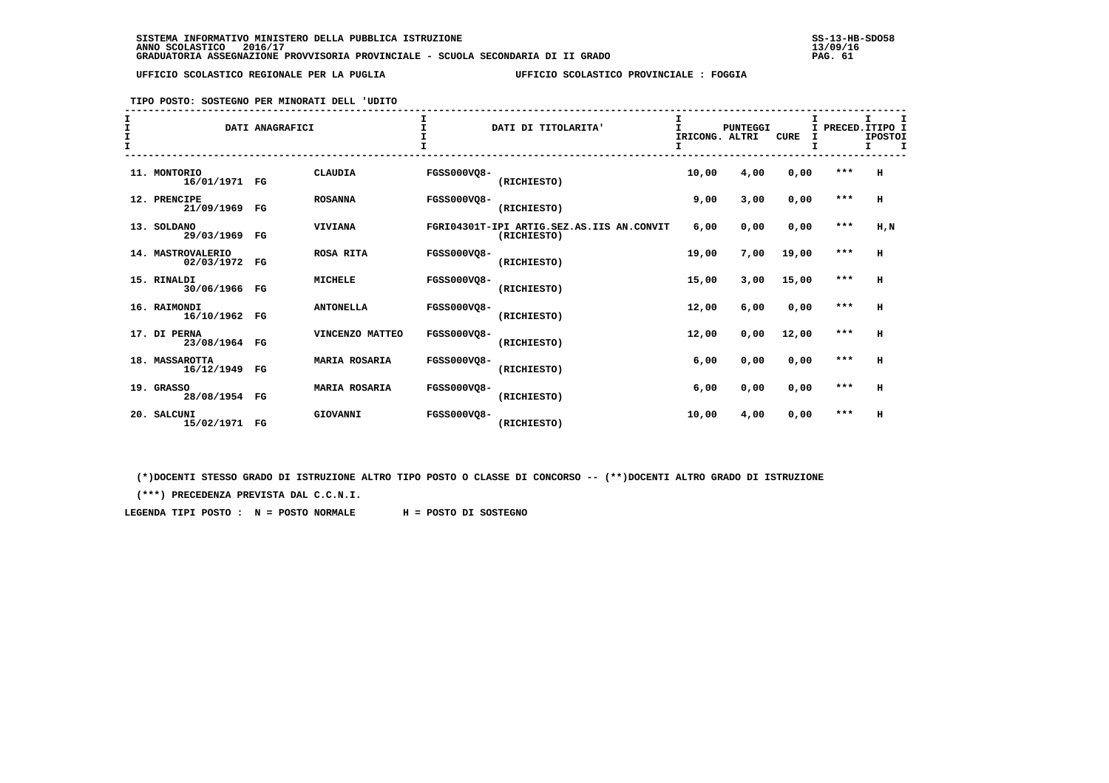**TIPO POSTO: SOSTEGNO PER MINORATI DELL 'UDITO**

| I<br>$\mathbf{T}$<br>I<br>$\mathbf$ |                                 | DATI ANAGRAFICI |                      | I.                 | DATI DI TITOLARITA'                                      | I<br>$\mathbf{I}$<br>IRICONG. ALTRI<br>I | <b>PUNTEGGI</b> | <b>CURE</b> | I PRECED. ITIPO I | I.<br><b>IPOSTOI</b><br>т |
|-------------------------------------|---------------------------------|-----------------|----------------------|--------------------|----------------------------------------------------------|------------------------------------------|-----------------|-------------|-------------------|---------------------------|
|                                     | 11. MONTORIO<br>16/01/1971 FG   |                 | <b>CLAUDIA</b>       | <b>FGSS000VO8-</b> | (RICHIESTO)                                              | 10,00                                    | 4,00            | 0,00        | ***               | H                         |
|                                     | 12. PRENCIPE<br>21/09/1969 FG   |                 | <b>ROSANNA</b>       | <b>FGSS000VO8-</b> | (RICHIESTO)                                              | 9,00                                     | 3,00            | 0,00        | $***$             | H                         |
|                                     | 13. SOLDANO<br>29/03/1969       | FG              | <b>VIVIANA</b>       |                    | FGRI04301T-IPI ARTIG.SEZ.AS.IIS AN.CONVIT<br>(RICHIESTO) | 6,00                                     | 0,00            | 0,00        | $***$             | H, N                      |
|                                     | 14. MASTROVALERIO<br>02/03/1972 | $_{\rm FG}$     | <b>ROSA RITA</b>     | <b>FGSS000VO8-</b> | (RICHIESTO)                                              | 19,00                                    | 7,00            | 19,00       | $***$             | H                         |
|                                     | 15. RINALDI<br>30/06/1966 FG    |                 | <b>MICHELE</b>       | <b>FGSS000VO8-</b> | (RICHIESTO)                                              | 15,00                                    | 3,00            | 15,00       | $***$             | H                         |
|                                     | 16. RAIMONDI<br>16/10/1962 FG   |                 | <b>ANTONELLA</b>     | <b>FGSS000VO8-</b> | (RICHIESTO)                                              | 12,00                                    | 6,00            | 0,00        | $***$             | H                         |
|                                     | 17. DI PERNA<br>23/08/1964 FG   |                 | VINCENZO MATTEO      | <b>FGSS000VO8-</b> | (RICHIESTO)                                              | 12,00                                    | 0,00            | 12,00       | $***$             | H                         |
|                                     | 18. MASSAROTTA<br>16/12/1949 FG |                 | <b>MARIA ROSARIA</b> | <b>FGSS000VO8-</b> | (RICHIESTO)                                              | 6,00                                     | 0,00            | 0,00        | $***$             | H                         |
|                                     | 19. GRASSO<br>28/08/1954 FG     |                 | <b>MARIA ROSARIA</b> | <b>FGSS000VO8-</b> | (RICHIESTO)                                              | 6,00                                     | 0,00            | 0,00        | $***$             | H                         |
|                                     | 20. SALCUNI<br>15/02/1971 FG    |                 | GIOVANNI             | FGSS000VO8-        | (RICHIESTO)                                              | 10,00                                    | 4,00            | 0,00        | ***               | H                         |

 **(\*)DOCENTI STESSO GRADO DI ISTRUZIONE ALTRO TIPO POSTO O CLASSE DI CONCORSO -- (\*\*)DOCENTI ALTRO GRADO DI ISTRUZIONE**

 **(\*\*\*) PRECEDENZA PREVISTA DAL C.C.N.I.**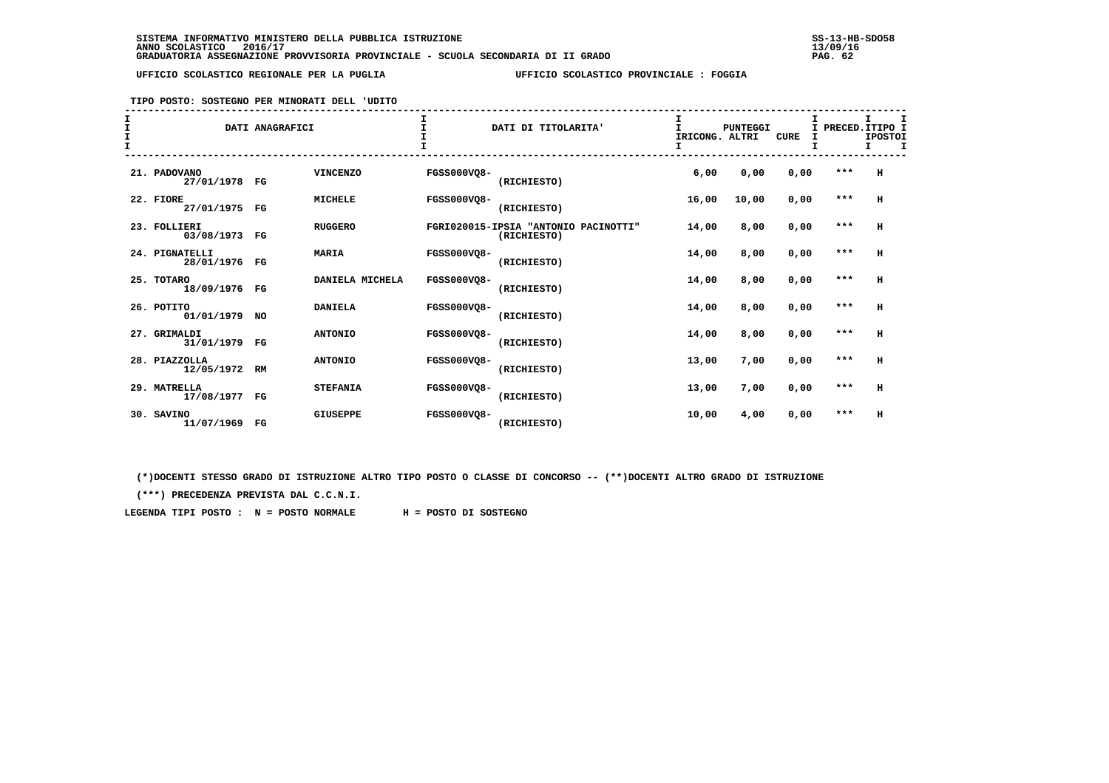**TIPO POSTO: SOSTEGNO PER MINORATI DELL 'UDITO**

| I<br>$\mathbf{T}$<br>I<br>$\mathbf$ |                                 | DATI ANAGRAFICI |                 | I.                 | DATI DI TITOLARITA'                                 | I<br>$\mathbf{I}$<br>IRICONG. ALTRI<br>I | <b>PUNTEGGI</b> | <b>CURE</b> | I PRECED. ITIPO I | I.<br><b>IPOSTOI</b><br>т |
|-------------------------------------|---------------------------------|-----------------|-----------------|--------------------|-----------------------------------------------------|------------------------------------------|-----------------|-------------|-------------------|---------------------------|
|                                     | 21. PADOVANO<br>27/01/1978 FG   |                 | <b>VINCENZO</b> | <b>FGSS000VQ8-</b> | (RICHIESTO)                                         | 6,00                                     | 0,00            | 0,00        | $***$             | H                         |
|                                     | 22. FIORE<br>27/01/1975 FG      |                 | <b>MICHELE</b>  | <b>FGSS000VO8-</b> | (RICHIESTO)                                         | 16,00                                    | 10,00           | 0,00        | $***$             | H                         |
|                                     | 23. FOLLIERI<br>03/08/1973 FG   |                 | <b>RUGGERO</b>  |                    | FGRI020015-IPSIA "ANTONIO PACINOTTI"<br>(RICHIESTO) | 14,00                                    | 8,00            | 0,00        | $***$             | H                         |
|                                     | 24. PIGNATELLI<br>28/01/1976 FG |                 | <b>MARIA</b>    | <b>FGSS000VQ8-</b> | (RICHIESTO)                                         | 14,00                                    | 8,00            | 0,00        | $***$             | н                         |
|                                     | 25. TOTARO<br>18/09/1976 FG     |                 | DANIELA MICHELA | <b>FGSS000VO8-</b> | (RICHIESTO)                                         | 14,00                                    | 8,00            | 0,00        | $***$             | H                         |
|                                     | 26. POTITO<br>01/01/1979 NO     |                 | <b>DANIELA</b>  | <b>FGSS000VO8-</b> | (RICHIESTO)                                         | 14,00                                    | 8,00            | 0,00        | $***$             | H                         |
|                                     | 27. GRIMALDI<br>31/01/1979 FG   |                 | <b>ANTONIO</b>  | <b>FGSS000VO8-</b> | (RICHIESTO)                                         | 14,00                                    | 8,00            | 0,00        | $***$             | H                         |
|                                     | 28. PIAZZOLLA<br>12/05/1972 RM  |                 | <b>ANTONIO</b>  | <b>FGSS000VO8-</b> | (RICHIESTO)                                         | 13,00                                    | 7,00            | 0,00        | $***$             | H                         |
|                                     | 29. MATRELLA<br>17/08/1977 FG   |                 | <b>STEFANIA</b> | <b>FGSS000VO8-</b> | (RICHIESTO)                                         | 13,00                                    | 7,00            | 0,00        | $***$             | H                         |
|                                     | 30. SAVINO<br>11/07/1969 FG     |                 | <b>GIUSEPPE</b> | FGSS000VO8-        | (RICHIESTO)                                         | 10,00                                    | 4,00            | 0,00        | $***$             | H                         |

 **(\*)DOCENTI STESSO GRADO DI ISTRUZIONE ALTRO TIPO POSTO O CLASSE DI CONCORSO -- (\*\*)DOCENTI ALTRO GRADO DI ISTRUZIONE**

 **(\*\*\*) PRECEDENZA PREVISTA DAL C.C.N.I.**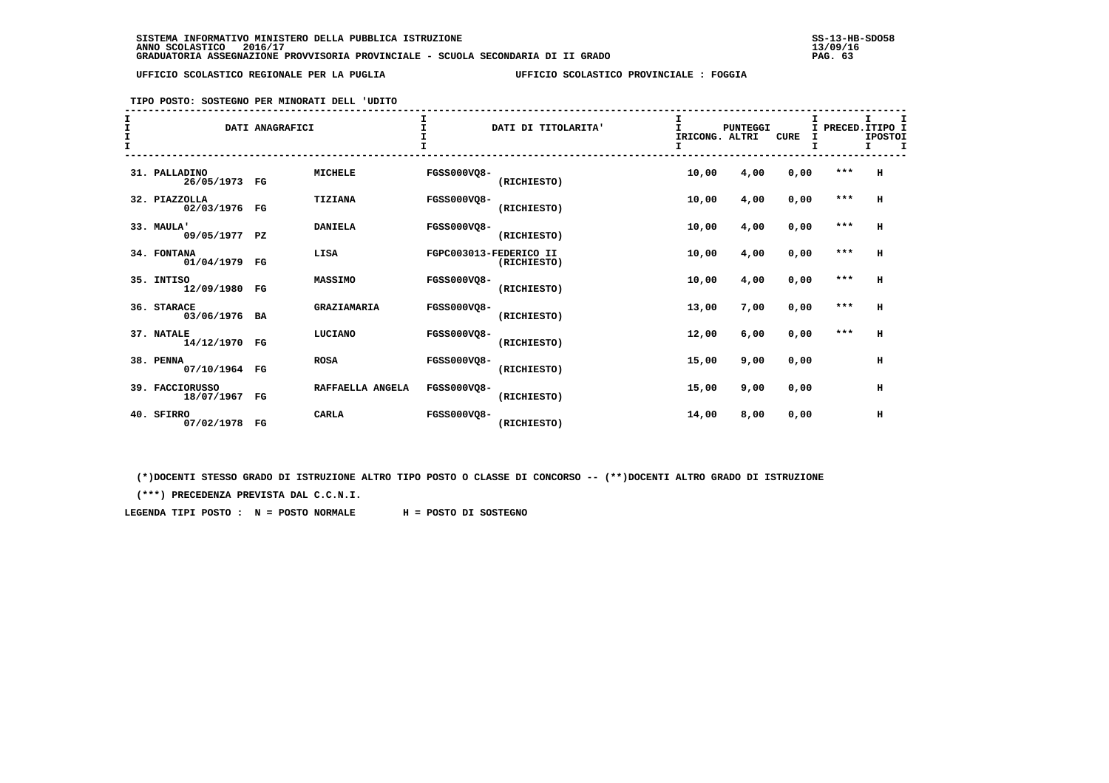#### **TIPO POSTO: SOSTEGNO PER MINORATI DELL 'UDITO**

| I<br>I<br>$\mathbf{I}$ |                                  | DATI ANAGRAFICI |                  |                    | DATI DI TITOLARITA'                   | I<br>T.<br>IRICONG. ALTRI<br>I | <b>PUNTEGGI</b> | <b>CURE</b> | I<br>т  | I PRECED. ITIPO I<br><b>IPOSTOI</b><br>I<br>Ι. |
|------------------------|----------------------------------|-----------------|------------------|--------------------|---------------------------------------|--------------------------------|-----------------|-------------|---------|------------------------------------------------|
|                        | 31. PALLADINO<br>26/05/1973 FG   |                 | <b>MICHELE</b>   | <b>FGSS000VQ8-</b> | (RICHIESTO)                           | 10,00                          | 4,00            | 0,00        | ***     | H                                              |
|                        | 32. PIAZZOLLA<br>02/03/1976 FG   |                 | TIZIANA          | <b>FGSS000VQ8-</b> | (RICHIESTO)                           | 10,00                          | 4,00            | 0,00        | $***$   | H                                              |
|                        | 33. MAULA'<br>09/05/1977 PZ      |                 | <b>DANIELA</b>   | <b>FGSS000VQ8-</b> | (RICHIESTO)                           | 10,00                          | 4,00            | 0,00        | $***$   | н                                              |
|                        | 34. FONTANA<br>01/04/1979 FG     |                 | LISA             |                    | FGPC003013-FEDERICO II<br>(RICHIESTO) | 10,00                          | 4,00            | 0,00        | $***$   | $\,$ H                                         |
|                        | 35. INTISO<br>12/09/1980 FG      |                 | MASSIMO          | <b>FGSS000VO8-</b> | (RICHIESTO)                           | 10,00                          | 4,00            | 0,00        | $***$   | н                                              |
|                        | 36. STARACE<br>03/06/1976 BA     |                 | GRAZIAMARIA      | <b>FGSS000VO8-</b> | (RICHIESTO)                           | 13,00                          | 7,00            | 0,00        | $***$   | н                                              |
|                        | 37. NATALE<br>14/12/1970 FG      |                 | LUCIANO          | <b>FGSS000VO8-</b> | (RICHIESTO)                           | 12,00                          | 6,00            | 0,00        | $* * *$ | н                                              |
|                        | 38. PENNA<br>07/10/1964 FG       |                 | <b>ROSA</b>      | <b>FGSS000VQ8-</b> | (RICHIESTO)                           | 15,00                          | 9,00            | 0,00        |         | н                                              |
|                        | 39. FACCIORUSSO<br>18/07/1967 FG |                 | RAFFAELLA ANGELA | <b>FGSS000VO8-</b> | (RICHIESTO)                           | 15,00                          | 9,00            | 0,00        |         | н                                              |
|                        | 40. SFIRRO<br>07/02/1978 FG      |                 | <b>CARLA</b>     | <b>FGSS000VO8-</b> | (RICHIESTO)                           | 14,00                          | 8,00            | 0,00        |         | н                                              |

 **(\*)DOCENTI STESSO GRADO DI ISTRUZIONE ALTRO TIPO POSTO O CLASSE DI CONCORSO -- (\*\*)DOCENTI ALTRO GRADO DI ISTRUZIONE**

 **(\*\*\*) PRECEDENZA PREVISTA DAL C.C.N.I.**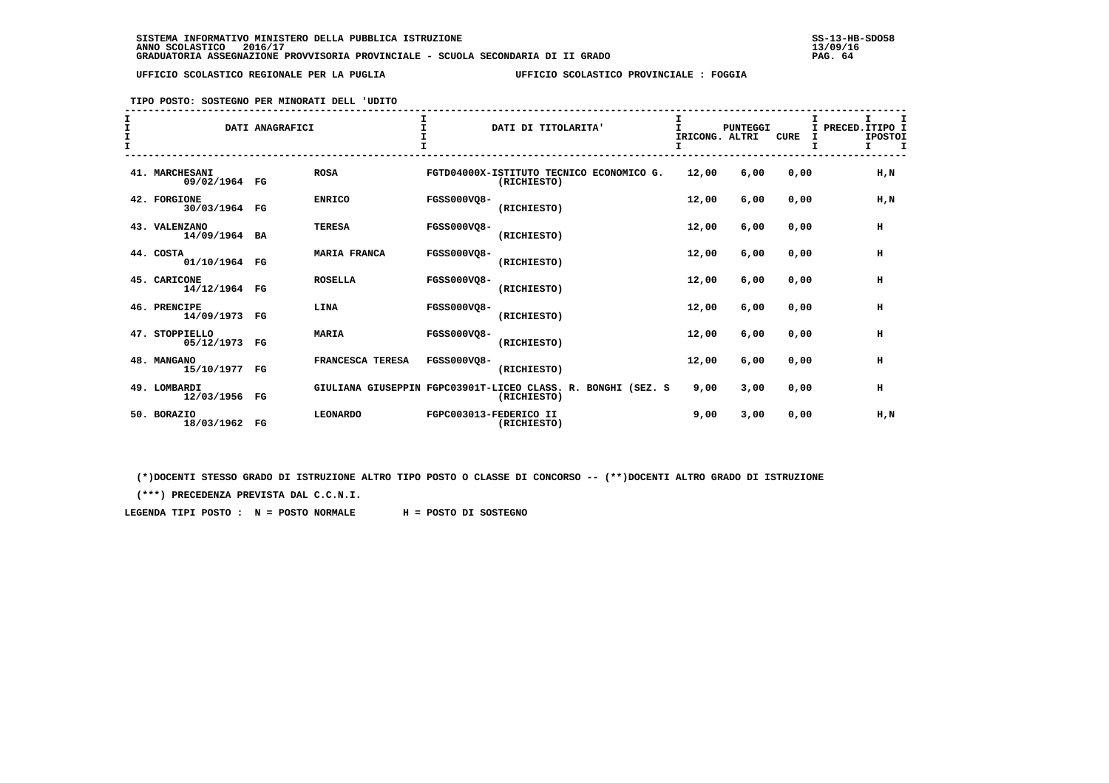**TIPO POSTO: SOSTEGNO PER MINORATI DELL 'UDITO**

| т<br>$\mathbf{I}$ |                                 | DATI ANAGRAFICI |                     |                    | DATI DI TITOLARITA'                                                         | IRICONG. ALTRI<br>I. | <b>PUNTEGGI</b> | <b>CURE</b> | PRECED. ITIPO I<br>T.<br><b>IPOSTOI</b><br>I<br>I<br>I. |
|-------------------|---------------------------------|-----------------|---------------------|--------------------|-----------------------------------------------------------------------------|----------------------|-----------------|-------------|---------------------------------------------------------|
|                   | 41. MARCHESANI<br>09/02/1964 FG |                 | <b>ROSA</b>         |                    | FGTD04000X-ISTITUTO TECNICO ECONOMICO G.<br>(RICHIESTO)                     | 12,00                | 6,00            | 0,00        | $H$ , $N$                                               |
|                   | 42. FORGIONE<br>30/03/1964 FG   |                 | <b>ENRICO</b>       | <b>FGSS000VO8-</b> | (RICHIESTO)                                                                 | 12,00                | 6,00            | 0,00        | $H$ , $N$                                               |
|                   | 43. VALENZANO<br>14/09/1964 BA  |                 | <b>TERESA</b>       | FGSS000VQ8-        | (RICHIESTO)                                                                 | 12,00                | 6,00            | 0,00        | н                                                       |
|                   | 44. COSTA<br>01/10/1964 FG      |                 | <b>MARIA FRANCA</b> | <b>FGSS000VO8-</b> | (RICHIESTO)                                                                 | 12,00                | 6,00            | 0,00        | н                                                       |
|                   | 45. CARICONE<br>14/12/1964 FG   |                 | <b>ROSELLA</b>      | <b>FGSS000VO8-</b> | (RICHIESTO)                                                                 | 12,00                | 6,00            | 0.00        | $\,$ H                                                  |
|                   | 46. PRENCIPE<br>14/09/1973 FG   |                 | LINA                | <b>FGSS000VO8-</b> | (RICHIESTO)                                                                 | 12,00                | 6,00            | 0.00        | н                                                       |
|                   | 47. STOPPIELLO<br>05/12/1973 FG |                 | <b>MARIA</b>        | <b>FGSS000VO8-</b> | (RICHIESTO)                                                                 | 12,00                | 6,00            | 0.00        | н                                                       |
|                   | 48. MANGANO<br>15/10/1977 FG    |                 | FRANCESCA TERESA    | FGSS000VO8-        | (RICHIESTO)                                                                 | 12,00                | 6,00            | 0,00        | н                                                       |
|                   | 49. LOMBARDI<br>12/03/1956 FG   |                 |                     |                    | GIULIANA GIUSEPPIN FGPC03901T-LICEO CLASS. R. BONGHI (SEZ. S<br>(RICHIESTO) | 9,00                 | 3,00            | 0,00        | н                                                       |
|                   | 50. BORAZIO<br>18/03/1962 FG    |                 | <b>LEONARDO</b>     |                    | FGPC003013-FEDERICO II<br>(RICHIESTO)                                       | 9,00                 | 3,00            | 0,00        | H,N                                                     |

 **(\*)DOCENTI STESSO GRADO DI ISTRUZIONE ALTRO TIPO POSTO O CLASSE DI CONCORSO -- (\*\*)DOCENTI ALTRO GRADO DI ISTRUZIONE**

 **(\*\*\*) PRECEDENZA PREVISTA DAL C.C.N.I.**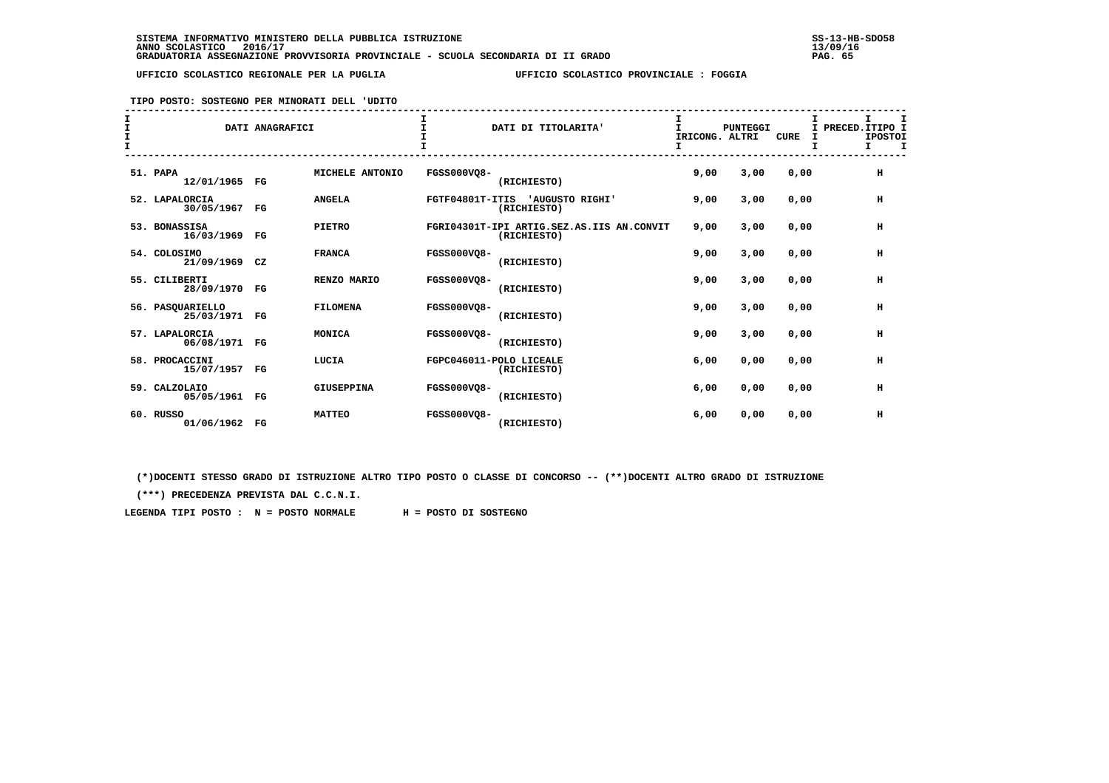**TIPO POSTO: SOSTEGNO PER MINORATI DELL 'UDITO**

| $\mathbf$ |                                   | DATI ANAGRAFICI |                 |                    | DATI DI TITOLARITA'                                      | IRICONG. ALTRI<br>I | PUNTEGGI | <b>CURE</b> | I<br>PRECED. ITIPO I<br>T.<br><b>IPOSTOI</b><br>I<br>I. |
|-----------|-----------------------------------|-----------------|-----------------|--------------------|----------------------------------------------------------|---------------------|----------|-------------|---------------------------------------------------------|
|           | 51. PAPA<br>12/01/1965 FG         |                 | MICHELE ANTONIO | <b>FGSS000VQ8-</b> | (RICHIESTO)                                              | 9,00                | 3,00     | 0,00        | н                                                       |
|           | 52. LAPALORCIA<br>30/05/1967      | FG              | <b>ANGELA</b>   |                    | FGTF04801T-ITIS 'AUGUSTO RIGHI'<br>(RICHIESTO)           | 9,00                | 3,00     | 0,00        | н                                                       |
|           | 53. BONASSISA<br>16/03/1969       | $_{\rm FG}$     | <b>PIETRO</b>   |                    | FGRI04301T-IPI ARTIG.SEZ.AS.IIS AN.CONVIT<br>(RICHIESTO) | 9.00                | 3,00     | 0,00        | н                                                       |
|           | 54. COLOSIMO<br>21/09/1969 CZ     |                 | <b>FRANCA</b>   | <b>FGSS000VO8-</b> | (RICHIESTO)                                              | 9.00                | 3,00     | 0,00        | н                                                       |
|           | 55. CILIBERTI<br>28/09/1970 FG    |                 | RENZO MARIO     | <b>FGSS000VO8-</b> | (RICHIESTO)                                              | 9.00                | 3,00     | 0.00        | н                                                       |
|           | 56. PASOUARIELLO<br>25/03/1971 FG |                 | <b>FILOMENA</b> | <b>FGSS000VO8-</b> | (RICHIESTO)                                              | 9,00                | 3,00     | 0,00        | н                                                       |
|           | 57. LAPALORCIA<br>06/08/1971 FG   |                 | MONICA          | <b>FGSS000VO8-</b> | (RICHIESTO)                                              | 9,00                | 3,00     | 0,00        | н                                                       |
|           | 58. PROCACCINI<br>15/07/1957 FG   |                 | LUCIA           |                    | FGPC046011-POLO LICEALE<br>(RICHIESTO)                   | 6,00                | 0,00     | 0,00        | н                                                       |
|           | 59. CALZOLAIO<br>05/05/1961 FG    |                 | GIUSEPPINA      | <b>FGSS000VO8-</b> | (RICHIESTO)                                              | 6,00                | 0,00     | 0,00        | н                                                       |
|           | 60. RUSSO<br>01/06/1962 FG        |                 | <b>MATTEO</b>   | FGSS000VO8-        | (RICHIESTO)                                              | 6,00                | 0,00     | 0,00        | н                                                       |

 **(\*)DOCENTI STESSO GRADO DI ISTRUZIONE ALTRO TIPO POSTO O CLASSE DI CONCORSO -- (\*\*)DOCENTI ALTRO GRADO DI ISTRUZIONE**

 **(\*\*\*) PRECEDENZA PREVISTA DAL C.C.N.I.**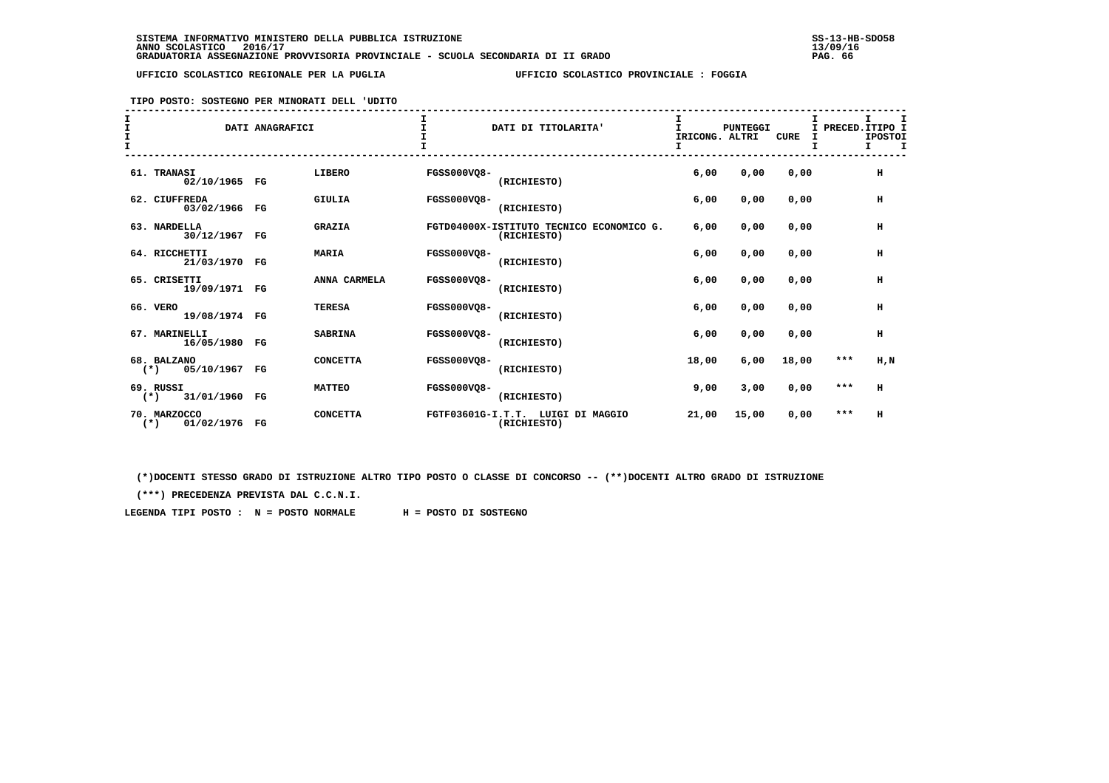**TIPO POSTO: SOSTEGNO PER MINORATI DELL 'UDITO**

| $\mathbf{T}$<br>$\mathbf{T}$ |                                        | DATI ANAGRAFICI |                 | $\mathsf{T}$       | DATI DI TITOLARITA'                                     | I<br>T.<br>IRICONG. ALTRI | <b>PUNTEGGI</b> | <b>CURE</b> | I PRECED. ITIPO I<br>I | т.<br><b>IPOSTOI</b><br>т. |  |
|------------------------------|----------------------------------------|-----------------|-----------------|--------------------|---------------------------------------------------------|---------------------------|-----------------|-------------|------------------------|----------------------------|--|
|                              | 61. TRANASI<br>02/10/1965 FG           |                 | LIBERO          | <b>FGSS000VQ8-</b> | (RICHIESTO)                                             | 6,00                      | 0,00            | 0,00        |                        | н                          |  |
|                              | 62. CIUFFREDA<br>03/02/1966 FG         |                 | <b>GIULIA</b>   | <b>FGSS000VO8-</b> | (RICHIESTO)                                             | 6,00                      | 0,00            | 0,00        |                        | H                          |  |
|                              | 63. NARDELLA<br>30/12/1967 FG          |                 | <b>GRAZIA</b>   |                    | FGTD04000X-ISTITUTO TECNICO ECONOMICO G.<br>(RICHIESTO) | 6,00                      | 0,00            | 0,00        |                        | н                          |  |
|                              | 64. RICCHETTI<br>21/03/1970 FG         |                 | <b>MARIA</b>    | <b>FGSS000VQ8-</b> | (RICHIESTO)                                             | 6,00                      | 0,00            | 0.00        |                        | н                          |  |
|                              | 65. CRISETTI<br>19/09/1971 FG          |                 | ANNA CARMELA    | <b>FGSS000VQ8-</b> | (RICHIESTO)                                             | 6,00                      | 0,00            | 0,00        |                        | н                          |  |
|                              | 66. VERO<br>19/08/1974 FG              |                 | <b>TERESA</b>   | <b>FGSS000VO8-</b> | (RICHIESTO)                                             | 6,00                      | 0,00            | 0,00        |                        | н                          |  |
|                              | 67. MARINELLI<br>16/05/1980 FG         |                 | <b>SABRINA</b>  | <b>FGSS000VO8-</b> | (RICHIESTO)                                             | 6,00                      | 0,00            | 0,00        |                        | н                          |  |
|                              | 68. BALZANO<br>$(*)$ 05/10/1967 FG     |                 | <b>CONCETTA</b> | <b>FGSS000VO8-</b> | (RICHIESTO)                                             | 18,00                     | 6,00            | 18,00       | ***                    | H, N                       |  |
|                              | 69. RUSSI<br>31/01/1960 FG<br>$(*)$    |                 | <b>MATTEO</b>   | <b>FGSS000VO8-</b> | (RICHIESTO)                                             | 9,00                      | 3,00            | 0,00        | $***$                  | н                          |  |
|                              | 70. MARZOCCO<br>01/02/1976 FG<br>$(*)$ |                 | <b>CONCETTA</b> |                    | FGTF03601G-I.T.T. LUIGI DI MAGGIO<br>(RICHIESTO)        | 21,00                     | 15,00           | 0,00        | ***                    | н                          |  |

 **(\*)DOCENTI STESSO GRADO DI ISTRUZIONE ALTRO TIPO POSTO O CLASSE DI CONCORSO -- (\*\*)DOCENTI ALTRO GRADO DI ISTRUZIONE**

 **(\*\*\*) PRECEDENZA PREVISTA DAL C.C.N.I.**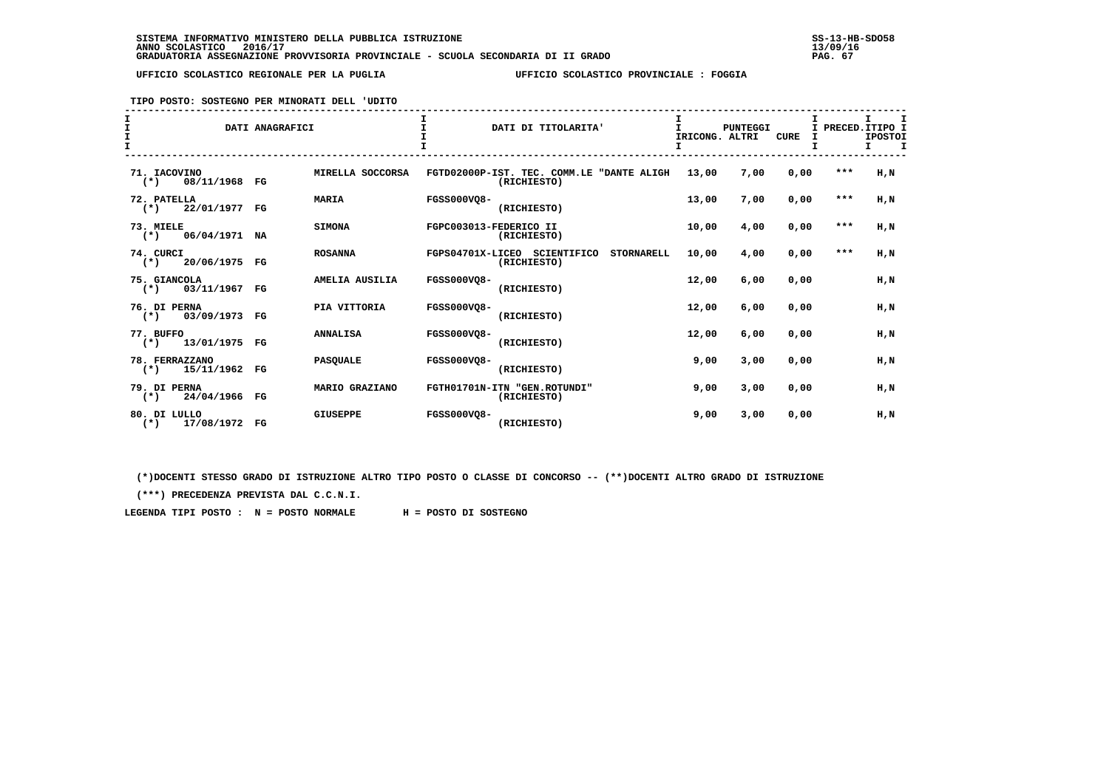**TIPO POSTO: SOSTEGNO PER MINORATI DELL 'UDITO**

| I<br>$\mathbf{I}$                      | DATI ANAGRAFICI             | DATI DI TITOLARITA'                                              | IRICONG. ALTRI<br>I. | <b>PUNTEGGI</b> | <b>CURE</b><br>I |       | I PRECED. ITIPO I<br><b>IPOSTOI</b><br>I<br>I. |
|----------------------------------------|-----------------------------|------------------------------------------------------------------|----------------------|-----------------|------------------|-------|------------------------------------------------|
| 71. IACOVINO<br>08/11/1968 FG<br>$(*)$ | MIRELLA SOCCORSA            | FGTD02000P-IST. TEC. COMM.LE "DANTE ALIGH<br>(RICHIESTO)         | 13,00                | 7,00            | 0,00             | ***   | H,N                                            |
| 72. PATELLA<br>22/01/1977<br>$(*)$     | <b>MARIA</b><br>$_{\rm FG}$ | <b>FGSS000VO8-</b><br>(RICHIESTO)                                | 13,00                | 7,00            | 0,00             | $***$ | H.N                                            |
| 73. MIELE<br>$(*)$ 06/04/1971          | <b>SIMONA</b><br>NA         | FGPC003013-FEDERICO II<br>(RICHIESTO)                            | 10,00                | 4,00            | 0,00             | $***$ | H,N                                            |
| 74. CURCI<br>$(*)$ 20/06/1975 FG       | <b>ROSANNA</b>              | FGPS04701X-LICEO SCIENTIFICO<br><b>STORNARELL</b><br>(RICHIESTO) | 10,00                | 4,00            | 0,00             | $***$ | H,N                                            |
| 75. GIANCOLA<br>03/11/1967 FG<br>$(*)$ | AMELIA AUSILIA              | <b>FGSS000VO8-</b><br>(RICHIESTO)                                | 12,00                | 6,00            | 0.00             |       | H,N                                            |
| 76. DI PERNA<br>03/09/1973<br>$(*)$    | PIA VITTORIA<br>FG          | FGSS000VO8-<br>(RICHIESTO)                                       | 12,00                | 6,00            | 0,00             |       | H,N                                            |
| 77. BUFFO<br>$(*)$ 13/01/1975 FG       | <b>ANNALISA</b>             | FGSS000VO8-<br>(RICHIESTO)                                       | 12,00                | 6,00            | 0,00             |       | H,N                                            |
| 78. FERRAZZANO<br>15/11/1962<br>$(*)$  | <b>PASOUALE</b><br>FG       | FGSS000VO8-<br>(RICHIESTO)                                       | 9,00                 | 3,00            | 0.00             |       | H.N                                            |
| 79. DI PERNA<br>24/04/1966 FG<br>$(*)$ | MARIO GRAZIANO              | FGTH01701N-ITN "GEN.ROTUNDI"<br>(RICHIESTO)                      | 9,00                 | 3,00            | 0,00             |       | H, N                                           |
| 80. DI LULLO<br>17/08/1972 FG<br>$(*)$ | <b>GIUSEPPE</b>             | <b>FGSS000VO8-</b><br>(RICHIESTO)                                | 9,00                 | 3,00            | 0,00             |       | $H$ , $N$                                      |

 **(\*)DOCENTI STESSO GRADO DI ISTRUZIONE ALTRO TIPO POSTO O CLASSE DI CONCORSO -- (\*\*)DOCENTI ALTRO GRADO DI ISTRUZIONE**

 **(\*\*\*) PRECEDENZA PREVISTA DAL C.C.N.I.**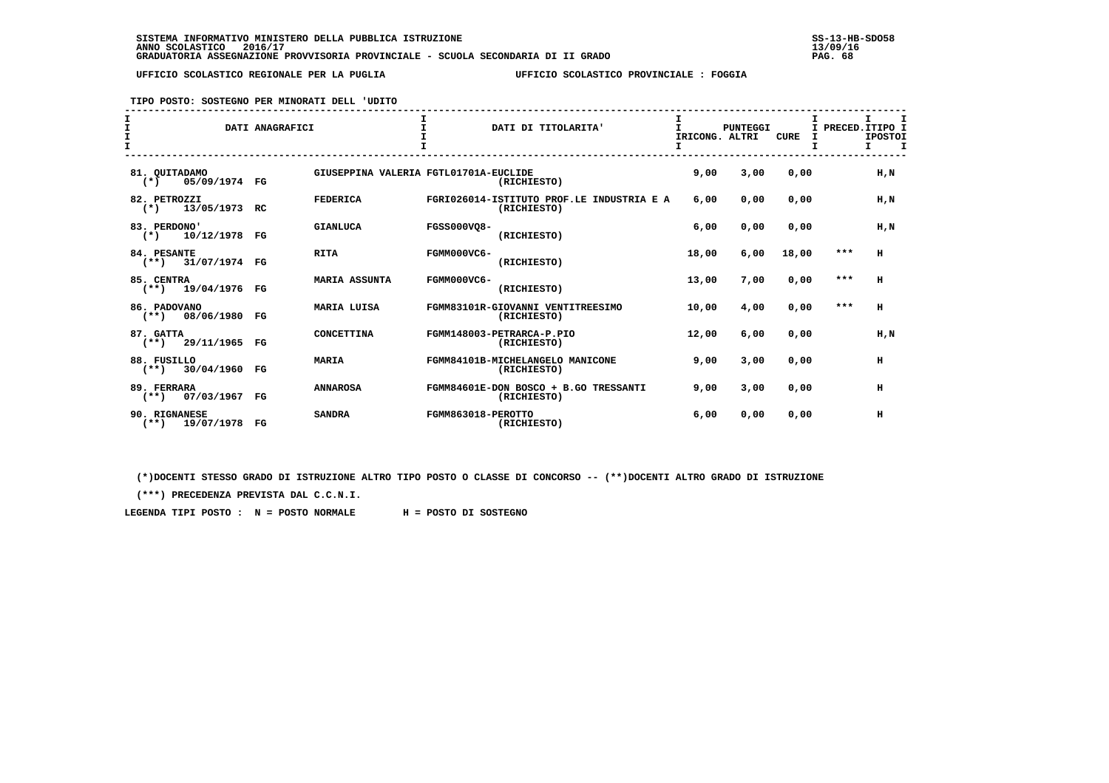**TIPO POSTO: SOSTEGNO PER MINORATI DELL 'UDITO**

| I<br>I<br>$\mathbf{T}$ |                                         | DATI ANAGRAFICI |                                       |                    | DATI DI TITOLARITA'                                      | I<br>T<br>IRICONG. ALTRI | <b>PUNTEGGI</b> | CURE  | I     | I.<br>I PRECED. ITIPO I<br><b>IPOSTOI</b><br>т<br>т. |
|------------------------|-----------------------------------------|-----------------|---------------------------------------|--------------------|----------------------------------------------------------|--------------------------|-----------------|-------|-------|------------------------------------------------------|
|                        | 81. OUITADAMO<br>05/09/1974 FG<br>$(*)$ |                 | GIUSEPPINA VALERIA FGTL01701A-EUCLIDE |                    | (RICHIESTO)                                              | 9,00                     | 3,00            | 0,00  |       | H.N                                                  |
|                        | 82. PETROZZI<br>13/05/1973<br>$(*)$     | RC.             | <b>FEDERICA</b>                       |                    | FGRI026014-ISTITUTO PROF.LE INDUSTRIA E A<br>(RICHIESTO) | 6,00                     | 0,00            | 0,00  |       | H.N                                                  |
|                        | 83. PERDONO'<br>$(*)$<br>10/12/1978     | FG              | <b>GIANLUCA</b>                       | <b>FGSS000VO8-</b> | (RICHIESTO)                                              | 6,00                     | 0,00            | 0,00  |       | H,N                                                  |
|                        | 84. PESANTE<br>$(**)$ 31/07/1974 FG     |                 | <b>RITA</b>                           | FGMM000VC6-        | (RICHIESTO)                                              | 18,00                    | 6,00            | 18,00 | $***$ | н                                                    |
|                        | 85. CENTRA<br>$(**)$ 19/04/1976         | FG              | <b>MARIA ASSUNTA</b>                  | FGMM000VC6-        | (RICHIESTO)                                              | 13,00                    | 7,00            | 0,00  | $***$ | H                                                    |
|                        | 86. PADOVANO<br>$(**)$ 08/06/1980       | FG              | <b>MARIA LUISA</b>                    |                    | FGMM83101R-GIOVANNI VENTITREESIMO<br>(RICHIESTO)         | 10,00                    | 4,00            | 0,00  | ***   | н                                                    |
|                        | 87. GATTA<br>$(**)$ 29/11/1965          | FG              | <b>CONCETTINA</b>                     |                    | FGMM148003-PETRARCA-P.PIO<br>(RICHIESTO)                 | 12,00                    | 6,00            | 0.00  |       | H.N                                                  |
|                        | 88. FUSILLO<br>$(**)$ 30/04/1960        | FG              | <b>MARIA</b>                          |                    | FGMM84101B-MICHELANGELO MANICONE<br>(RICHIESTO)          | 9,00                     | 3,00            | 0,00  |       | н                                                    |
|                        | 89. FERRARA<br>07/03/1967<br>$(**)$     | FG              | <b>ANNAROSA</b>                       |                    | FGMM84601E-DON BOSCO + B.GO TRESSANTI<br>(RICHIESTO)     | 9,00                     | 3,00            | 0,00  |       | н                                                    |
|                        | 90. RIGNANESE<br>$(**)$<br>19/07/1978   | FG              | <b>SANDRA</b>                         | FGMM863018-PEROTTO | (RICHIESTO)                                              | 6,00                     | 0,00            | 0,00  |       | н                                                    |

 **(\*)DOCENTI STESSO GRADO DI ISTRUZIONE ALTRO TIPO POSTO O CLASSE DI CONCORSO -- (\*\*)DOCENTI ALTRO GRADO DI ISTRUZIONE**

 **(\*\*\*) PRECEDENZA PREVISTA DAL C.C.N.I.**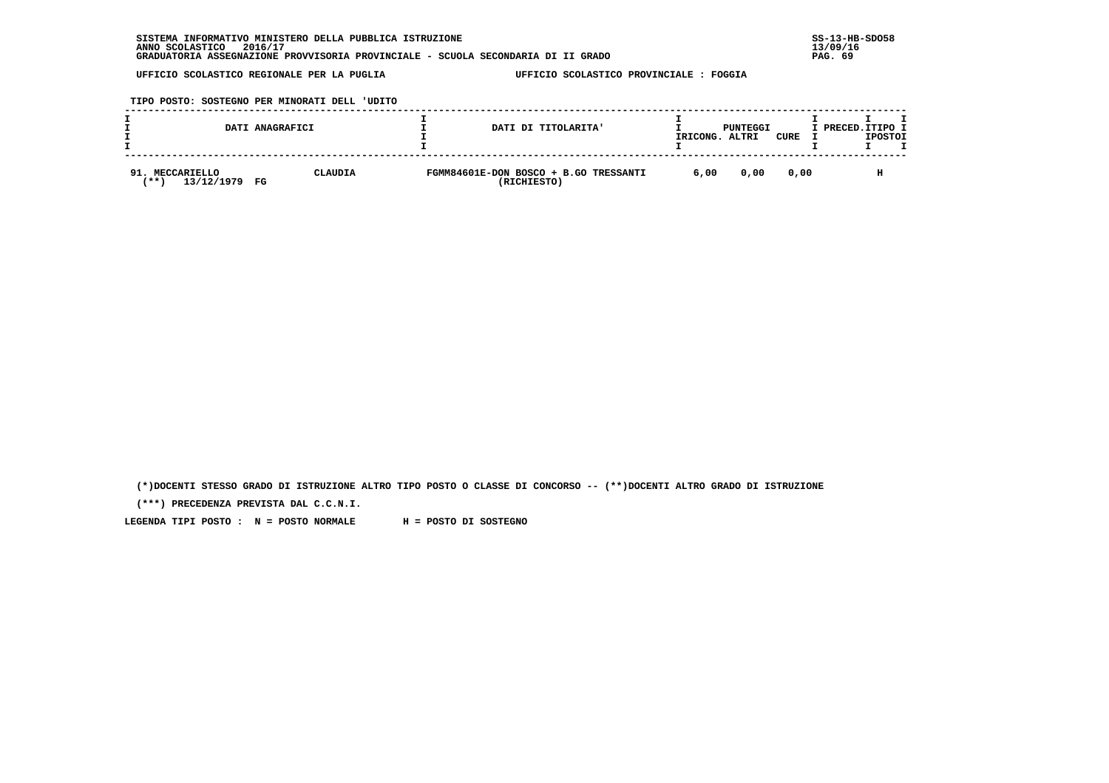**TIPO POSTO: SOSTEGNO PER MINORATI DELL 'UDITO**

|                                          | DATI ANAGRAFICI | DATI DI TITOLARITA'                                  | IRICONG. | PUNTEGGI<br>ALTRI | CURE | I PRECED.ITIPO I | <b>IPOSTOI</b> |  |
|------------------------------------------|-----------------|------------------------------------------------------|----------|-------------------|------|------------------|----------------|--|
| 91. MECCARIELLO<br>13/12/1979<br>' * * ` | CLAUDIA<br>FG   | FGMM84601E-DON BOSCO + B.GO TRESSANTI<br>(RICHIESTO) | 6,00     | 0,00              | 0.00 |                  | н              |  |

 **(\*)DOCENTI STESSO GRADO DI ISTRUZIONE ALTRO TIPO POSTO O CLASSE DI CONCORSO -- (\*\*)DOCENTI ALTRO GRADO DI ISTRUZIONE**

 **(\*\*\*) PRECEDENZA PREVISTA DAL C.C.N.I.**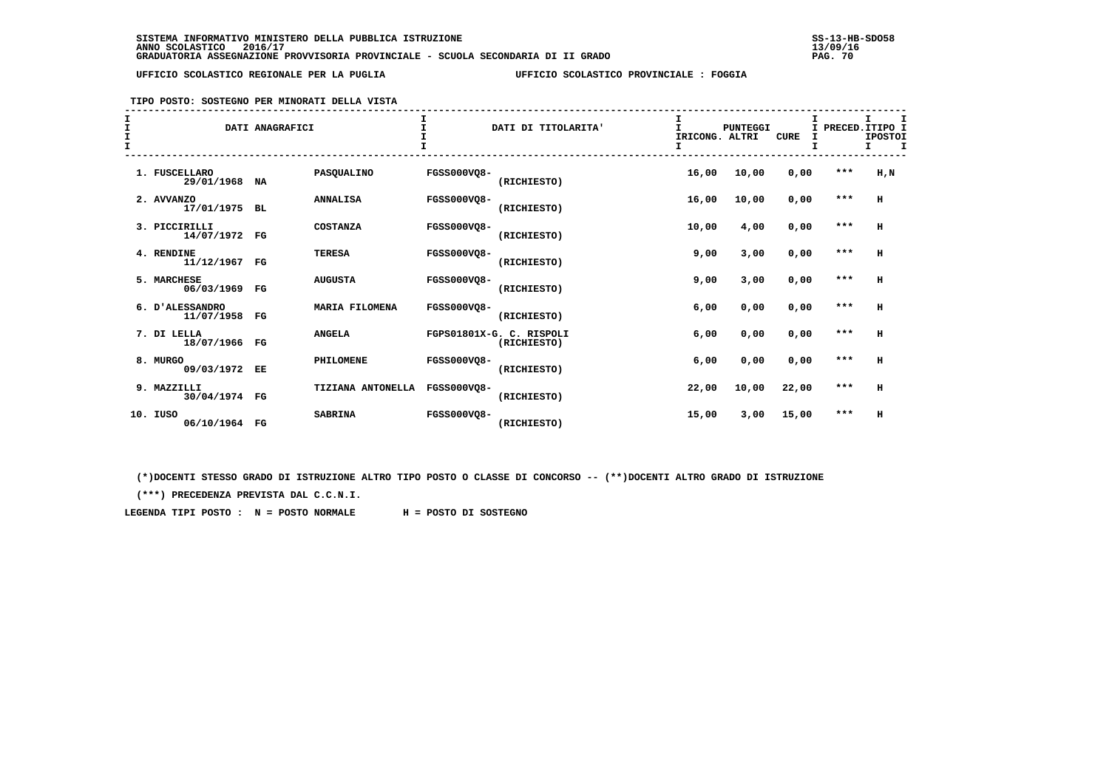# **TIPO POSTO: SOSTEGNO PER MINORATI DELLA VISTA**

| I<br>I<br>$\frac{1}{1}$ |     |                               | DATI ANAGRAFICI |                       | T.                 | DATI DI TITOLARITA'                     | T.<br>IRICONG. ALTRI | <b>PUNTEGGI</b> | <b>CURE</b> | $\mathbf{I}$<br>I | I.<br>PRECED. ITIPO I<br><b>IPOSTOI</b><br>т. |
|-------------------------|-----|-------------------------------|-----------------|-----------------------|--------------------|-----------------------------------------|----------------------|-----------------|-------------|-------------------|-----------------------------------------------|
|                         |     | 1. FUSCELLARO<br>29/01/1968   | <b>NA</b>       | PASQUALINO            | FGSS000VO8-        | (RICHIESTO)                             | 16,00                | 10,00           | 0,00        | $***$             | H, N                                          |
|                         |     | 2. AVVANZO<br>17/01/1975      | <b>BL</b>       | <b>ANNALISA</b>       | <b>FGSS000VO8-</b> | (RICHIESTO)                             | 16,00                | 10,00           | 0,00        | ***               | $\mathbf H$                                   |
|                         |     | 3. PICCIRILLI<br>14/07/1972   | $_{\rm FG}$     | <b>COSTANZA</b>       | <b>FGSS000VQ8-</b> | (RICHIESTO)                             | 10,00                | 4,00            | 0,00        | $***$             | н                                             |
|                         |     | 4. RENDINE<br>11/12/1967 FG   |                 | <b>TERESA</b>         | <b>FGSS000VQ8-</b> | (RICHIESTO)                             | 9,00                 | 3,00            | 0,00        | $***$             | н                                             |
|                         |     | 5. MARCHESE<br>06/03/1969     | $_{\rm FG}$     | <b>AUGUSTA</b>        | <b>FGSS000VO8-</b> | (RICHIESTO)                             | 9,00                 | 3,00            | 0,00        | ***               | н                                             |
|                         |     | 6. D'ALESSANDRO<br>11/07/1958 | FG              | <b>MARIA FILOMENA</b> | <b>FGSS000VO8-</b> | (RICHIESTO)                             | 6,00                 | 0,00            | 0,00        | $***$             | н                                             |
|                         |     | 7. DI LELLA<br>18/07/1966 FG  |                 | <b>ANGELA</b>         |                    | FGPS01801X-G. C. RISPOLI<br>(RICHIESTO) | 6,00                 | 0,00            | 0,00        | $***$             | н                                             |
|                         |     | 8. MURGO<br>09/03/1972 EE     |                 | PHILOMENE             | <b>FGSS000VO8-</b> | (RICHIESTO)                             | 6,00                 | 0,00            | 0,00        | $***$             | н                                             |
|                         |     | 9. MAZZILLI<br>30/04/1974 FG  |                 | TIZIANA ANTONELLA     | <b>FGSS000VO8-</b> | (RICHIESTO)                             | 22,00                | 10,00           | 22,00       | $***$             | н                                             |
|                         | 10. | IUSO<br>06/10/1964 FG         |                 | <b>SABRINA</b>        | <b>FGSS000VO8-</b> | (RICHIESTO)                             | 15,00                | 3,00            | 15,00       | $***$             | н                                             |

 **(\*)DOCENTI STESSO GRADO DI ISTRUZIONE ALTRO TIPO POSTO O CLASSE DI CONCORSO -- (\*\*)DOCENTI ALTRO GRADO DI ISTRUZIONE**

 **(\*\*\*) PRECEDENZA PREVISTA DAL C.C.N.I.**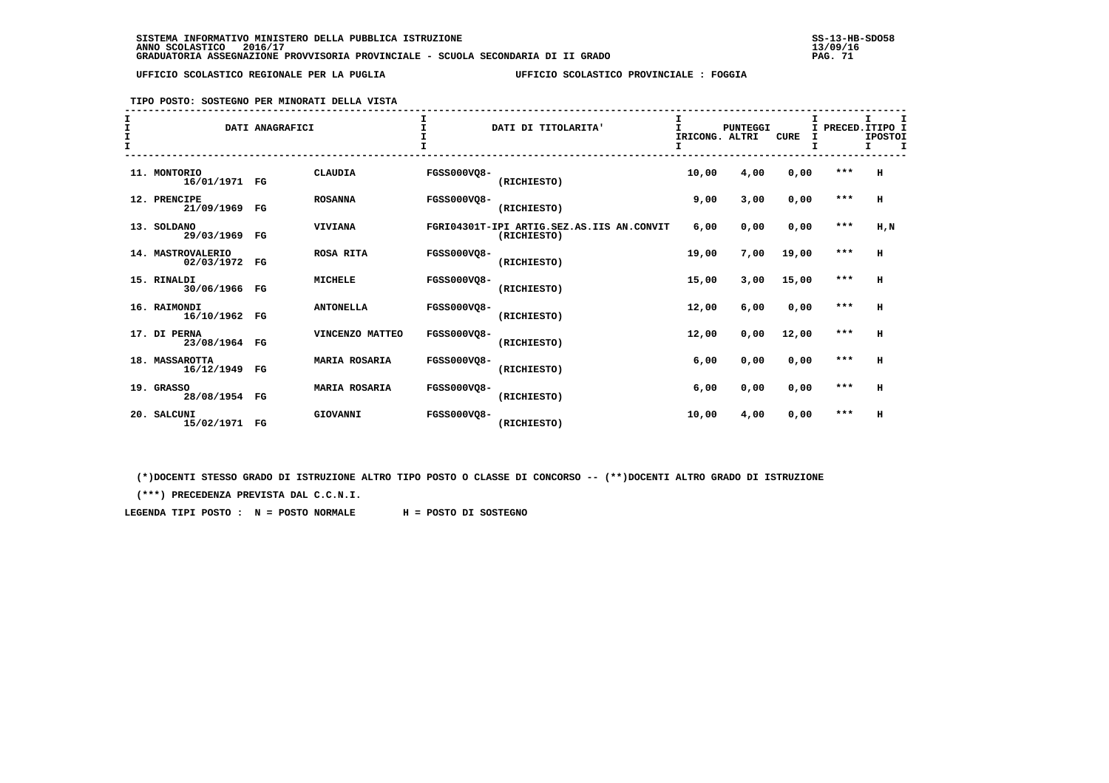**TIPO POSTO: SOSTEGNO PER MINORATI DELLA VISTA**

| I<br>$\mathbf{T}$<br>I<br>$\mathbf{T}$ |                                 | DATI ANAGRAFICI |                      | I.                 | DATI DI TITOLARITA'                                      | I<br>$\mathbf{I}$<br>IRICONG. ALTRI<br>I | <b>PUNTEGGI</b> | <b>CURE</b> | I PRECED. ITIPO I | I.<br><b>IPOSTOI</b><br>т |
|----------------------------------------|---------------------------------|-----------------|----------------------|--------------------|----------------------------------------------------------|------------------------------------------|-----------------|-------------|-------------------|---------------------------|
|                                        | 11. MONTORIO<br>16/01/1971 FG   |                 | <b>CLAUDIA</b>       | <b>FGSS000VO8-</b> | (RICHIESTO)                                              | 10,00                                    | 4,00            | 0,00        | ***               | H                         |
|                                        | 12. PRENCIPE<br>21/09/1969 FG   |                 | <b>ROSANNA</b>       | <b>FGSS000VO8-</b> | (RICHIESTO)                                              | 9,00                                     | 3,00            | 0,00        | $***$             | H                         |
|                                        | 13. SOLDANO<br>29/03/1969       | FG              | <b>VIVIANA</b>       |                    | FGRI04301T-IPI ARTIG.SEZ.AS.IIS AN.CONVIT<br>(RICHIESTO) | 6,00                                     | 0,00            | 0,00        | $***$             | H, N                      |
|                                        | 14. MASTROVALERIO<br>02/03/1972 | $_{\rm FG}$     | <b>ROSA RITA</b>     | <b>FGSS000VO8-</b> | (RICHIESTO)                                              | 19,00                                    | 7,00            | 19,00       | $***$             | H                         |
|                                        | 15. RINALDI<br>30/06/1966 FG    |                 | <b>MICHELE</b>       | <b>FGSS000VO8-</b> | (RICHIESTO)                                              | 15,00                                    | 3,00            | 15,00       | $***$             | H                         |
|                                        | 16. RAIMONDI<br>16/10/1962 FG   |                 | <b>ANTONELLA</b>     | <b>FGSS000VO8-</b> | (RICHIESTO)                                              | 12,00                                    | 6,00            | 0,00        | $***$             | H                         |
|                                        | 17. DI PERNA<br>23/08/1964 FG   |                 | VINCENZO MATTEO      | <b>FGSS000VO8-</b> | (RICHIESTO)                                              | 12,00                                    | 0,00            | 12,00       | $***$             | H                         |
|                                        | 18. MASSAROTTA<br>16/12/1949 FG |                 | <b>MARIA ROSARIA</b> | <b>FGSS000VO8-</b> | (RICHIESTO)                                              | 6,00                                     | 0,00            | 0,00        | $***$             | H                         |
|                                        | 19. GRASSO<br>28/08/1954 FG     |                 | <b>MARIA ROSARIA</b> | <b>FGSS000VO8-</b> | (RICHIESTO)                                              | 6,00                                     | 0,00            | 0,00        | $***$             | H                         |
|                                        | 20. SALCUNI<br>15/02/1971 FG    |                 | GIOVANNI             | FGSS000VO8-        | (RICHIESTO)                                              | 10,00                                    | 4,00            | 0,00        | ***               | H                         |

 **(\*)DOCENTI STESSO GRADO DI ISTRUZIONE ALTRO TIPO POSTO O CLASSE DI CONCORSO -- (\*\*)DOCENTI ALTRO GRADO DI ISTRUZIONE**

 **(\*\*\*) PRECEDENZA PREVISTA DAL C.C.N.I.**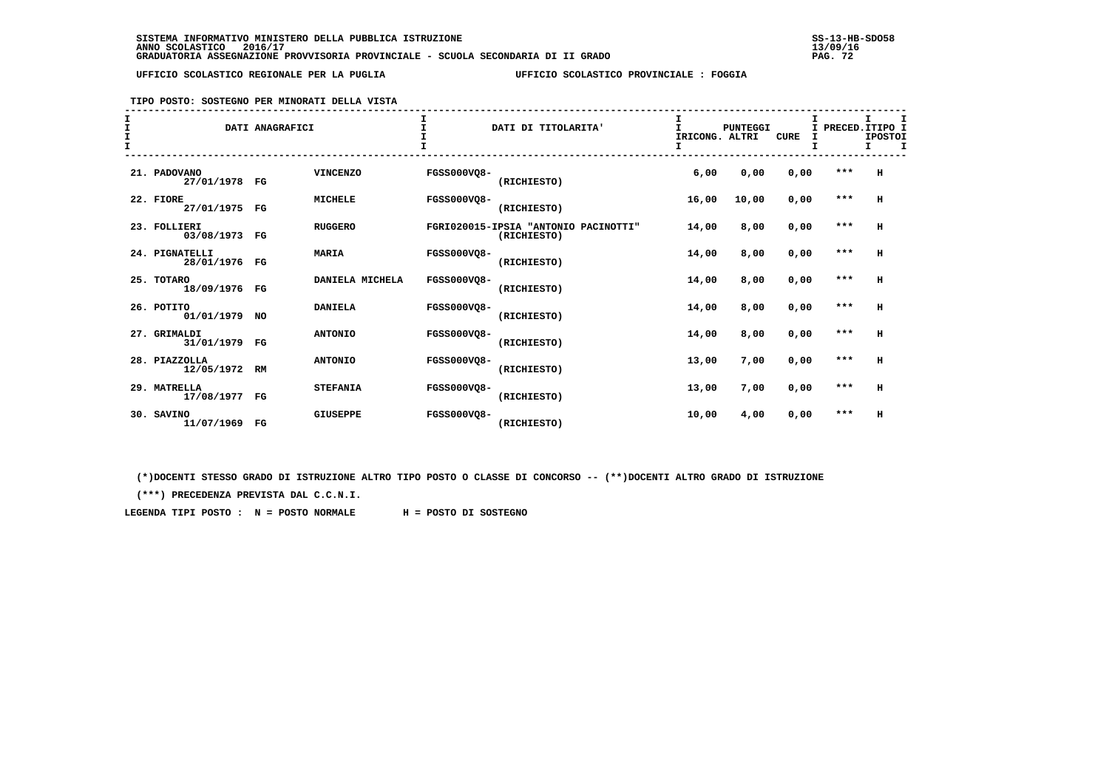**TIPO POSTO: SOSTEGNO PER MINORATI DELLA VISTA**

| $\mathbf{T}$<br>I<br>$\mathbf{T}$ |                                 | DATI ANAGRAFICI |                 |                    | DATI DI TITOLARITA'                                 | T.<br>IRICONG. ALTRI | <b>PUNTEGGI</b> | <b>CURE</b> | I PRECED. ITIPO I<br>I | I.<br><b>IPOSTOI</b><br>т. |
|-----------------------------------|---------------------------------|-----------------|-----------------|--------------------|-----------------------------------------------------|----------------------|-----------------|-------------|------------------------|----------------------------|
|                                   | 21. PADOVANO<br>27/01/1978 FG   |                 | <b>VINCENZO</b> | <b>FGSS000VQ8-</b> | (RICHIESTO)                                         | 6,00                 | 0,00            | 0,00        | $***$                  | н                          |
|                                   | 22. FIORE<br>27/01/1975 FG      |                 | <b>MICHELE</b>  | <b>FGSS000VO8-</b> | (RICHIESTO)                                         | 16,00                | 10,00           | 0,00        | $***$                  | $\mathbf H$                |
|                                   | 23. FOLLIERI<br>03/08/1973 FG   |                 | <b>RUGGERO</b>  |                    | FGRI020015-IPSIA "ANTONIO PACINOTTI"<br>(RICHIESTO) | 14,00                | 8,00            | 0,00        | $* * *$                | н                          |
|                                   | 24. PIGNATELLI<br>28/01/1976 FG |                 | <b>MARIA</b>    | <b>FGSS000VQ8-</b> | (RICHIESTO)                                         | 14,00                | 8,00            | 0,00        | $***$                  | н                          |
|                                   | 25. TOTARO<br>18/09/1976 FG     |                 | DANIELA MICHELA | <b>FGSS000VQ8-</b> | (RICHIESTO)                                         | 14,00                | 8,00            | 0,00        | $***$                  | н                          |
|                                   | 26. POTITO<br>01/01/1979 NO     |                 | <b>DANIELA</b>  | <b>FGSS000VO8-</b> | (RICHIESTO)                                         | 14,00                | 8,00            | 0,00        | $***$                  | н                          |
|                                   | 27. GRIMALDI<br>31/01/1979 FG   |                 | <b>ANTONIO</b>  | <b>FGSS000VO8-</b> | (RICHIESTO)                                         | 14,00                | 8,00            | 0,00        | $***$                  | н                          |
|                                   | 28. PIAZZOLLA<br>12/05/1972 RM  |                 | <b>ANTONIO</b>  | <b>FGSS000VO8-</b> | (RICHIESTO)                                         | 13,00                | 7,00            | 0,00        | $***$                  | н                          |
|                                   | 29. MATRELLA<br>17/08/1977 FG   |                 | <b>STEFANIA</b> | <b>FGSS000VO8-</b> | (RICHIESTO)                                         | 13,00                | 7,00            | 0,00        | $***$                  | н                          |
|                                   | 30. SAVINO<br>11/07/1969 FG     |                 | <b>GIUSEPPE</b> | <b>FGSS000VO8-</b> | (RICHIESTO)                                         | 10,00                | 4,00            | 0,00        | ***                    | н                          |

 **(\*)DOCENTI STESSO GRADO DI ISTRUZIONE ALTRO TIPO POSTO O CLASSE DI CONCORSO -- (\*\*)DOCENTI ALTRO GRADO DI ISTRUZIONE**

 **(\*\*\*) PRECEDENZA PREVISTA DAL C.C.N.I.**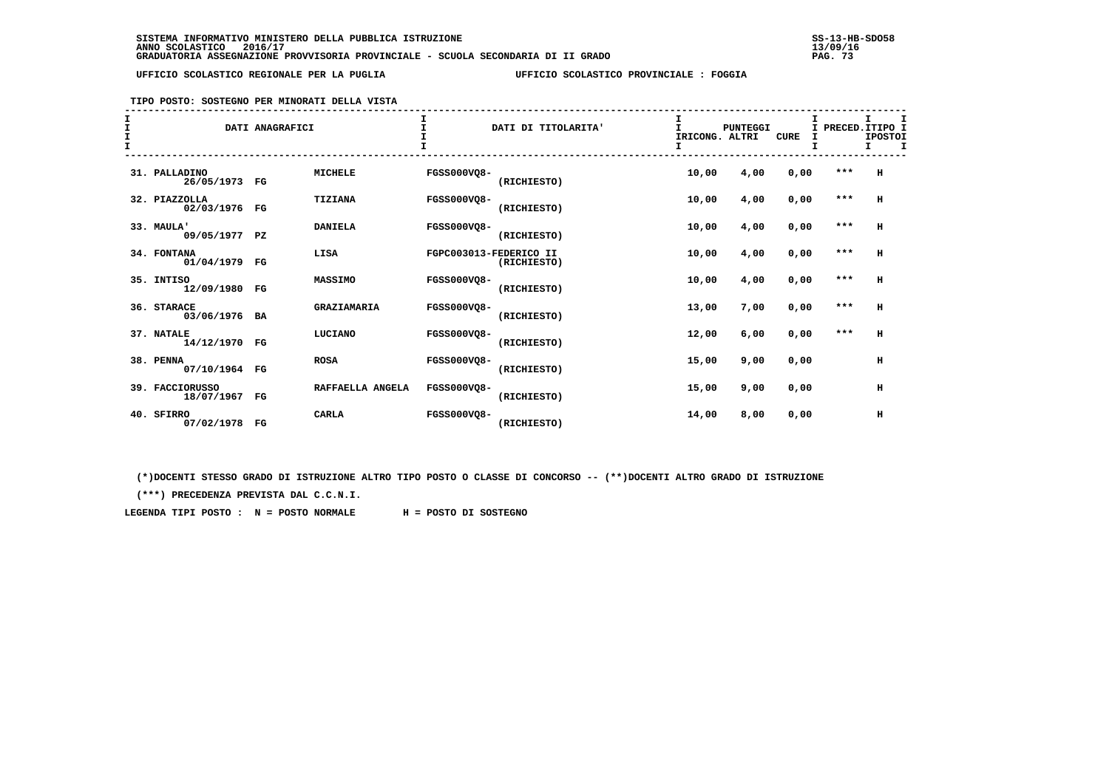# **TIPO POSTO: SOSTEGNO PER MINORATI DELLA VISTA**

| I<br>I<br>$\frac{1}{1}$ |                                  | DATI ANAGRAFICI |                  | T.                     | DATI DI TITOLARITA' | I<br>$\mathbf{I}$<br>IRICONG. ALTRI | <b>PUNTEGGI</b> | CURE | I PRECED. ITIPO I<br>I | I.<br><b>IPOSTOI</b><br>т. |  |
|-------------------------|----------------------------------|-----------------|------------------|------------------------|---------------------|-------------------------------------|-----------------|------|------------------------|----------------------------|--|
|                         | 31. PALLADINO<br>26/05/1973 FG   |                 | <b>MICHELE</b>   | FGSS000VQ8-            | (RICHIESTO)         | 10,00                               | 4,00            | 0,00 | $***$                  | H                          |  |
|                         | 32. PIAZZOLLA<br>02/03/1976 FG   |                 | TIZIANA          | <b>FGSS000VO8-</b>     | (RICHIESTO)         | 10,00                               | 4,00            | 0,00 | ***                    | H                          |  |
|                         | 33. MAULA'<br>09/05/1977 PZ      |                 | <b>DANIELA</b>   | <b>FGSS000VQ8-</b>     | (RICHIESTO)         | 10,00                               | 4,00            | 0,00 | ***                    | н                          |  |
|                         | 34. FONTANA<br>01/04/1979 FG     |                 | LISA             | FGPC003013-FEDERICO II | (RICHIESTO)         | 10,00                               | 4,00            | 0,00 | $***$                  | н                          |  |
|                         | 35. INTISO<br>12/09/1980 FG      |                 | <b>MASSIMO</b>   | <b>FGSS000VO8-</b>     | (RICHIESTO)         | 10,00                               | 4,00            | 0,00 | $***$                  | н                          |  |
|                         | 36. STARACE<br>03/06/1976 BA     |                 | GRAZIAMARIA      | <b>FGSS000VO8-</b>     | (RICHIESTO)         | 13,00                               | 7,00            | 0,00 | $***$                  | н                          |  |
|                         | 37. NATALE<br>14/12/1970 FG      |                 | LUCIANO          | <b>FGSS000VO8-</b>     | (RICHIESTO)         | 12,00                               | 6,00            | 0,00 | $* * *$                | н                          |  |
|                         | 38. PENNA<br>07/10/1964 FG       |                 | <b>ROSA</b>      | <b>FGSS000VO8-</b>     | (RICHIESTO)         | 15,00                               | 9,00            | 0,00 |                        | н                          |  |
|                         | 39. FACCIORUSSO<br>18/07/1967 FG |                 | RAFFAELLA ANGELA | <b>FGSS000VO8-</b>     | (RICHIESTO)         | 15,00                               | 9,00            | 0,00 |                        | н                          |  |
|                         | 40. SFIRRO<br>07/02/1978 FG      |                 | <b>CARLA</b>     | <b>FGSS000VO8-</b>     | (RICHIESTO)         | 14,00                               | 8,00            | 0,00 |                        | $\,$ H                     |  |

 **(\*)DOCENTI STESSO GRADO DI ISTRUZIONE ALTRO TIPO POSTO O CLASSE DI CONCORSO -- (\*\*)DOCENTI ALTRO GRADO DI ISTRUZIONE**

 **(\*\*\*) PRECEDENZA PREVISTA DAL C.C.N.I.**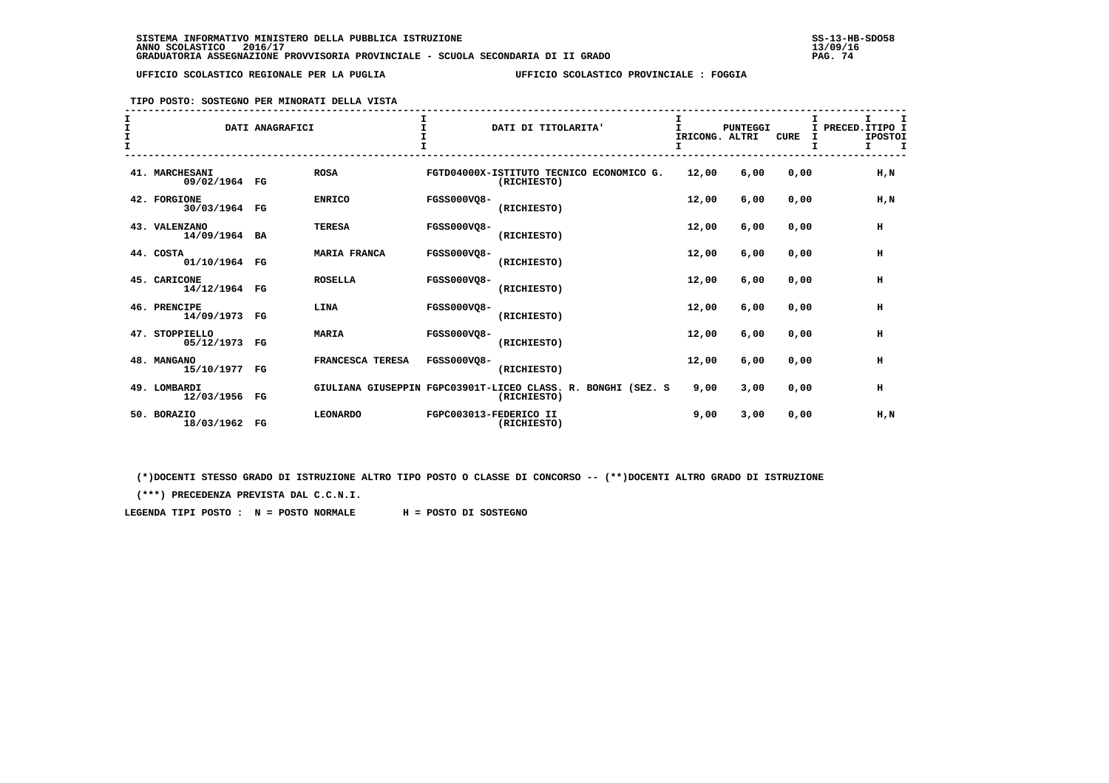**TIPO POSTO: SOSTEGNO PER MINORATI DELLA VISTA**

| т<br>$\mathbf{I}$ |                                 | DATI ANAGRAFICI |                     |                        | DATI DI TITOLARITA'                                                         | IRICONG. ALTRI<br>I. | <b>PUNTEGGI</b> | <b>CURE</b> | I<br>I. | I PRECED. ITIPO I<br><b>IPOSTOI</b><br>$\mathbf{I}$<br>I. |
|-------------------|---------------------------------|-----------------|---------------------|------------------------|-----------------------------------------------------------------------------|----------------------|-----------------|-------------|---------|-----------------------------------------------------------|
|                   | 41. MARCHESANI<br>09/02/1964 FG |                 | <b>ROSA</b>         |                        | FGTD04000X-ISTITUTO TECNICO ECONOMICO G.<br>(RICHIESTO)                     | 12,00                | 6,00            | 0,00        |         | H,N                                                       |
|                   | 42. FORGIONE<br>30/03/1964 FG   |                 | <b>ENRICO</b>       | <b>FGSS000VO8-</b>     | (RICHIESTO)                                                                 | 12,00                | 6,00            | 0,00        |         | $H$ , $N$                                                 |
|                   | 43. VALENZANO<br>14/09/1964 BA  |                 | <b>TERESA</b>       | <b>FGSS000VQ8-</b>     | (RICHIESTO)                                                                 | 12,00                | 6,00            | 0,00        |         | н                                                         |
|                   | 44. COSTA<br>01/10/1964 FG      |                 | <b>MARIA FRANCA</b> | <b>FGSS000VO8-</b>     | (RICHIESTO)                                                                 | 12,00                | 6,00            | 0,00        |         | н                                                         |
|                   | 45. CARICONE<br>14/12/1964 FG   |                 | <b>ROSELLA</b>      | <b>FGSS000VO8-</b>     | (RICHIESTO)                                                                 | 12,00                | 6,00            | 0.00        |         | н                                                         |
|                   | 46. PRENCIPE<br>14/09/1973 FG   |                 | LINA                | FGSS000VQ8-            | (RICHIESTO)                                                                 | 12,00                | 6,00            | 0.00        |         | н                                                         |
|                   | 47. STOPPIELLO<br>05/12/1973 FG |                 | <b>MARIA</b>        | <b>FGSS000VO8-</b>     | (RICHIESTO)                                                                 | 12,00                | 6,00            | 0,00        |         | н                                                         |
|                   | 48. MANGANO<br>15/10/1977 FG    |                 | FRANCESCA TERESA    | FGSS000VO8-            | (RICHIESTO)                                                                 | 12,00                | 6,00            | 0,00        |         | н                                                         |
|                   | 49. LOMBARDI<br>12/03/1956 FG   |                 |                     |                        | GIULIANA GIUSEPPIN FGPC03901T-LICEO CLASS. R. BONGHI (SEZ. S<br>(RICHIESTO) | 9,00                 | 3,00            | 0,00        |         | н                                                         |
|                   | 50. BORAZIO<br>18/03/1962 FG    |                 | <b>LEONARDO</b>     | FGPC003013-FEDERICO II | (RICHIESTO)                                                                 | 9,00                 | 3,00            | 0,00        |         | H,N                                                       |

 **(\*)DOCENTI STESSO GRADO DI ISTRUZIONE ALTRO TIPO POSTO O CLASSE DI CONCORSO -- (\*\*)DOCENTI ALTRO GRADO DI ISTRUZIONE**

 **(\*\*\*) PRECEDENZA PREVISTA DAL C.C.N.I.**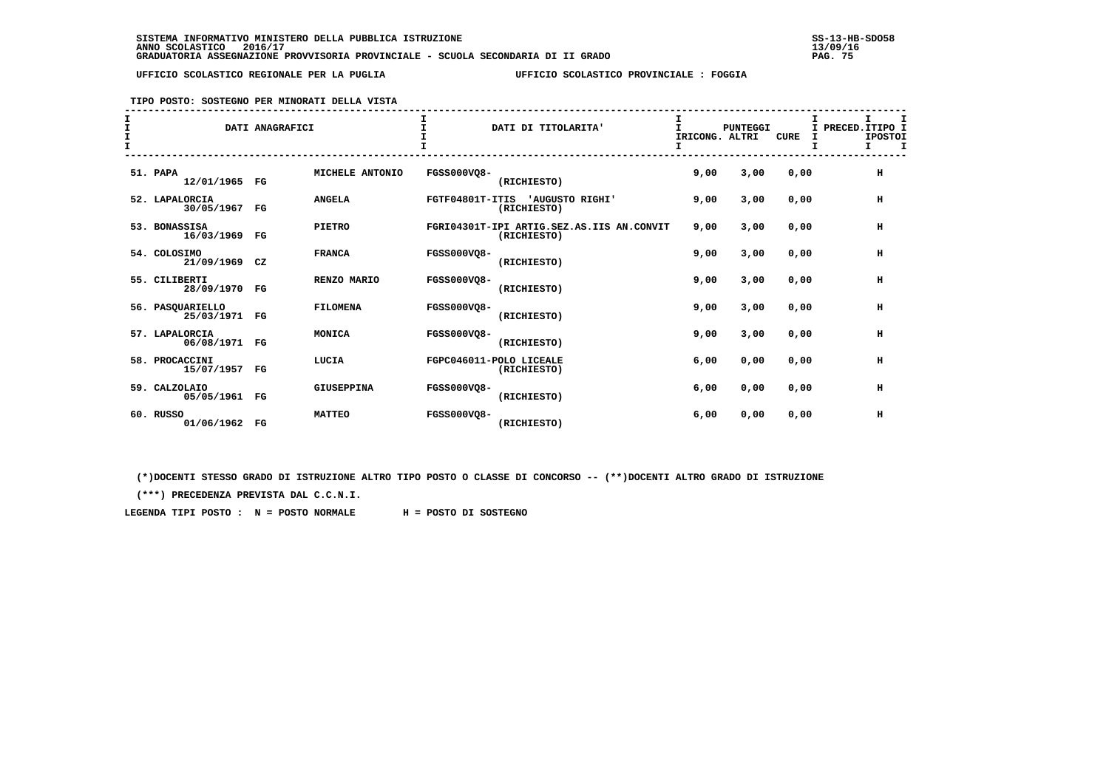**TIPO POSTO: SOSTEGNO PER MINORATI DELLA VISTA**

| I<br>$\mathbf{r}$ |                                 | DATI ANAGRAFICI |                   |                    | DATI DI TITOLARITA'                                      | I<br>T<br>IRICONG. ALTRI | <b>PUNTEGGI</b> | <b>CURE</b> | т<br>I PRECED. ITIPO I<br><b>IPOSTOI</b><br>I<br>т |  |
|-------------------|---------------------------------|-----------------|-------------------|--------------------|----------------------------------------------------------|--------------------------|-----------------|-------------|----------------------------------------------------|--|
|                   | 51. PAPA<br>12/01/1965 FG       |                 | MICHELE ANTONIO   | <b>FGSS000VQ8-</b> | (RICHIESTO)                                              | 9,00                     | 3,00            | 0,00        | $\,$ H                                             |  |
|                   | 52. LAPALORCIA<br>30/05/1967    | FG              | <b>ANGELA</b>     |                    | FGTF04801T-ITIS 'AUGUSTO RIGHI'<br>(RICHIESTO)           | 9,00                     | 3,00            | 0,00        | н                                                  |  |
|                   | 53. BONASSISA<br>16/03/1969     | FG              | <b>PIETRO</b>     |                    | FGRI04301T-IPI ARTIG.SEZ.AS.IIS AN.CONVIT<br>(RICHIESTO) | 9,00                     | 3,00            | 0,00        | н                                                  |  |
|                   | 54. COLOSIMO<br>21/09/1969 CZ   |                 | <b>FRANCA</b>     | <b>FGSS000VQ8-</b> | (RICHIESTO)                                              | 9,00                     | 3,00            | 0,00        | н                                                  |  |
|                   | 55. CILIBERTI<br>28/09/1970     | FG              | RENZO MARIO       | <b>FGSS000VO8-</b> | (RICHIESTO)                                              | 9,00                     | 3,00            | 0,00        | $\,$ H                                             |  |
|                   | 56. PASQUARIELLO<br>25/03/1971  | $_{\rm FG}$     | <b>FILOMENA</b>   | <b>FGSS000VO8-</b> | (RICHIESTO)                                              | 9,00                     | 3,00            | 0,00        | н                                                  |  |
|                   | 57. LAPALORCIA<br>06/08/1971 FG |                 | MONICA            | <b>FGSS000VO8-</b> | (RICHIESTO)                                              | 9,00                     | 3,00            | 0,00        | н                                                  |  |
|                   | 58. PROCACCINI<br>15/07/1957 FG |                 | LUCIA             |                    | FGPC046011-POLO LICEALE<br>(RICHIESTO)                   | 6,00                     | 0,00            | 0,00        | н                                                  |  |
|                   | 59. CALZOLAIO<br>05/05/1961 FG  |                 | <b>GIUSEPPINA</b> | <b>FGSS000VO8-</b> | (RICHIESTO)                                              | 6,00                     | 0,00            | 0,00        | н                                                  |  |
|                   | 60. RUSSO<br>01/06/1962 FG      |                 | <b>MATTEO</b>     | <b>FGSS000VO8-</b> | (RICHIESTO)                                              | 6,00                     | 0,00            | 0,00        | н                                                  |  |

 **(\*)DOCENTI STESSO GRADO DI ISTRUZIONE ALTRO TIPO POSTO O CLASSE DI CONCORSO -- (\*\*)DOCENTI ALTRO GRADO DI ISTRUZIONE**

 **(\*\*\*) PRECEDENZA PREVISTA DAL C.C.N.I.**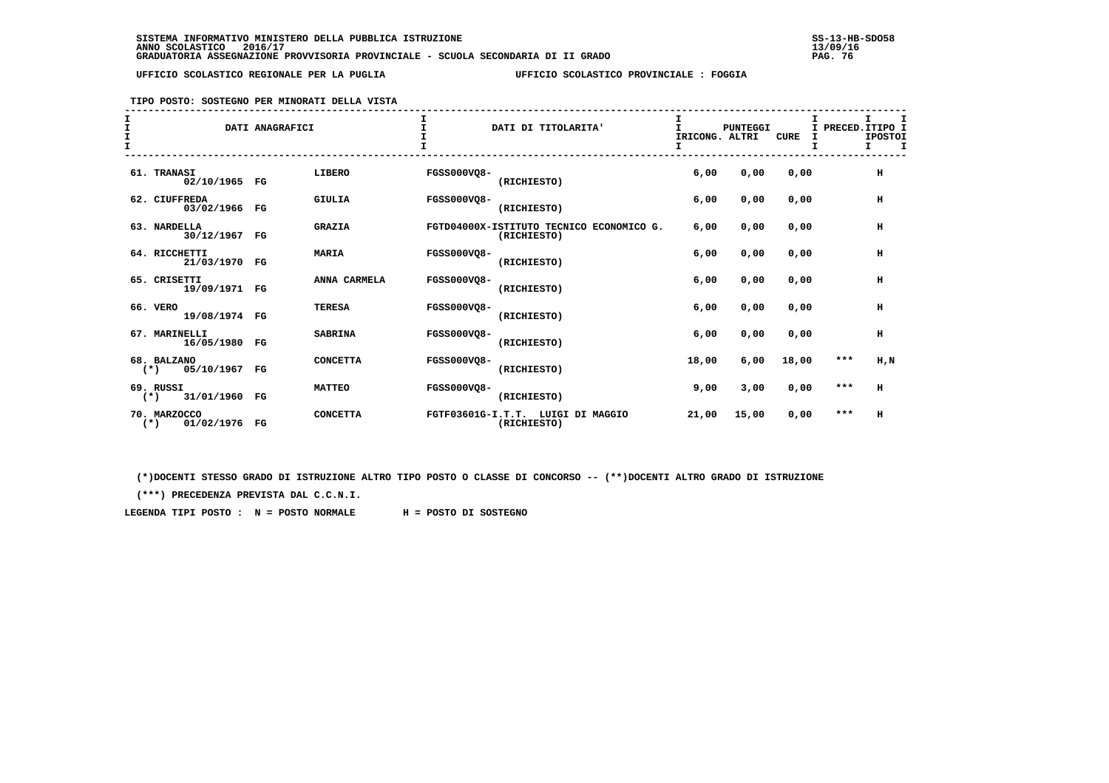#### **TIPO POSTO: SOSTEGNO PER MINORATI DELLA VISTA**

|                                           | DATI ANAGRAFICI |                 |                    | DATI DI TITOLARITA'                                     | IRICONG. ALTRI | PUNTEGGI | <b>CURE</b> | I PRECED. ITIPO I | т<br><b>IPOSTOI</b><br>I. | $\mathbf{T}$ |
|-------------------------------------------|-----------------|-----------------|--------------------|---------------------------------------------------------|----------------|----------|-------------|-------------------|---------------------------|--------------|
| 61. TRANASI<br>02/10/1965 FG              |                 | LIBERO          | <b>FGSS000VQ8-</b> | (RICHIESTO)                                             | 6,00           | 0,00     | 0,00        |                   | н                         |              |
| 62. CIUFFREDA<br>03/02/1966 FG            |                 | <b>GIULIA</b>   | <b>FGSS000VO8-</b> | (RICHIESTO)                                             | 6,00           | 0,00     | 0,00        |                   | н                         |              |
| 63. NARDELLA<br>30/12/1967 FG             |                 | <b>GRAZIA</b>   |                    | FGTD04000X-ISTITUTO TECNICO ECONOMICO G.<br>(RICHIESTO) | 6,00           | 0,00     | 0,00        |                   | н                         |              |
| 64. RICCHETTI<br>21/03/1970 FG            |                 | <b>MARIA</b>    | <b>FGSS000VQ8-</b> | (RICHIESTO)                                             | 6,00           | 0,00     | 0,00        |                   | н                         |              |
| 65. CRISETTI<br>19/09/1971 FG             |                 | ANNA CARMELA    | <b>FGSS000VO8-</b> | (RICHIESTO)                                             | 6,00           | 0,00     | 0,00        |                   | н                         |              |
| 66. VERO<br>19/08/1974 FG                 |                 | <b>TERESA</b>   | FGSS000VO8-        | (RICHIESTO)                                             | 6,00           | 0,00     | 0,00        |                   | н                         |              |
| 67. MARINELLI<br>16/05/1980 FG            |                 | <b>SABRINA</b>  | <b>FGSS000VO8-</b> | (RICHIESTO)                                             | 6,00           | 0,00     | 0,00        |                   | н                         |              |
| 68. BALZANO<br>05/10/1967 FG<br>$(\star)$ |                 | <b>CONCETTA</b> | <b>FGSS000VO8-</b> | (RICHIESTO)                                             | 18,00          | 6,00     | 18,00       | $***$             | $H$ , $N$                 |              |
| 69. RUSSI<br>$(*)$ 31/01/1960 FG          |                 | <b>MATTEO</b>   | FGSS000VO8-        | (RICHIESTO)                                             | 9,00           | 3,00     | 0,00        | $***$             | н                         |              |
| 70. MARZOCCO<br>01/02/1976 FG<br>$(*)$    |                 | <b>CONCETTA</b> |                    | FGTF03601G-I.T.T. LUIGI DI MAGGIO<br>(RICHIESTO)        | 21,00          | 15,00    | 0,00        | $***$             | н                         |              |

 **(\*)DOCENTI STESSO GRADO DI ISTRUZIONE ALTRO TIPO POSTO O CLASSE DI CONCORSO -- (\*\*)DOCENTI ALTRO GRADO DI ISTRUZIONE**

 **(\*\*\*) PRECEDENZA PREVISTA DAL C.C.N.I.**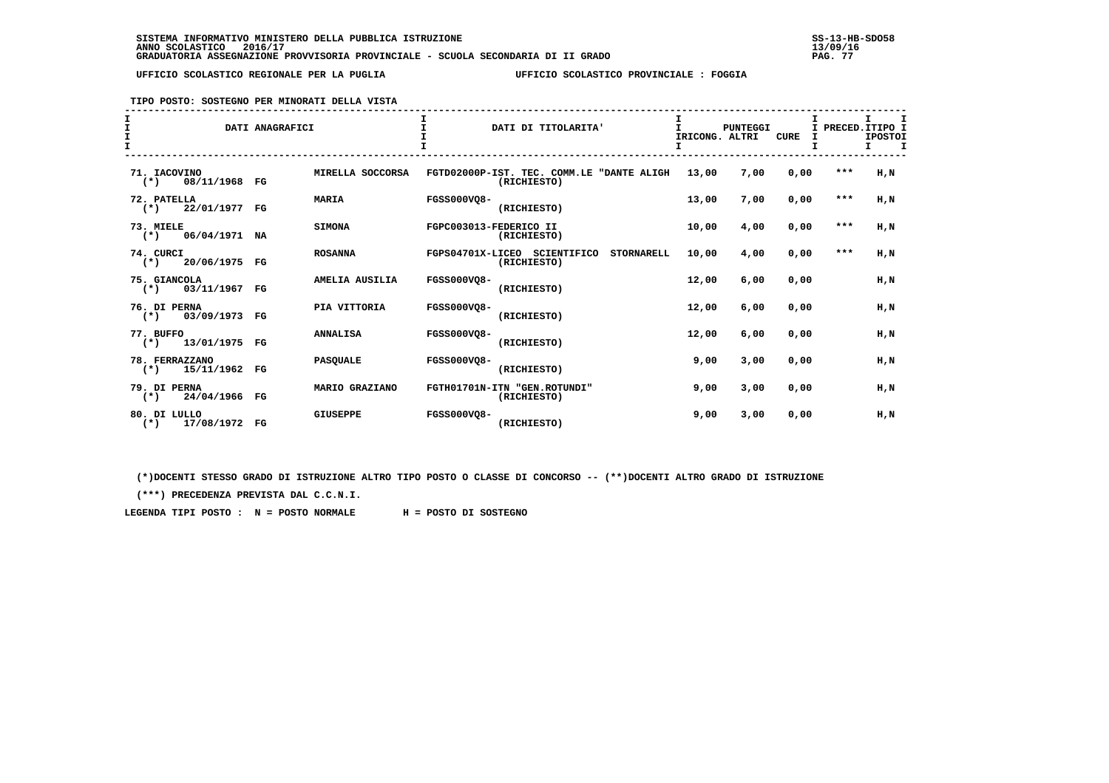**TIPO POSTO: SOSTEGNO PER MINORATI DELLA VISTA**

| I<br>$\mathbf{T}$<br>I<br>$\mathbf{T}$     | DATI ANAGRAFICI       | $\mathbf{T}$<br>DATI DI TITOLARITA'                              | T.<br>IRICONG. ALTRI<br>I | <b>PUNTEGGI</b> | CURE<br>Ι. |       | Ι.<br>I PRECED. ITIPO I<br><b>IPOSTOI</b><br>Τ. |
|--------------------------------------------|-----------------------|------------------------------------------------------------------|---------------------------|-----------------|------------|-------|-------------------------------------------------|
| 71. IACOVINO<br>08/11/1968 FG<br>$(*)$     | MIRELLA SOCCORSA      | FGTD02000P-IST. TEC. COMM.LE "DANTE ALIGH<br>(RICHIESTO)         | 13,00                     | 7,00            | 0,00       | $***$ | H,N                                             |
| 72. PATELLA<br>22/01/1977 FG<br>$(*)$      | <b>MARIA</b>          | FGSS000VO8-<br>(RICHIESTO)                                       | 13,00                     | 7,00            | 0,00       | $***$ | H,N                                             |
| 73. MIELE<br>$(*)$ 06/04/1971              | <b>SIMONA</b><br>NA   | FGPC003013-FEDERICO II<br>(RICHIESTO)                            | 10,00                     | 4,00            | 0,00       | $***$ | H,N                                             |
| 74. CURCI<br>$(*)$ 20/06/1975 FG           | <b>ROSANNA</b>        | FGPS04701X-LICEO SCIENTIFICO<br><b>STORNARELL</b><br>(RICHIESTO) | 10,00                     | 4,00            | 0,00       | $***$ | H,N                                             |
| 75. GIANCOLA<br>$(*)$ 03/11/1967 FG        | AMELIA AUSILIA        | FGSS000VQ8-<br>(RICHIESTO)                                       | 12,00                     | 6,00            | 0,00       |       | H,N                                             |
| 76. DI PERNA<br>$(*)$ 03/09/1973           | PIA VITTORIA<br>FG    | FGSS000VQ8-<br>(RICHIESTO)                                       | 12,00                     | 6,00            | 0,00       |       | H,N                                             |
| 77. BUFFO<br>$(*)$ 13/01/1975 FG           | <b>ANNALISA</b>       | FGSS000VO8-<br>(RICHIESTO)                                       | 12,00                     | 6.00            | 0.00       |       | H.N                                             |
| 78. FERRAZZANO<br>15/11/1962<br>$(*)$      | <b>PASOUALE</b><br>FG | FGSS000VO8-<br>(RICHIESTO)                                       | 9,00                      | 3,00            | 0.00       |       | H.N                                             |
| 79. DI PERNA<br>24/04/1966 FG<br>$(\star)$ | MARIO GRAZIANO        | FGTH01701N-ITN "GEN.ROTUNDI"<br>(RICHIESTO)                      | 9,00                      | 3,00            | 0,00       |       | H.N                                             |
| 80. DI LULLO<br>17/08/1972 FG<br>$(*)$     | <b>GIUSEPPE</b>       | FGSS000VQ8-<br>(RICHIESTO)                                       | 9,00                      | 3,00            | 0,00       |       | H.N                                             |

 **(\*)DOCENTI STESSO GRADO DI ISTRUZIONE ALTRO TIPO POSTO O CLASSE DI CONCORSO -- (\*\*)DOCENTI ALTRO GRADO DI ISTRUZIONE**

 **(\*\*\*) PRECEDENZA PREVISTA DAL C.C.N.I.**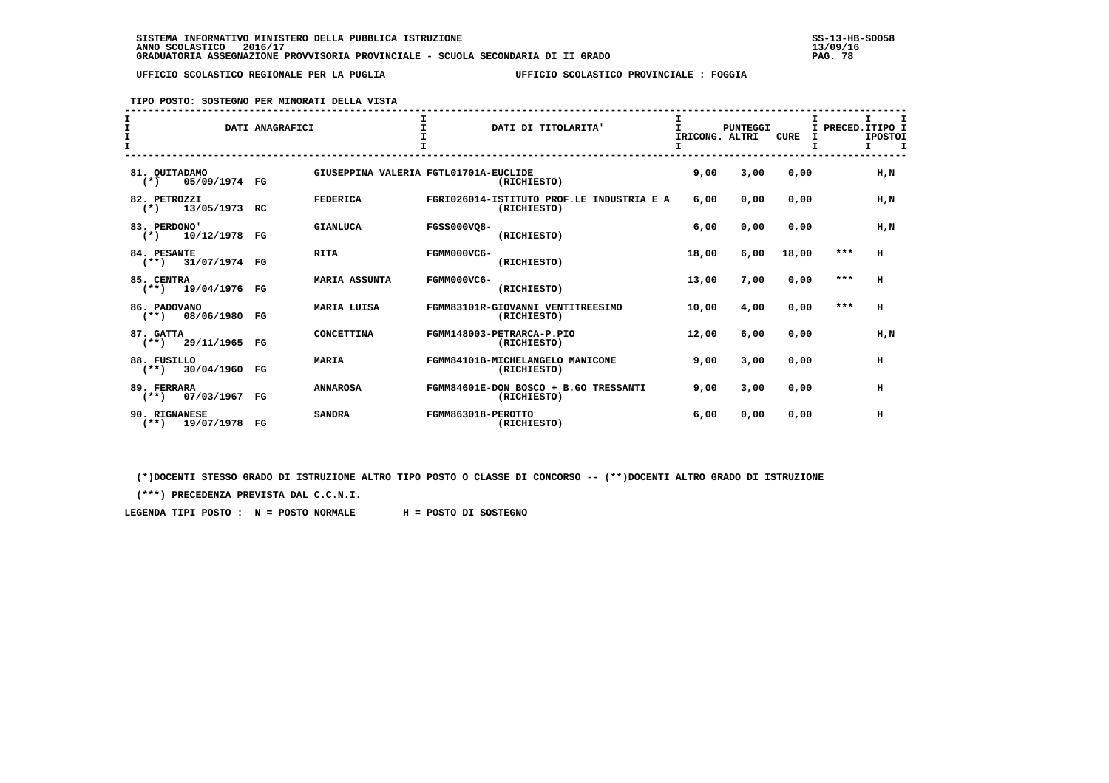**TIPO POSTO: SOSTEGNO PER MINORATI DELLA VISTA**

| $\mathbf$ |                                         | DATI ANAGRAFICI |                                       |                    | DATI DI TITOLARITA'                                      | IRICONG. ALTRI<br>I | <b>PUNTEGGI</b> | <b>CURE</b> | I     | т<br>I PRECED. ITIPO I<br><b>IPOSTOI</b><br>I<br>I. |
|-----------|-----------------------------------------|-----------------|---------------------------------------|--------------------|----------------------------------------------------------|---------------------|-----------------|-------------|-------|-----------------------------------------------------|
|           | 81. QUITADAMO<br>05/09/1974 FG<br>$(*)$ |                 | GIUSEPPINA VALERIA FGTL01701A-EUCLIDE |                    | (RICHIESTO)                                              | 9,00                | 3,00            | 0,00        |       | H.N                                                 |
|           | 82. PETROZZI<br>13/05/1973<br>$(*)$     | RC.             | <b>FEDERICA</b>                       |                    | FGRI026014-ISTITUTO PROF.LE INDUSTRIA E A<br>(RICHIESTO) | 6,00                | 0,00            | 0,00        |       | H,N                                                 |
|           | 83. PERDONO'<br>$(*)$ 10/12/1978 FG     |                 | <b>GIANLUCA</b>                       | <b>FGSS000VQ8-</b> | (RICHIESTO)                                              | 6,00                | 0,00            | 0,00        |       | H,N                                                 |
|           | 84. PESANTE<br>$(**)$ 31/07/1974 FG     |                 | <b>RITA</b>                           | FGMM000VC6-        | (RICHIESTO)                                              | 18,00               | 6,00            | 18,00       | $***$ | н                                                   |
|           | 85. CENTRA<br>$(**)$ 19/04/1976         | FG              | <b>MARIA ASSUNTA</b>                  | FGMM000VC6-        | (RICHIESTO)                                              | 13,00               | 7,00            | 0.00        | ***   | н                                                   |
|           | 86. PADOVANO<br>$(**)$ 08/06/1980       | FG              | <b>MARIA LUISA</b>                    |                    | FGMM83101R-GIOVANNI VENTITREESIMO<br>(RICHIESTO)         | 10,00               | 4,00            | 0,00        | ***   | н                                                   |
|           | 87. GATTA<br>$(**)$ 29/11/1965          | FG              | CONCETTINA                            |                    | FGMM148003-PETRARCA-P.PIO<br>(RICHIESTO)                 | 12,00               | 6,00            | 0,00        |       | H.N                                                 |
|           | 88. FUSILLO<br>$(**)$ 30/04/1960        | FG              | <b>MARIA</b>                          |                    | FGMM84101B-MICHELANGELO MANICONE<br>(RICHIESTO)          | 9,00                | 3,00            | 0,00        |       | н                                                   |
|           | 89. FERRARA<br>07/03/1967<br>$(**)$     | $_{\rm FG}$     | <b>ANNAROSA</b>                       |                    | FGMM84601E-DON BOSCO + B.GO TRESSANTI<br>(RICHIESTO)     | 9,00                | 3,00            | 0,00        |       | н                                                   |
|           | 90. RIGNANESE<br>$(**)$ 19/07/1978      | $_{\rm FG}$     | <b>SANDRA</b>                         | FGMM863018-PEROTTO | (RICHIESTO)                                              | 6,00                | 0.00            | 0.00        |       | н                                                   |

 **(\*)DOCENTI STESSO GRADO DI ISTRUZIONE ALTRO TIPO POSTO O CLASSE DI CONCORSO -- (\*\*)DOCENTI ALTRO GRADO DI ISTRUZIONE**

 **(\*\*\*) PRECEDENZA PREVISTA DAL C.C.N.I.**